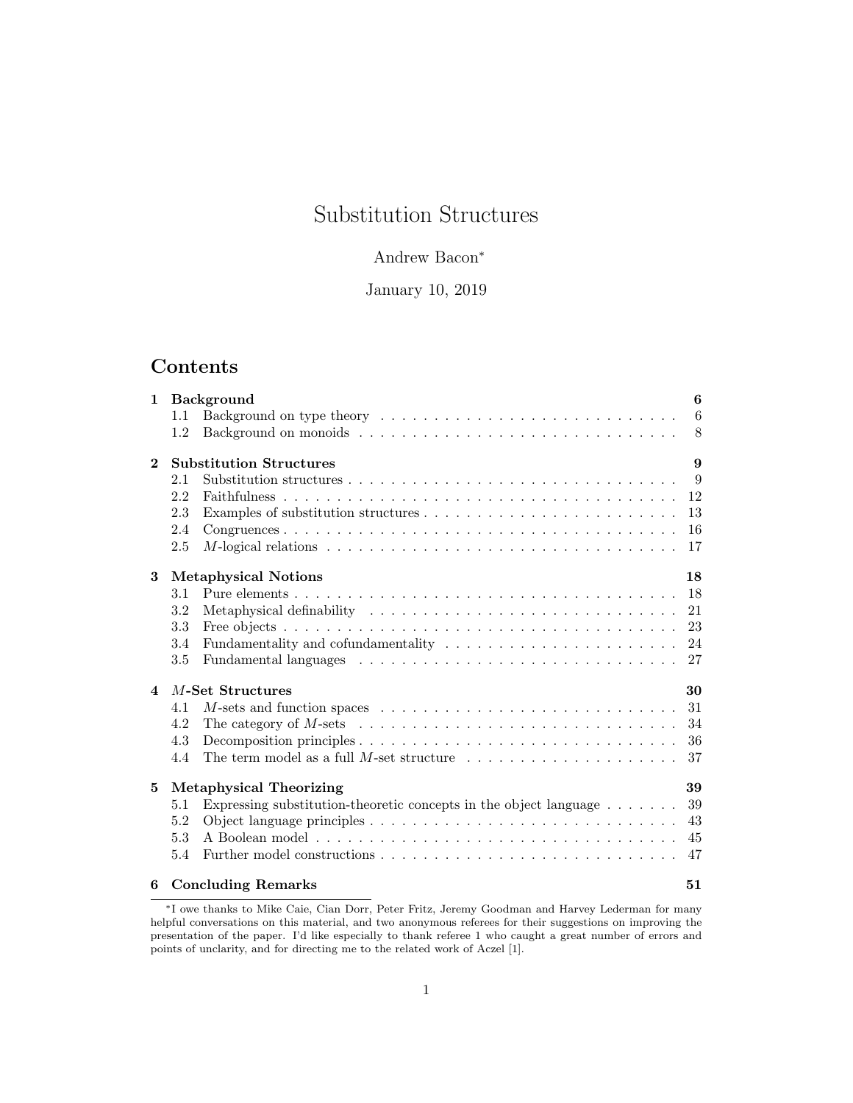# Substitution Structures

# Andrew Bacon<sup>∗</sup>

January 10, 2019

# Contents

| $\mathbf{1}$ | <b>Background</b>                 |                                                                                                           | 6               |
|--------------|-----------------------------------|-----------------------------------------------------------------------------------------------------------|-----------------|
|              | 1.1                               |                                                                                                           | $6\phantom{.}6$ |
|              | 1.2                               |                                                                                                           | 8               |
| $\mathbf{2}$ | <b>Substitution Structures</b>    |                                                                                                           |                 |
|              | 2.1                               |                                                                                                           | 9               |
|              | 2.2                               |                                                                                                           | 12              |
|              | 2.3                               |                                                                                                           | 13              |
|              | 2.4                               |                                                                                                           | 16              |
|              | 2.5                               | M-logical relations $\dots \dots \dots \dots \dots \dots \dots \dots \dots \dots \dots \dots \dots \dots$ | 17              |
| 3            | <b>Metaphysical Notions</b><br>18 |                                                                                                           |                 |
|              | 3.1                               |                                                                                                           | 18              |
|              | 3.2                               | Metaphysical definability $\dots \dots \dots \dots \dots \dots \dots \dots \dots \dots \dots$             | 21              |
|              | 3.3                               |                                                                                                           | 23              |
|              | 3.4                               |                                                                                                           | 24              |
|              | 3.5                               |                                                                                                           | 27              |
| 4            | M-Set Structures<br>30            |                                                                                                           |                 |
|              | 4.1                               | M-sets and function spaces $\dots \dots \dots \dots \dots \dots \dots \dots \dots \dots \dots$            | 31              |
|              | 4.2                               | The category of M-sets $\dots \dots \dots \dots \dots \dots \dots \dots \dots \dots \dots \dots$          | 34              |
|              | 4.3                               |                                                                                                           | 36              |
|              | 4.4                               | The term model as a full M-set structure $\dots \dots \dots \dots \dots \dots \dots$                      | 37              |
| 5            | <b>Metaphysical Theorizing</b>    |                                                                                                           | 39              |
|              | 5.1                               | Expressing substitution-theoretic concepts in the object language $\dots \dots$                           | 39              |
|              | 5.2                               |                                                                                                           | 43              |
|              | 5.3                               |                                                                                                           | 45              |
|              | 5.4                               |                                                                                                           | 47              |
| 6            |                                   | <b>Concluding Remarks</b>                                                                                 | 51              |

<sup>∗</sup>I owe thanks to Mike Caie, Cian Dorr, Peter Fritz, Jeremy Goodman and Harvey Lederman for many helpful conversations on this material, and two anonymous referees for their suggestions on improving the presentation of the paper. I'd like especially to thank referee 1 who caught a great number of errors and points of unclarity, and for directing me to the related work of Aczel [1].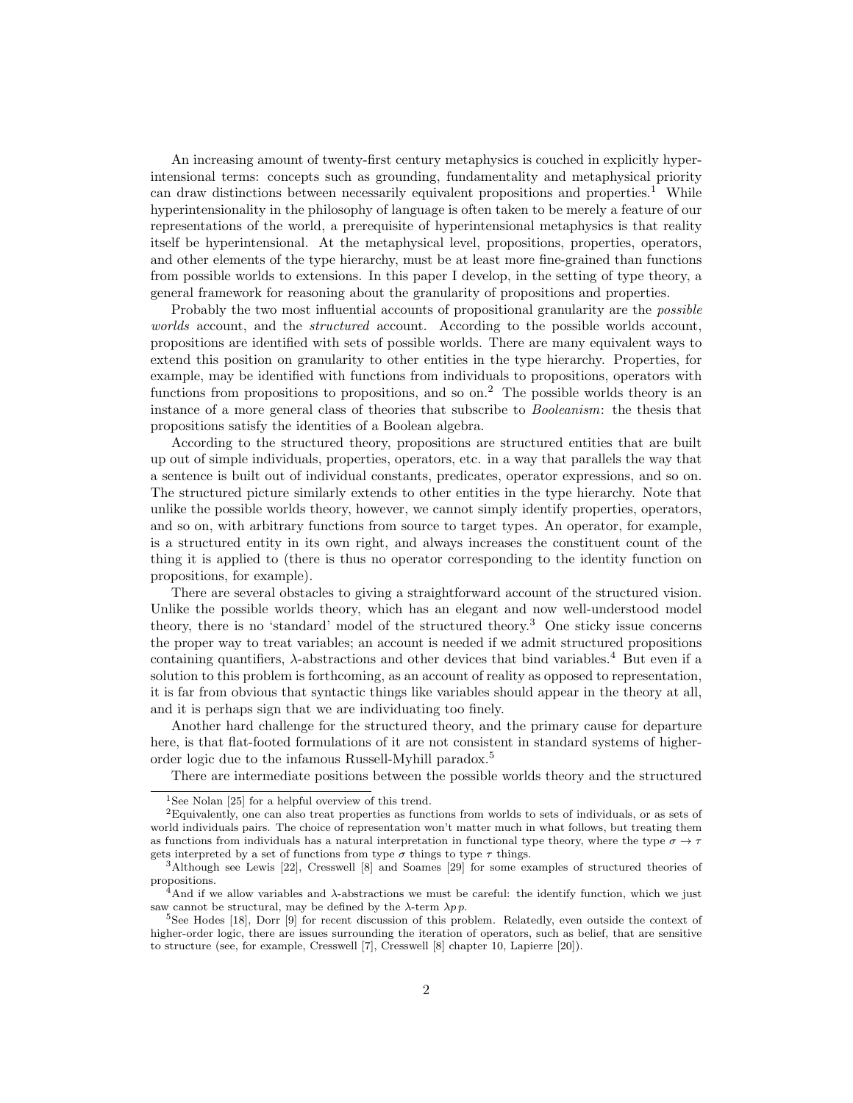An increasing amount of twenty-first century metaphysics is couched in explicitly hyperintensional terms: concepts such as grounding, fundamentality and metaphysical priority can draw distinctions between necessarily equivalent propositions and properties.<sup>1</sup> While hyperintensionality in the philosophy of language is often taken to be merely a feature of our representations of the world, a prerequisite of hyperintensional metaphysics is that reality itself be hyperintensional. At the metaphysical level, propositions, properties, operators, and other elements of the type hierarchy, must be at least more fine-grained than functions from possible worlds to extensions. In this paper I develop, in the setting of type theory, a general framework for reasoning about the granularity of propositions and properties.

Probably the two most influential accounts of propositional granularity are the *possible* worlds account, and the *structured* account. According to the possible worlds account, propositions are identified with sets of possible worlds. There are many equivalent ways to extend this position on granularity to other entities in the type hierarchy. Properties, for example, may be identified with functions from individuals to propositions, operators with functions from propositions to propositions, and so on.<sup>2</sup> The possible worlds theory is an instance of a more general class of theories that subscribe to Booleanism: the thesis that propositions satisfy the identities of a Boolean algebra.

According to the structured theory, propositions are structured entities that are built up out of simple individuals, properties, operators, etc. in a way that parallels the way that a sentence is built out of individual constants, predicates, operator expressions, and so on. The structured picture similarly extends to other entities in the type hierarchy. Note that unlike the possible worlds theory, however, we cannot simply identify properties, operators, and so on, with arbitrary functions from source to target types. An operator, for example, is a structured entity in its own right, and always increases the constituent count of the thing it is applied to (there is thus no operator corresponding to the identity function on propositions, for example).

There are several obstacles to giving a straightforward account of the structured vision. Unlike the possible worlds theory, which has an elegant and now well-understood model theory, there is no 'standard' model of the structured theory.<sup>3</sup> One sticky issue concerns the proper way to treat variables; an account is needed if we admit structured propositions containing quantifiers,  $\lambda$ -abstractions and other devices that bind variables.<sup>4</sup> But even if a solution to this problem is forthcoming, as an account of reality as opposed to representation, it is far from obvious that syntactic things like variables should appear in the theory at all, and it is perhaps sign that we are individuating too finely.

Another hard challenge for the structured theory, and the primary cause for departure here, is that flat-footed formulations of it are not consistent in standard systems of higherorder logic due to the infamous Russell-Myhill paradox.<sup>5</sup>

There are intermediate positions between the possible worlds theory and the structured

<sup>&</sup>lt;sup>1</sup>See Nolan [25] for a helpful overview of this trend.

<sup>2</sup>Equivalently, one can also treat properties as functions from worlds to sets of individuals, or as sets of world individuals pairs. The choice of representation won't matter much in what follows, but treating them as functions from individuals has a natural interpretation in functional type theory, where the type  $\sigma \to \tau$ gets interpreted by a set of functions from type  $\sigma$  things to type  $\tau$  things.

<sup>3</sup>Although see Lewis [22], Cresswell [8] and Soames [29] for some examples of structured theories of propositions.

<sup>&</sup>lt;sup>4</sup>And if we allow variables and  $\lambda$ -abstractions we must be careful: the identify function, which we just saw cannot be structural, may be defined by the  $\lambda$ -term  $\lambda p$ .

<sup>&</sup>lt;sup>5</sup>See Hodes [18], Dorr [9] for recent discussion of this problem. Relatedly, even outside the context of higher-order logic, there are issues surrounding the iteration of operators, such as belief, that are sensitive to structure (see, for example, Cresswell [7], Cresswell [8] chapter 10, Lapierre [20]).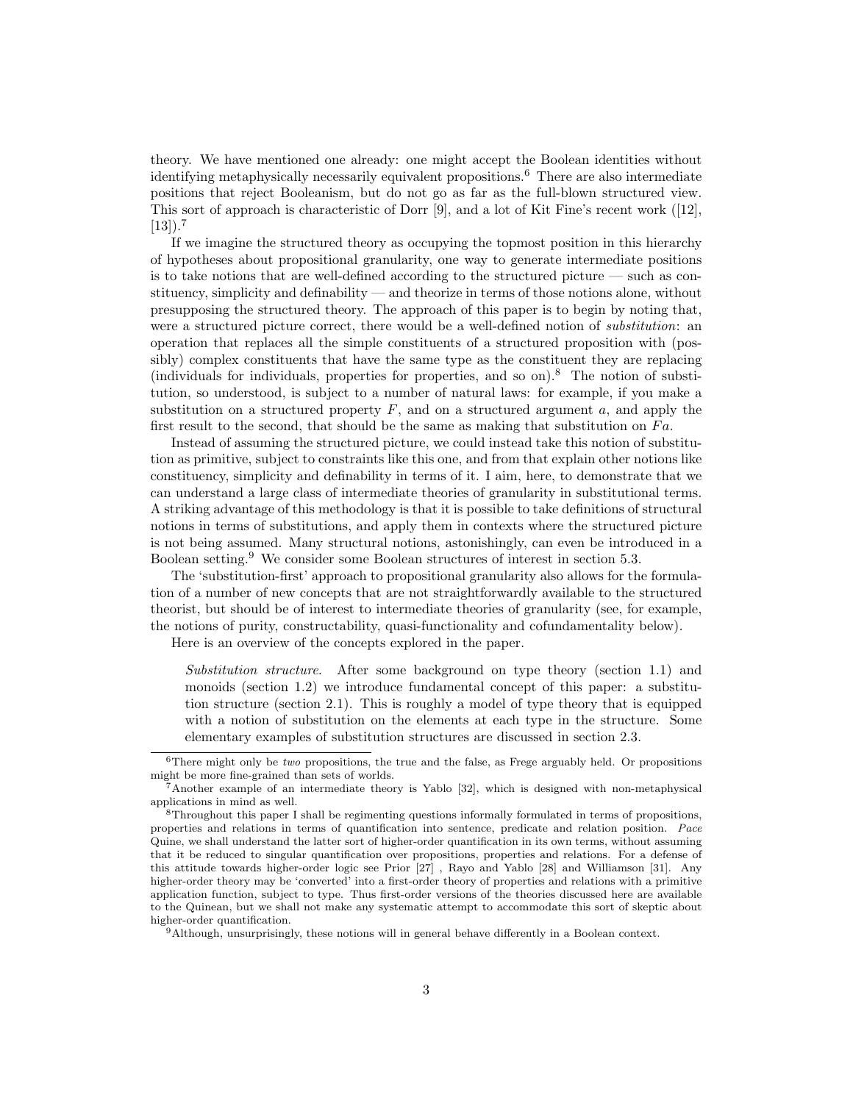theory. We have mentioned one already: one might accept the Boolean identities without identifying metaphysically necessarily equivalent propositions.<sup>6</sup> There are also intermediate positions that reject Booleanism, but do not go as far as the full-blown structured view. This sort of approach is characteristic of Dorr [9], and a lot of Kit Fine's recent work ([12],  $[13]$ ).<sup>7</sup>

If we imagine the structured theory as occupying the topmost position in this hierarchy of hypotheses about propositional granularity, one way to generate intermediate positions is to take notions that are well-defined according to the structured picture — such as constituency, simplicity and definability — and theorize in terms of those notions alone, without presupposing the structured theory. The approach of this paper is to begin by noting that, were a structured picture correct, there would be a well-defined notion of *substitution*: an operation that replaces all the simple constituents of a structured proposition with (possibly) complex constituents that have the same type as the constituent they are replacing (individuals for individuals, properties for properties, and so on).<sup>8</sup> The notion of substitution, so understood, is subject to a number of natural laws: for example, if you make a substitution on a structured property  $F$ , and on a structured argument  $a$ , and apply the first result to the second, that should be the same as making that substitution on  $Fa$ .

Instead of assuming the structured picture, we could instead take this notion of substitution as primitive, subject to constraints like this one, and from that explain other notions like constituency, simplicity and definability in terms of it. I aim, here, to demonstrate that we can understand a large class of intermediate theories of granularity in substitutional terms. A striking advantage of this methodology is that it is possible to take definitions of structural notions in terms of substitutions, and apply them in contexts where the structured picture is not being assumed. Many structural notions, astonishingly, can even be introduced in a Boolean setting.<sup>9</sup> We consider some Boolean structures of interest in section 5.3.

The 'substitution-first' approach to propositional granularity also allows for the formulation of a number of new concepts that are not straightforwardly available to the structured theorist, but should be of interest to intermediate theories of granularity (see, for example, the notions of purity, constructability, quasi-functionality and cofundamentality below).

Here is an overview of the concepts explored in the paper.

Substitution structure. After some background on type theory (section 1.1) and monoids (section 1.2) we introduce fundamental concept of this paper: a substitution structure (section 2.1). This is roughly a model of type theory that is equipped with a notion of substitution on the elements at each type in the structure. Some elementary examples of substitution structures are discussed in section 2.3.

 $6$ There might only be *two* propositions, the true and the false, as Frege arguably held. Or propositions might be more fine-grained than sets of worlds.

<sup>7</sup>Another example of an intermediate theory is Yablo [32], which is designed with non-metaphysical applications in mind as well.

<sup>8</sup>Throughout this paper I shall be regimenting questions informally formulated in terms of propositions, properties and relations in terms of quantification into sentence, predicate and relation position. Pace Quine, we shall understand the latter sort of higher-order quantification in its own terms, without assuming that it be reduced to singular quantification over propositions, properties and relations. For a defense of this attitude towards higher-order logic see Prior [27] , Rayo and Yablo [28] and Williamson [31]. Any higher-order theory may be 'converted' into a first-order theory of properties and relations with a primitive application function, subject to type. Thus first-order versions of the theories discussed here are available to the Quinean, but we shall not make any systematic attempt to accommodate this sort of skeptic about higher-order quantification.

 $9$ Although, unsurprisingly, these notions will in general behave differently in a Boolean context.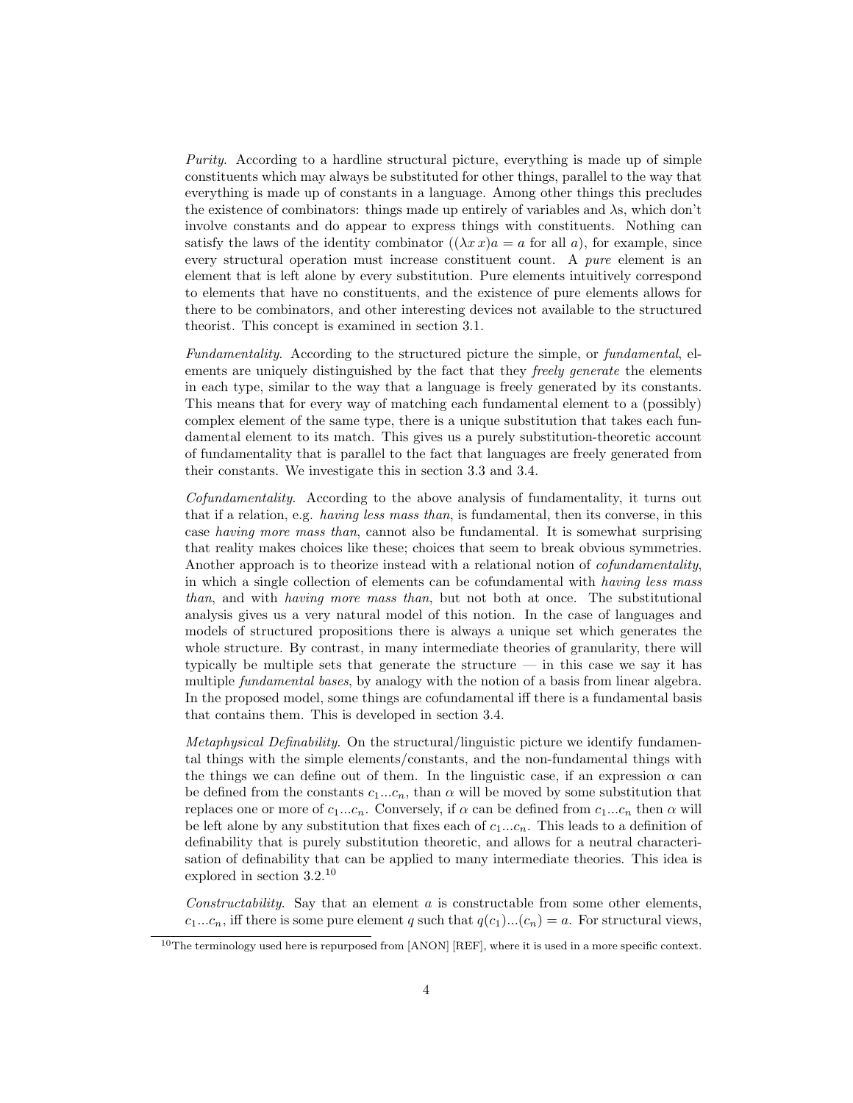Purity. According to a hardline structural picture, everything is made up of simple constituents which may always be substituted for other things, parallel to the way that everything is made up of constants in a language. Among other things this precludes the existence of combinators: things made up entirely of variables and  $\lambda$ s, which don't involve constants and do appear to express things with constituents. Nothing can satisfy the laws of the identity combinator  $((\lambda x)x) = a$  for all a), for example, since every structural operation must increase constituent count. A *pure* element is an element that is left alone by every substitution. Pure elements intuitively correspond to elements that have no constituents, and the existence of pure elements allows for there to be combinators, and other interesting devices not available to the structured theorist. This concept is examined in section 3.1.

Fundamentality. According to the structured picture the simple, or fundamental, elements are uniquely distinguished by the fact that they *freely generate* the elements in each type, similar to the way that a language is freely generated by its constants. This means that for every way of matching each fundamental element to a (possibly) complex element of the same type, there is a unique substitution that takes each fundamental element to its match. This gives us a purely substitution-theoretic account of fundamentality that is parallel to the fact that languages are freely generated from their constants. We investigate this in section 3.3 and 3.4.

Cofundamentality. According to the above analysis of fundamentality, it turns out that if a relation, e.g. having less mass than, is fundamental, then its converse, in this case having more mass than, cannot also be fundamental. It is somewhat surprising that reality makes choices like these; choices that seem to break obvious symmetries. Another approach is to theorize instead with a relational notion of *cofundamentality*, in which a single collection of elements can be cofundamental with having less mass than, and with having more mass than, but not both at once. The substitutional analysis gives us a very natural model of this notion. In the case of languages and models of structured propositions there is always a unique set which generates the whole structure. By contrast, in many intermediate theories of granularity, there will typically be multiple sets that generate the structure  $-$  in this case we say it has multiple *fundamental bases*, by analogy with the notion of a basis from linear algebra. In the proposed model, some things are cofundamental iff there is a fundamental basis that contains them. This is developed in section 3.4.

Metaphysical Definability. On the structural/linguistic picture we identify fundamental things with the simple elements/constants, and the non-fundamental things with the things we can define out of them. In the linguistic case, if an expression  $\alpha$  can be defined from the constants  $c_1...c_n$ , than  $\alpha$  will be moved by some substitution that replaces one or more of  $c_1...c_n$ . Conversely, if  $\alpha$  can be defined from  $c_1...c_n$  then  $\alpha$  will be left alone by any substitution that fixes each of  $c_1...c_n$ . This leads to a definition of definability that is purely substitution theoretic, and allows for a neutral characterisation of definability that can be applied to many intermediate theories. This idea is explored in section 3.2.<sup>10</sup>

Constructability. Say that an element  $a$  is constructable from some other elements,  $c_1...c_n$ , iff there is some pure element q such that  $q(c_1)...(c_n) = a$ . For structural views,

<sup>&</sup>lt;sup>10</sup>The terminology used here is repurposed from  $[ANDN]$   $[REF]$ , where it is used in a more specific context.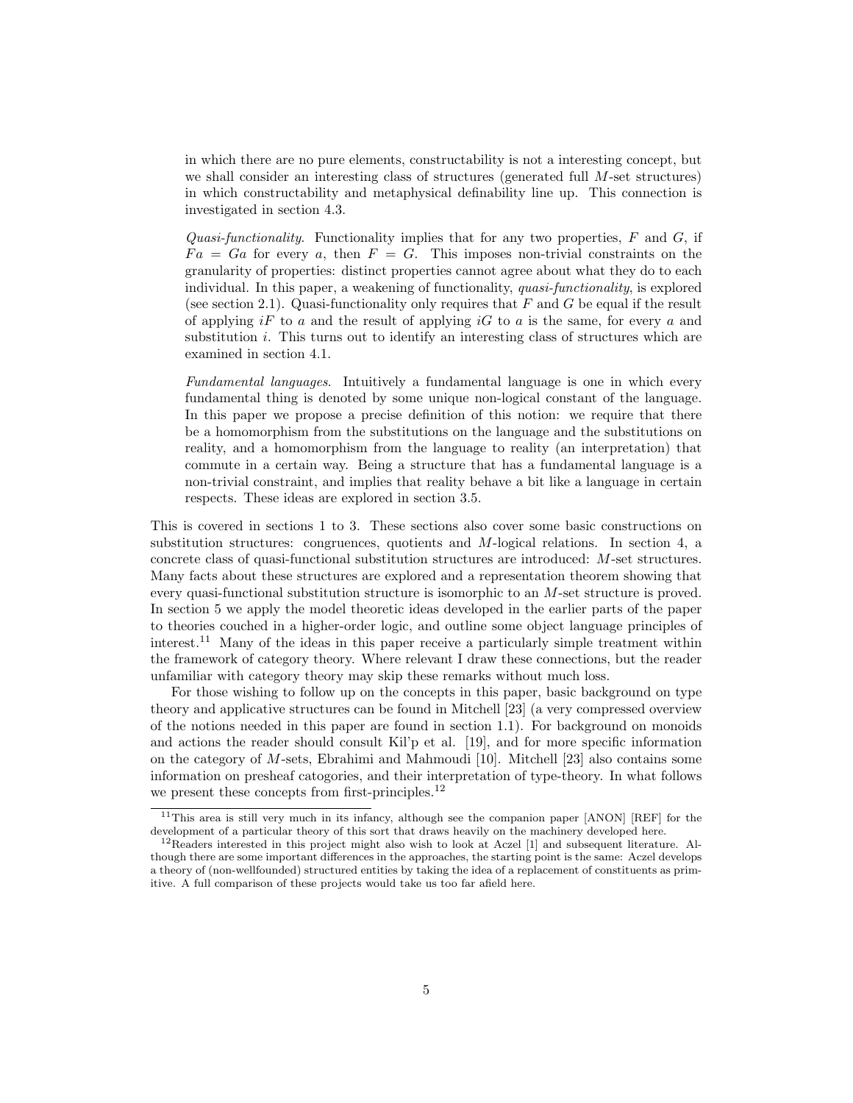in which there are no pure elements, constructability is not a interesting concept, but we shall consider an interesting class of structures (generated full  $M$ -set structures) in which constructability and metaphysical definability line up. This connection is investigated in section 4.3.

Quasi-functionality. Functionality implies that for any two properties,  $F$  and  $G$ , if  $Fa = Ga$  for every a, then  $F = G$ . This imposes non-trivial constraints on the granularity of properties: distinct properties cannot agree about what they do to each individual. In this paper, a weakening of functionality, quasi-functionality, is explored (see section 2.1). Quasi-functionality only requires that  $F$  and  $G$  be equal if the result of applying  $iF$  to a and the result of applying  $iG$  to a is the same, for every a and substitution *i*. This turns out to identify an interesting class of structures which are examined in section 4.1.

Fundamental languages. Intuitively a fundamental language is one in which every fundamental thing is denoted by some unique non-logical constant of the language. In this paper we propose a precise definition of this notion: we require that there be a homomorphism from the substitutions on the language and the substitutions on reality, and a homomorphism from the language to reality (an interpretation) that commute in a certain way. Being a structure that has a fundamental language is a non-trivial constraint, and implies that reality behave a bit like a language in certain respects. These ideas are explored in section 3.5.

This is covered in sections 1 to 3. These sections also cover some basic constructions on substitution structures: congruences, quotients and M-logical relations. In section 4, a concrete class of quasi-functional substitution structures are introduced: M-set structures. Many facts about these structures are explored and a representation theorem showing that every quasi-functional substitution structure is isomorphic to an M-set structure is proved. In section 5 we apply the model theoretic ideas developed in the earlier parts of the paper to theories couched in a higher-order logic, and outline some object language principles of interest.<sup>11</sup> Many of the ideas in this paper receive a particularly simple treatment within the framework of category theory. Where relevant I draw these connections, but the reader unfamiliar with category theory may skip these remarks without much loss.

For those wishing to follow up on the concepts in this paper, basic background on type theory and applicative structures can be found in Mitchell [23] (a very compressed overview of the notions needed in this paper are found in section 1.1). For background on monoids and actions the reader should consult Kil'p et al. [19], and for more specific information on the category of M-sets, Ebrahimi and Mahmoudi [10]. Mitchell [23] also contains some information on presheaf catogories, and their interpretation of type-theory. In what follows we present these concepts from first-principles.<sup>12</sup>

 $11$ This area is still very much in its infancy, although see the companion paper [ANON] [REF] for the development of a particular theory of this sort that draws heavily on the machinery developed here.

<sup>12</sup>Readers interested in this project might also wish to look at Aczel [1] and subsequent literature. Although there are some important differences in the approaches, the starting point is the same: Aczel develops a theory of (non-wellfounded) structured entities by taking the idea of a replacement of constituents as primitive. A full comparison of these projects would take us too far afield here.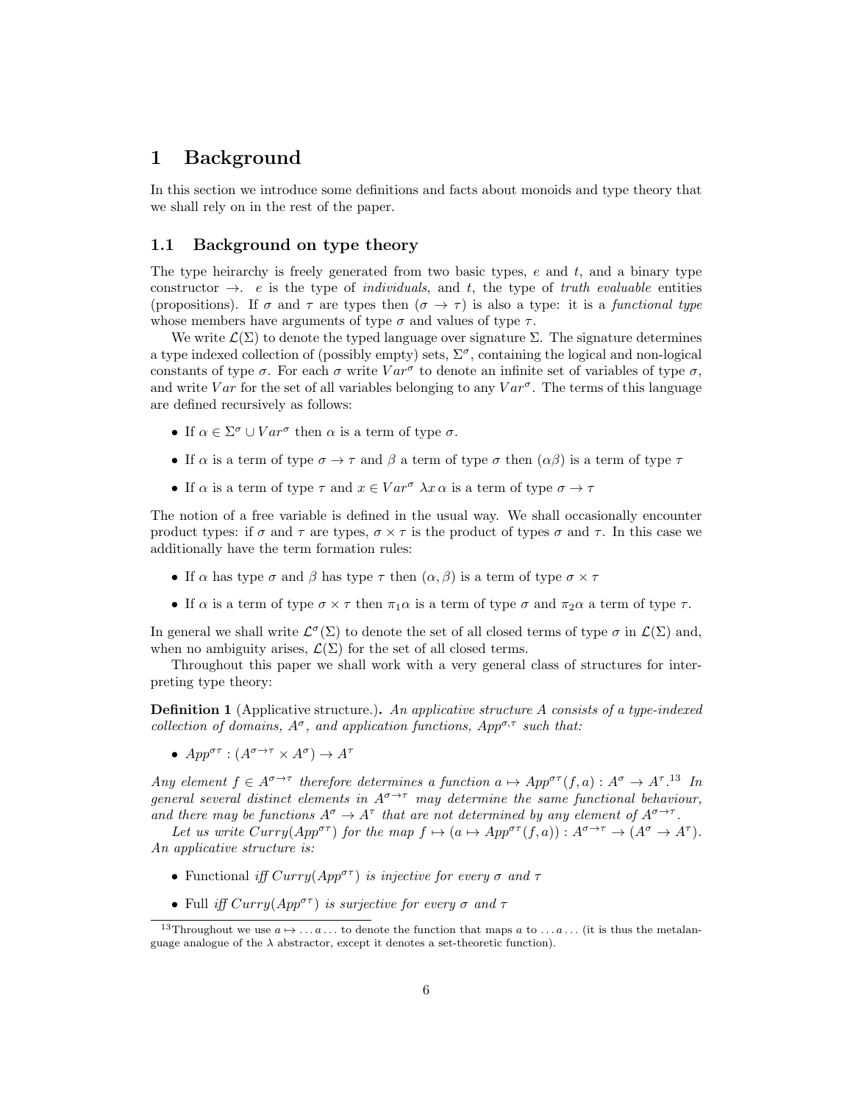# 1 Background

In this section we introduce some definitions and facts about monoids and type theory that we shall rely on in the rest of the paper.

### 1.1 Background on type theory

The type heirarchy is freely generated from two basic types,  $e$  and  $t$ , and a binary type constructor  $\rightarrow$ . e is the type of *individuals*, and t, the type of truth evaluable entities (propositions). If  $\sigma$  and  $\tau$  are types then  $(\sigma \to \tau)$  is also a type: it is a functional type whose members have arguments of type  $\sigma$  and values of type  $\tau$ .

We write  $\mathcal{L}(\Sigma)$  to denote the typed language over signature  $\Sigma$ . The signature determines a type indexed collection of (possibly empty) sets,  $\Sigma^{\sigma}$ , containing the logical and non-logical constants of type  $\sigma$ . For each  $\sigma$  write  $Var^{\sigma}$  to denote an infinite set of variables of type  $\sigma$ , and write Var for the set of all variables belonging to any  $Var^{\sigma}$ . The terms of this language are defined recursively as follows:

- If  $\alpha \in \Sigma^{\sigma} \cup Var^{\sigma}$  then  $\alpha$  is a term of type  $\sigma$ .
- If  $\alpha$  is a term of type  $\sigma \to \tau$  and  $\beta$  a term of type  $\sigma$  then  $(\alpha\beta)$  is a term of type  $\tau$
- If  $\alpha$  is a term of type  $\tau$  and  $x \in Var^{\sigma} \lambda x \alpha$  is a term of type  $\sigma \to \tau$

The notion of a free variable is defined in the usual way. We shall occasionally encounter product types: if  $\sigma$  and  $\tau$  are types,  $\sigma \times \tau$  is the product of types  $\sigma$  and  $\tau$ . In this case we additionally have the term formation rules:

- If  $\alpha$  has type  $\sigma$  and  $\beta$  has type  $\tau$  then  $(\alpha, \beta)$  is a term of type  $\sigma \times \tau$
- If  $\alpha$  is a term of type  $\sigma \times \tau$  then  $\pi_1 \alpha$  is a term of type  $\sigma$  and  $\pi_2 \alpha$  a term of type  $\tau$ .

In general we shall write  $\mathcal{L}^{\sigma}(\Sigma)$  to denote the set of all closed terms of type  $\sigma$  in  $\mathcal{L}(\Sigma)$  and, when no ambiguity arises,  $\mathcal{L}(\Sigma)$  for the set of all closed terms.

Throughout this paper we shall work with a very general class of structures for interpreting type theory:

Definition 1 (Applicative structure.). An applicative structure A consists of a type-indexed collection of domains,  $A^{\sigma}$ , and application functions,  $App^{\sigma,\tau}$  such that:

•  $App^{\sigma\tau}: (A^{\sigma\to\tau}\times A^{\sigma})\to A^{\tau}$ 

Any element  $f \in A^{\sigma \to \tau}$  therefore determines a function  $a \mapsto App^{\sigma \tau}(f, a) : A^{\sigma} \to A^{\tau}$ .<sup>13</sup> In general several distinct elements in  $A^{\sigma \to \tau}$  may determine the same functional behaviour, and there may be functions  $A^{\sigma} \to A^{\tau}$  that are not determined by any element of  $A^{\sigma \to \tau}$ .

Let us write  $Curry(App^{\sigma\tau})$  for the map  $f \mapsto (a \mapsto App^{\sigma\tau}(f, a)) : A^{\sigma \to \tau} \to (A^{\sigma} \to A^{\tau}).$ An applicative structure is:

- Functional iff  $Curry(App^{\sigma\tau})$  is injective for every  $\sigma$  and  $\tau$
- Full iff  $Curry(App^{\sigma\tau})$  is surjective for every  $\sigma$  and  $\tau$

<sup>&</sup>lt;sup>13</sup>Throughout we use  $a \mapsto \ldots a \ldots$  to denote the function that maps a to  $\ldots a \ldots$  (it is thus the metalanguage analogue of the  $\lambda$  abstractor, except it denotes a set-theoretic function).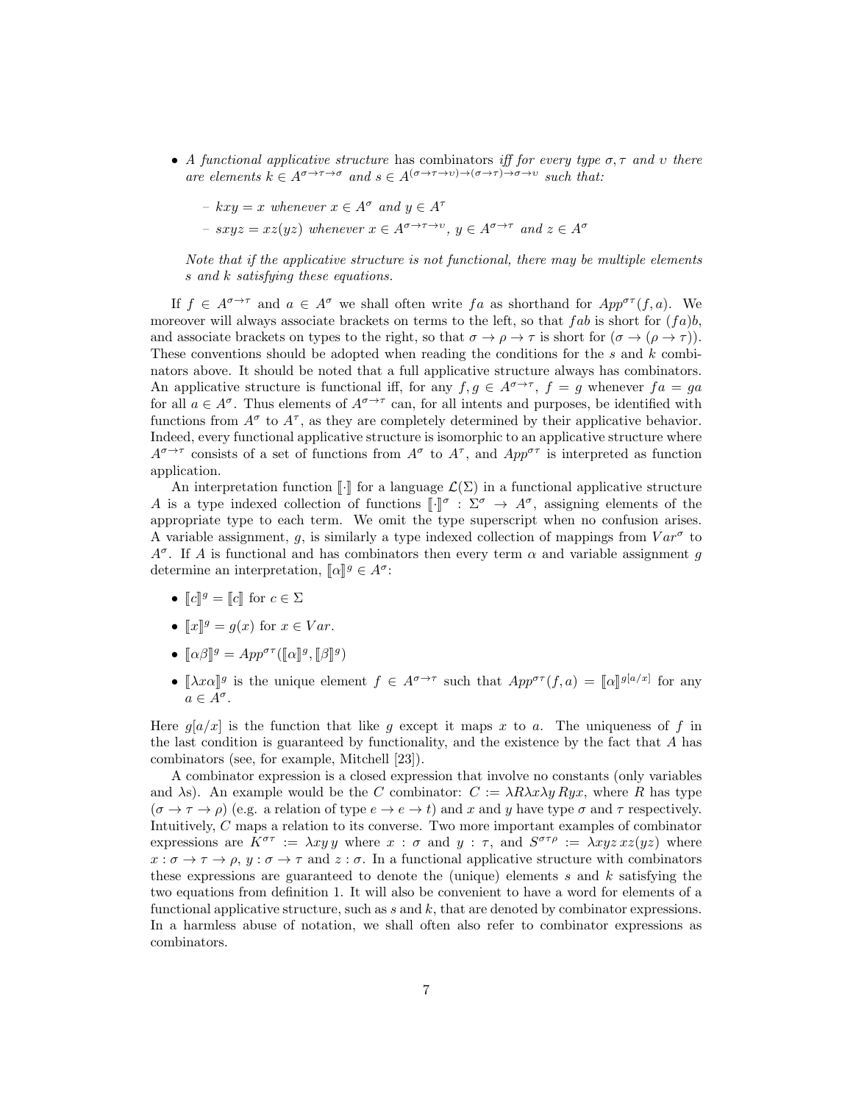- A functional applicative structure has combinators iff for every type  $\sigma$ ,  $\tau$  and  $\upsilon$  there are elements  $k \in A^{\sigma \to \tau \to \sigma}$  and  $s \in A^{(\sigma \to \tau \to \nu) \to (\sigma \to \tau) \to \sigma \to \nu}$  such that:
	- $kxy = x$  whenever  $x \in A^{\sigma}$  and  $y \in A^{\tau}$
	- $sxyz = xz(yz)$  whenever  $x \in A^{\sigma \to \tau \to v}$ ,  $y \in A^{\sigma \to \tau}$  and  $z \in A^{\sigma}$

Note that if the applicative structure is not functional, there may be multiple elements s and k satisfying these equations.

If  $f \in A^{\sigma \to \tau}$  and  $a \in A^{\sigma}$  we shall often write fa as shorthand for  $App^{\sigma \tau}(f, a)$ . We moreover will always associate brackets on terms to the left, so that fab is short for  $(fa)b$ , and associate brackets on types to the right, so that  $\sigma \to \rho \to \tau$  is short for  $(\sigma \to (\rho \to \tau))$ . These conventions should be adopted when reading the conditions for the s and k combinators above. It should be noted that a full applicative structure always has combinators. An applicative structure is functional iff, for any  $f, g \in A^{\sigma \to \tau}$ ,  $f = g$  whenever  $fa = ga$ for all  $a \in A^{\sigma}$ . Thus elements of  $A^{\sigma \to \tau}$  can, for all intents and purposes, be identified with functions from  $A^{\sigma}$  to  $A^{\tau}$ , as they are completely determined by their applicative behavior. Indeed, every functional applicative structure is isomorphic to an applicative structure where  $A^{\sigma \to \tau}$  consists of a set of functions from  $A^{\sigma}$  to  $A^{\tau}$ , and  $App^{\sigma\tau}$  is interpreted as function application.

An interpretation function  $\llbracket \cdot \rrbracket$  for a language  $\mathcal{L}(\Sigma)$  in a functional applicative structure A is a type indexed collection of functions  $\llbracket \cdot \rrbracket^{\sigma} : \Sigma^{\sigma} \to A^{\sigma}$ , assigning elements of the<br>paparconicto type to each term. We omit the type superceptivity when no confusion erioso appropriate type to each term. We omit the type superscript when no confusion arises. A variable assignment, g, is similarly a type indexed collection of mappings from  $Var^{\sigma}$  to  $A^{\sigma}$ . If A is functional and has combinators then every term  $\alpha$  and variable assignment g determine an interpretation,  $[\![\alpha]\!]^g \in A^{\sigma}$ :

- $\llbracket c \rrbracket^g = \llbracket c \rrbracket$  for  $c \in \Sigma$
- $\llbracket x \rrbracket^g = g(x)$  for  $x \in Var$ .
- $[\![\alpha\beta]\!]^g = App^{\sigma\tau}([\![\alpha]\!]^g, [\![\beta]\!]^g)$
- $[\![\lambda x \alpha]\!]^g$  is the unique element  $f \in A^{\sigma \to \tau}$  such that  $App^{\sigma \tau}(f, a) = [\![\alpha]\!]^{g[a/x]}$  for any  $a \in A^{\sigma}$ .

Here  $g[a/x]$  is the function that like g except it maps x to a. The uniqueness of f in the last condition is guaranteed by functionality, and the existence by the fact that  $A$  has combinators (see, for example, Mitchell [23]).

A combinator expression is a closed expression that involve no constants (only variables and  $\lambda$ s). An example would be the C combinator:  $C := \lambda R \lambda x \lambda y R y x$ , where R has type  $(\sigma \to \tau \to \rho)$  (e.g. a relation of type  $e \to e \to t$ ) and x and y have type  $\sigma$  and  $\tau$  respectively. Intuitively, C maps a relation to its converse. Two more important examples of combinator expressions are  $K^{\sigma\tau} := \lambda xy y$  where  $x : \sigma$  and  $y : \tau$ , and  $S^{\sigma\tau\rho} := \lambda xyz x z (yz)$  where  $x : \sigma \to \tau \to \rho$ ,  $y : \sigma \to \tau$  and  $z : \sigma$ . In a functional applicative structure with combinators these expressions are guaranteed to denote the (unique) elements  $s$  and  $k$  satisfying the two equations from definition 1. It will also be convenient to have a word for elements of a functional applicative structure, such as  $s$  and  $k$ , that are denoted by combinator expressions. In a harmless abuse of notation, we shall often also refer to combinator expressions as combinators.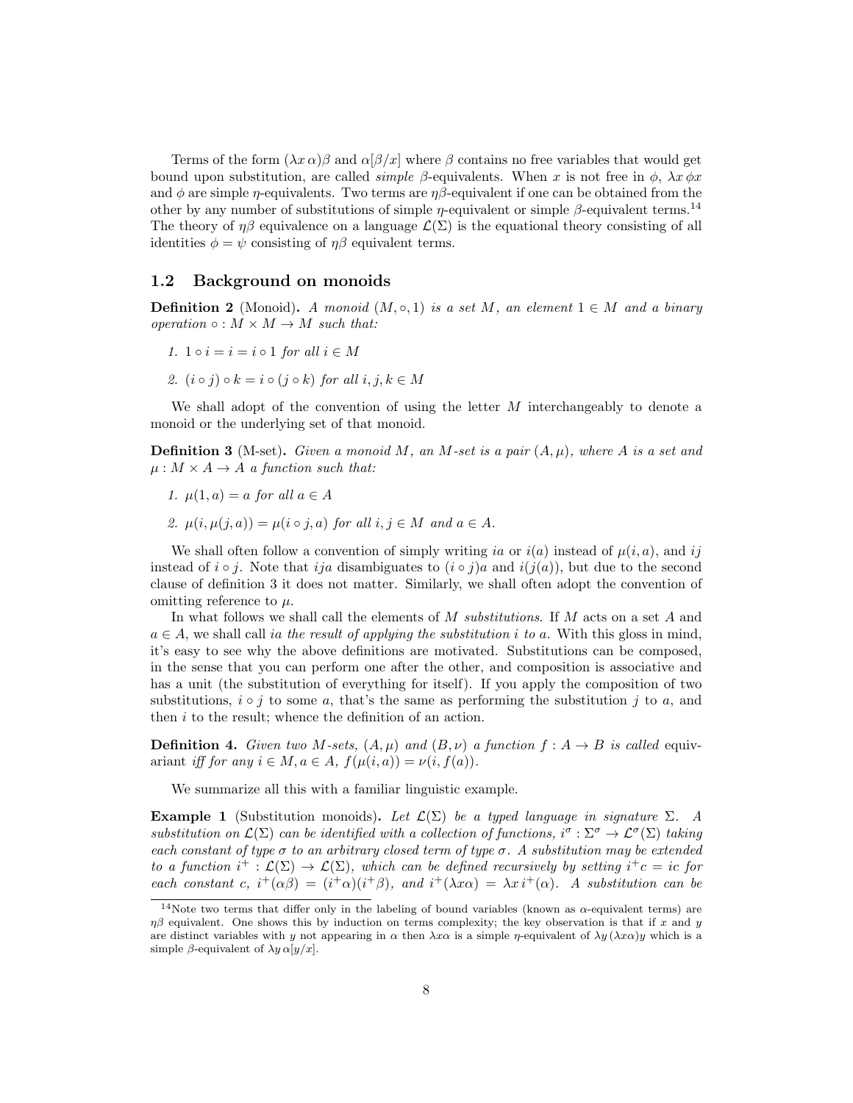Terms of the form  $(\lambda x \alpha)\beta$  and  $\alpha[\beta/x]$  where  $\beta$  contains no free variables that would get bound upon substitution, are called *simple*  $\beta$ -equivalents. When x is not free in  $\phi$ ,  $\lambda x \phi x$ and φ are simple  $\eta$ -equivalents. Two terms are  $\eta\beta$ -equivalent if one can be obtained from the other by any number of substitutions of simple  $\eta$ -equivalent or simple  $\beta$ -equivalent terms.<sup>14</sup> The theory of  $\eta\beta$  equivalence on a language  $\mathcal{L}(\Sigma)$  is the equational theory consisting of all identities  $\phi = \psi$  consisting of  $\eta\beta$  equivalent terms.

### 1.2 Background on monoids

**Definition 2** (Monoid). A monoid  $(M, \circ, 1)$  is a set M, an element  $1 \in M$  and a binary operation  $\circ : M \times M \to M$  such that:

- 1.  $1 \circ i = i = i \circ 1$  for all  $i \in M$
- 2.  $(i \circ j) \circ k = i \circ (j \circ k)$  for all  $i, j, k \in M$

We shall adopt of the convention of using the letter  $M$  interchangeably to denote a monoid or the underlying set of that monoid.

**Definition 3** (M-set). Given a monoid M, an M-set is a pair  $(A, \mu)$ , where A is a set and  $\mu : M \times A \rightarrow A$  a function such that:

- 1.  $\mu(1, a) = a$  for all  $a \in A$
- 2.  $\mu(i, \mu(j, a)) = \mu(i \circ j, a)$  for all  $i, j \in M$  and  $a \in A$ .

We shall often follow a convention of simply writing ia or  $i(a)$  instead of  $\mu(i, a)$ , and ij instead of  $i \circ j$ . Note that ija disambiguates to  $(i \circ j)a$  and  $i(j(a))$ , but due to the second clause of definition 3 it does not matter. Similarly, we shall often adopt the convention of omitting reference to  $\mu$ .

In what follows we shall call the elements of M *substitutions*. If M acts on a set A and  $a \in A$ , we shall call ia the result of applying the substitution i to a. With this gloss in mind, it's easy to see why the above definitions are motivated. Substitutions can be composed, in the sense that you can perform one after the other, and composition is associative and has a unit (the substitution of everything for itself). If you apply the composition of two substitutions,  $i \circ j$  to some a, that's the same as performing the substitution j to a, and then i to the result; whence the definition of an action.

**Definition 4.** Given two M-sets,  $(A, \mu)$  and  $(B, \nu)$  a function  $f : A \rightarrow B$  is called equivariant iff for any  $i \in M$ ,  $a \in A$ ,  $f(\mu(i, a)) = \nu(i, f(a))$ .

We summarize all this with a familiar linguistic example.

Example 1 (Substitution monoids). Let  $\mathcal{L}(\Sigma)$  be a typed language in signature  $\Sigma$ . A substitution on  $\mathcal{L}(\Sigma)$  can be identified with a collection of functions,  $i^{\sigma} : \Sigma^{\sigma} \to \mathcal{L}^{\sigma}(\Sigma)$  taking each constant of type  $\sigma$  to an arbitrary closed term of type  $\sigma$ . A substitution may be extended to a function  $i^+ : \mathcal{L}(\Sigma) \to \mathcal{L}(\Sigma)$ , which can be defined recursively by setting  $i^+c = ic$  for each constant c,  $i^+(\alpha\beta) = (i^+\alpha)(i^+\beta)$ , and  $i^+(\lambda x\alpha) = \lambda x i^+(\alpha)$ . A substitution can be

<sup>&</sup>lt;sup>14</sup>Note two terms that differ only in the labeling of bound variables (known as  $\alpha$ -equivalent terms) are  $\eta\beta$  equivalent. One shows this by induction on terms complexity; the key observation is that if x and y are distinct variables with y not appearing in  $\alpha$  then  $\lambda x \alpha$  is a simple  $\eta$ -equivalent of  $\lambda y (\lambda x \alpha) y$  which is a simple  $\beta$ -equivalent of  $\lambda y \alpha[y/x]$ .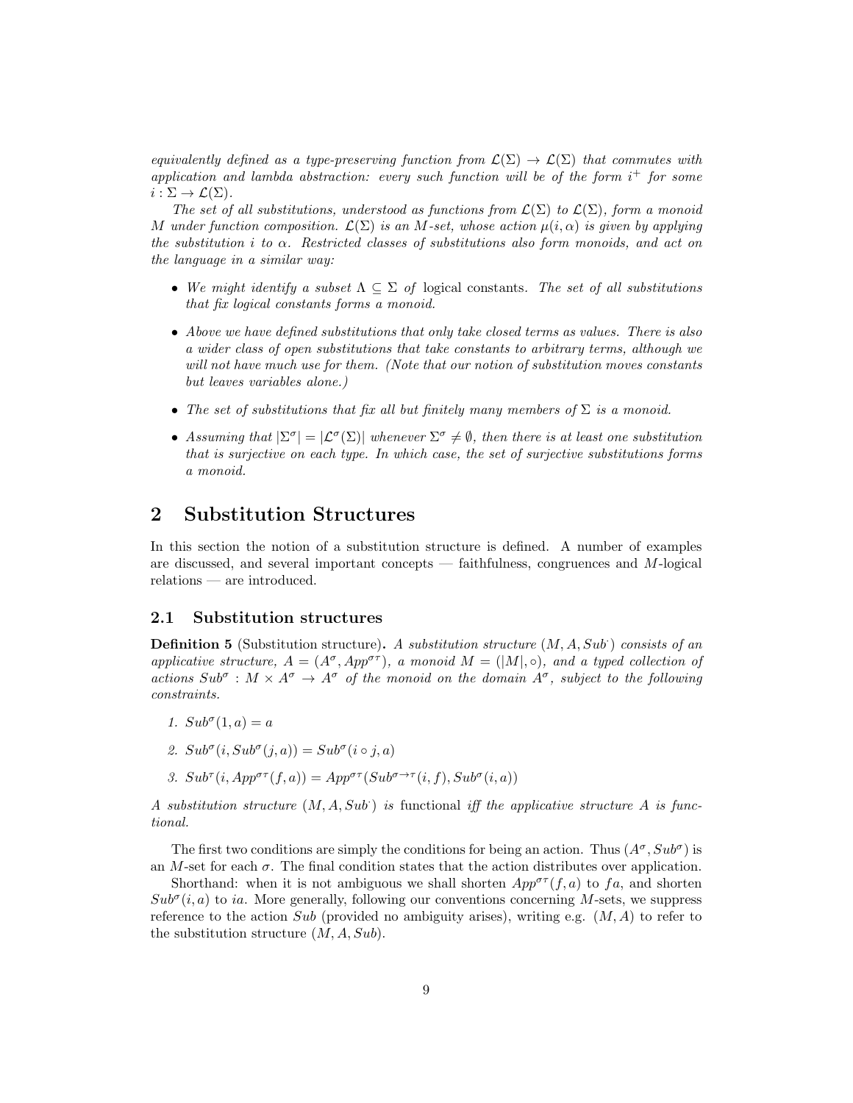equivalently defined as a type-preserving function from  $\mathcal{L}(\Sigma) \to \mathcal{L}(\Sigma)$  that commutes with application and lambda abstraction: every such function will be of the form  $i^+$  for some  $i : \Sigma \to \mathcal{L}(\Sigma).$ 

The set of all substitutions, understood as functions from  $\mathcal{L}(\Sigma)$  to  $\mathcal{L}(\Sigma)$ , form a monoid M under function composition.  $\mathcal{L}(\Sigma)$  is an M-set, whose action  $\mu(i,\alpha)$  is given by applying the substitution i to  $\alpha$ . Restricted classes of substitutions also form monoids, and act on the language in a similar way:

- We might identify a subset  $\Lambda \subseteq \Sigma$  of logical constants. The set of all substitutions that fix logical constants forms a monoid.
- Above we have defined substitutions that only take closed terms as values. There is also a wider class of open substitutions that take constants to arbitrary terms, although we will not have much use for them. (Note that our notion of substitution moves constants but leaves variables alone.)
- The set of substitutions that fix all but finitely many members of  $\Sigma$  is a monoid.
- Assuming that  $|\Sigma^{\sigma}| = |\mathcal{L}^{\sigma}(\Sigma)|$  whenever  $\Sigma^{\sigma} \neq \emptyset$ , then there is at least one substitution that is surjective on each type. In which case, the set of surjective substitutions forms a monoid.

# 2 Substitution Structures

In this section the notion of a substitution structure is defined. A number of examples are discussed, and several important concepts  $-$  faithfulness, congruences and M-logical relations — are introduced.

### 2.1 Substitution structures

**Definition 5** (Substitution structure). A substitution structure  $(M, A, Sub)$  consists of an applicative structure,  $A = (A^{\sigma}, App^{\sigma\tau})$ , a monoid  $M = (|M|, \circ)$ , and a typed collection of actions  $Sub^{\sigma}: M \times A^{\sigma} \to A^{\sigma}$  of the monoid on the domain  $A^{\sigma}$ , subject to the following constraints.

- 1.  $Sub^{\sigma}(1, a) = a$
- 2.  $Sub^{\sigma}(i, Sub^{\sigma}(j, a)) = Sub^{\sigma}(i \circ j, a)$
- 3.  $Sub^{\tau}(i, App^{\sigma\tau}(f,a)) = App^{\sigma\tau}(Sub^{\sigma\rightarrow\tau}(i, f), Sub^{\sigma}(i, a))$

A substitution structure  $(M, A, Sub)$  is functional iff the applicative structure A is functional.

The first two conditions are simply the conditions for being an action. Thus  $(A^{\sigma}, Sub^{\sigma})$  is an M-set for each  $\sigma$ . The final condition states that the action distributes over application.

Shorthand: when it is not ambiguous we shall shorten  $App^{\sigma\tau}(f, a)$  to fa, and shorten  $Sub^{\sigma}(i, a)$  to ia. More generally, following our conventions concerning M-sets, we suppress reference to the action  $Sub$  (provided no ambiguity arises), writing e.g.  $(M, A)$  to refer to the substitution structure  $(M, A, Sub)$ .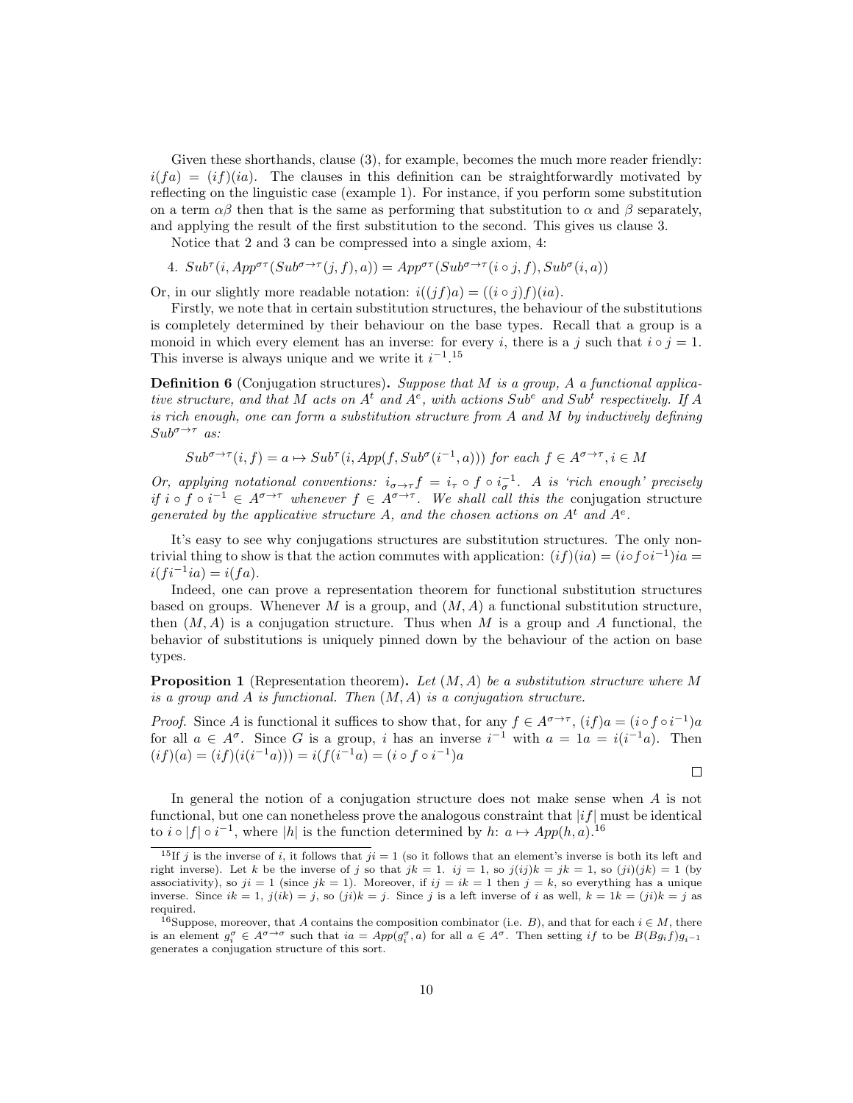Given these shorthands, clause  $(3)$ , for example, becomes the much more reader friendly:  $i(fa) = (if)(ia)$ . The clauses in this definition can be straightforwardly motivated by reflecting on the linguistic case (example 1). For instance, if you perform some substitution on a term  $\alpha\beta$  then that is the same as performing that substitution to  $\alpha$  and  $\beta$  separately, and applying the result of the first substitution to the second. This gives us clause 3.

Notice that 2 and 3 can be compressed into a single axiom, 4:

4.  $Sub^{\tau}(i, App^{\sigma\tau}(Sub^{\sigma\rightarrow\tau}(j, f), a)) = App^{\sigma\tau}(Sub^{\sigma\rightarrow\tau}(i \circ j, f), Sub^{\sigma}(i, a))$ 

Or, in our slightly more readable notation:  $i((j f)a) = ((i \circ j) f)(ia)$ .

Firstly, we note that in certain substitution structures, the behaviour of the substitutions is completely determined by their behaviour on the base types. Recall that a group is a monoid in which every element has an inverse: for every i, there is a j such that  $i \circ j = 1$ . This inverse is always unique and we write it  $i^{-1}$ .<sup>15</sup>

**Definition 6** (Conjugation structures). Suppose that M is a group, A a functional applicative structure, and that M acts on  $A<sup>t</sup>$  and  $A<sup>e</sup>$ , with actions  $Sub<sup>e</sup>$  and  $Sub<sup>t</sup>$  respectively. If A is rich enough, one can form a substitution structure from  $A$  and  $M$  by inductively defining  $Sub^{\sigma \rightarrow \tau}$  as:

$$
Sub^{\sigma \to \tau}(i, f) = a \mapsto Sub^{\tau}(i, App(f, Sub^{\sigma}(i^{-1}, a)))
$$
 for each  $f \in A^{\sigma \to \tau}$ ,  $i \in M$ 

Or, applying notational conventions:  $i_{\sigma \to \tau} f = i_{\tau} \circ f \circ i_{\sigma}^{-1}$ . A is 'rich enough' precisely if i ∘ f ∘ i<sup>-1</sup> ∈  $A^{\sigma\to\tau}$  whenever  $f \in A^{\sigma\to\tau}$ . We shall call this the conjugation structure generated by the applicative structure A, and the chosen actions on  $A<sup>t</sup>$  and  $A<sup>e</sup>$ .

It's easy to see why conjugations structures are substitution structures. The only nontrivial thing to show is that the action commutes with application:  $(if)(ia) = (iofoi^{-1})ia =$  $i(fi^{-1}ia) = i(fa).$ 

Indeed, one can prove a representation theorem for functional substitution structures based on groups. Whenever M is a group, and  $(M, A)$  a functional substitution structure, then  $(M, A)$  is a conjugation structure. Thus when M is a group and A functional, the behavior of substitutions is uniquely pinned down by the behaviour of the action on base types.

**Proposition 1** (Representation theorem). Let  $(M, A)$  be a substitution structure where M is a group and  $A$  is functional. Then  $(M, A)$  is a conjugation structure.

*Proof.* Since A is functional it suffices to show that, for any  $f \in A^{\sigma \to \tau}$ ,  $(if)a = (i \circ f \circ i^{-1})a$ for all  $a \in A^{\sigma}$ . Since G is a group, i has an inverse  $i^{-1}$  with  $a = 1a = i(i^{-1}a)$ . Then  $(i f)(a) = (i f)(i(i^{-1} a))) = i(f(i^{-1} a) = (i \circ f \circ i^{-1}) a$ 

 $\Box$ 

In general the notion of a conjugation structure does not make sense when A is not functional, but one can nonetheless prove the analogous constraint that  $|if|$  must be identical to  $i \circ |f| \circ i^{-1}$ , where |h| is the function determined by h:  $a \mapsto App(h, a)$ .<sup>16</sup>

<sup>&</sup>lt;sup>15</sup>If j is the inverse of i, it follows that  $ji = 1$  (so it follows that an element's inverse is both its left and right inverse). Let k be the inverse of j so that  $jk = 1$ .  $ij = 1$ , so  $j(ijk) = jk = 1$ , so  $(ji)(jk) = 1$  (by associativity), so  $ji = 1$  (since  $jk = 1$ ). Moreover, if  $ij = ik = 1$  then  $j = k$ , so everything has a unique inverse. Since  $ik = 1$ ,  $j(ik) = j$ , so  $(ji)k = j$ . Since j is a left inverse of i as well,  $k = 1k = (ji)k = j$  as required.

<sup>&</sup>lt;sup>16</sup>Suppose, moreover, that A contains the composition combinator (i.e. B), and that for each  $i \in M$ , there is an element  $g_i^{\sigma} \in A^{\sigma \to \sigma}$  such that  $ia = App(g_i^{\sigma}, a)$  for all  $a \in A^{\sigma}$ . Then setting if to be  $B(Bg_i f)g_{i-1}$ generates a conjugation structure of this sort.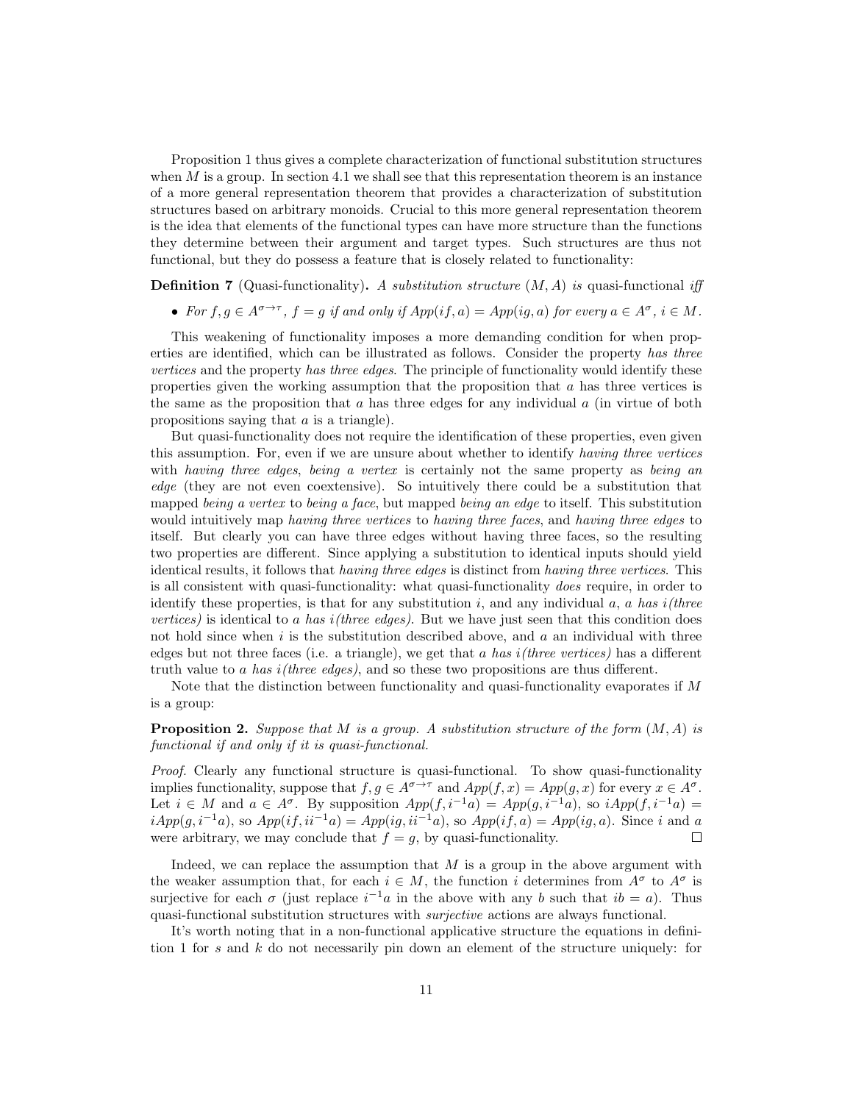Proposition 1 thus gives a complete characterization of functional substitution structures when  $M$  is a group. In section 4.1 we shall see that this representation theorem is an instance of a more general representation theorem that provides a characterization of substitution structures based on arbitrary monoids. Crucial to this more general representation theorem is the idea that elements of the functional types can have more structure than the functions they determine between their argument and target types. Such structures are thus not functional, but they do possess a feature that is closely related to functionality:

**Definition 7** (Quasi-functionality). A substitution structure  $(M, A)$  is quasi-functional iff

• For  $f, g \in A^{\sigma \to \tau}$ ,  $f = g$  if and only if  $App(if, a) = App(ig, a)$  for every  $a \in A^{\sigma}$ ,  $i \in M$ .

This weakening of functionality imposes a more demanding condition for when properties are identified, which can be illustrated as follows. Consider the property has three vertices and the property has three edges. The principle of functionality would identify these properties given the working assumption that the proposition that a has three vertices is the same as the proposition that  $a$  has three edges for any individual  $a$  (in virtue of both propositions saying that a is a triangle).

But quasi-functionality does not require the identification of these properties, even given this assumption. For, even if we are unsure about whether to identify having three vertices with having three edges, being a vertex is certainly not the same property as being an edge (they are not even coextensive). So intuitively there could be a substitution that mapped being a vertex to being a face, but mapped being an edge to itself. This substitution would intuitively map having three vertices to having three faces, and having three edges to itself. But clearly you can have three edges without having three faces, so the resulting two properties are different. Since applying a substitution to identical inputs should yield identical results, it follows that having three edges is distinct from having three vertices. This is all consistent with quasi-functionality: what quasi-functionality does require, in order to identify these properties, is that for any substitution i, and any individual  $a$ ,  $a$  has i(three vertices) is identical to a has  $i$ (three edges). But we have just seen that this condition does not hold since when  $i$  is the substitution described above, and  $a$  an individual with three edges but not three faces (i.e. a triangle), we get that a has  $i$  (three vertices) has a different truth value to a has  $i$ (three edges), and so these two propositions are thus different.

Note that the distinction between functionality and quasi-functionality evaporates if M is a group:

**Proposition 2.** Suppose that M is a group. A substitution structure of the form  $(M, A)$  is functional if and only if it is quasi-functional.

Proof. Clearly any functional structure is quasi-functional. To show quasi-functionality implies functionality, suppose that  $f, g \in A^{\sigma \to \tau}$  and  $App(f, x) = App(g, x)$  for every  $x \in A^{\sigma}$ . Let  $i \in M$  and  $a \in A^{\sigma}$ . By supposition  $App(f, i^{-1}a) = App(g, i^{-1}a)$ , so  $iApp(f, i^{-1}a) =$  $iApp(g, i^{-1}a)$ , so  $App(if, ii^{-1}a) = App(ig, ii^{-1}a)$ , so  $App(if, a) = App(ig, a)$ . Since i and a were arbitrary, we may conclude that  $f = q$ , by quasi-functionality. □

Indeed, we can replace the assumption that  $M$  is a group in the above argument with the weaker assumption that, for each  $i \in M$ , the function i determines from  $A^{\sigma}$  to  $A^{\sigma}$  is surjective for each  $\sigma$  (just replace  $i^{-1}a$  in the above with any b such that  $ib = a$ ). Thus quasi-functional substitution structures with surjective actions are always functional.

It's worth noting that in a non-functional applicative structure the equations in definition 1 for s and k do not necessarily pin down an element of the structure uniquely: for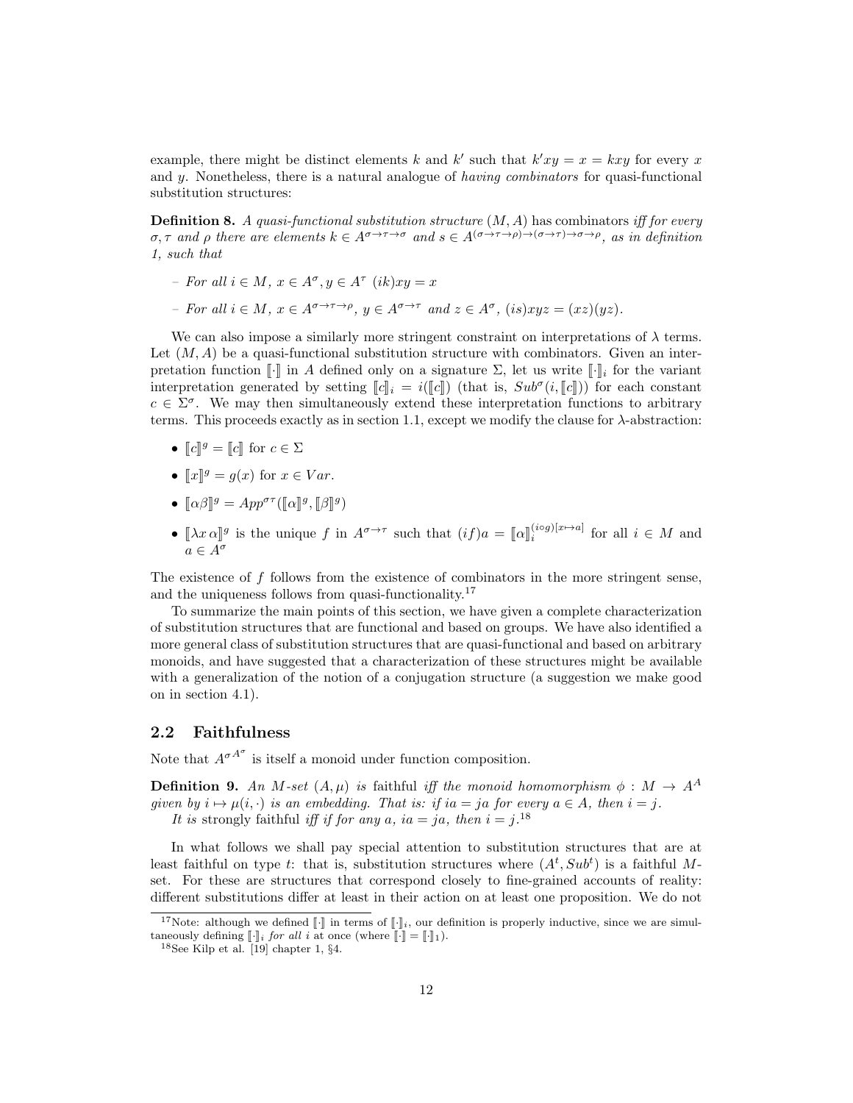example, there might be distinct elements k and k' such that  $k'xy = x = kxy$  for every x and y. Nonetheless, there is a natural analogue of *having combinators* for quasi-functional substitution structures:

**Definition 8.** A quasi-functional substitution structure  $(M, A)$  has combinators iff for every  $\sigma, \tau$  and  $\rho$  there are elements  $k \in A^{\sigma \to \tau \to \sigma}$  and  $s \in A^{(\sigma \to \tau \to \rho) \to (\sigma \to \tau) \to \sigma \to \rho}$ , as in definition 1, such that

- $-$  For all  $i \in M$ ,  $x \in A^{\sigma}, y \in A^{\tau}$   $(ik)xy = x$
- For all  $i \in M$ ,  $x \in A^{\sigma \to \tau \to \rho}$ ,  $y \in A^{\sigma \to \tau}$  and  $z \in A^{\sigma}$ ,  $(is)xyz = (xz)(yz)$ .

We can also impose a similarly more stringent constraint on interpretations of  $\lambda$  terms. Let  $(M, A)$  be a quasi-functional substitution structure with combinators. Given an interpretation function  $\llbracket \cdot \rrbracket$  in A defined only on a signature  $\Sigma$ , let us write  $\llbracket \cdot \rrbracket_i$  for the variant interpretation generated by setting  $[\![c]\!]_i = i([\![c]\!]_i)$  (that is,  $Sub^{\sigma}(i, [\![c]\!])$ ) for each constant  $c \in \Sigma^{\sigma}$ . We may then simultaneously extend these interpretation functions to arbitrary terms. This proceeds exactly as in section 1.1, except we modify the clause for  $\lambda$ -abstraction:

- $\llbracket c \rrbracket^g = \llbracket c \rrbracket$  for  $c \in \Sigma$
- $\llbracket x \rrbracket^g = g(x)$  for  $x \in Var$ .
- $[\![\alpha\beta]\!]^g = App^{\sigma\tau}([\![\alpha]\!]^g, [\![\beta]\!]^g)$
- $[\![\lambda x \, \alpha]\!]^g$  is the unique f in  $A^{\sigma \to \tau}$  such that  $(i f) a = [\![\alpha]\!]_i^{(i \circ g)[x \mapsto a]}$  for all  $i \in M$  and  $a \in A^{\sigma}$

The existence of  $f$  follows from the existence of combinators in the more stringent sense, and the uniqueness follows from quasi-functionality.<sup>17</sup>

To summarize the main points of this section, we have given a complete characterization of substitution structures that are functional and based on groups. We have also identified a more general class of substitution structures that are quasi-functional and based on arbitrary monoids, and have suggested that a characterization of these structures might be available with a generalization of the notion of a conjugation structure (a suggestion we make good on in section 4.1).

### 2.2 Faithfulness

Note that  $A^{\sigma A^{\sigma}}$  is itself a monoid under function composition.

**Definition 9.** An M-set  $(A, \mu)$  is faithful iff the monoid homomorphism  $\phi : M \to A^A$ given by  $i \mapsto \mu(i, \cdot)$  is an embedding. That is: if ia = ja for every  $a \in A$ , then  $i = j$ . It is strongly faithful iff if for any a, ia = ja, then  $i = j$ .<sup>18</sup>

In what follows we shall pay special attention to substitution structures that are at least faithful on type t: that is, substitution structures where  $(A^t, Sub^t)$  is a faithful Mset. For these are structures that correspond closely to fine-grained accounts of reality: different substitutions differ at least in their action on at least one proposition. We do not

<sup>&</sup>lt;sup>17</sup>Note: although we defined  $\llbracket \cdot \rrbracket$  in terms of  $\llbracket \cdot \rrbracket_i$ , our definition is properly inductive, since we are simultaneously defining  $\llbracket \cdot \rrbracket_i$  for all i at once (where  $\llbracket \cdot \rrbracket = \llbracket \cdot \rrbracket_1$ ).

 $18$ See Kilp et al. [19] chapter 1,  $\S 4$ .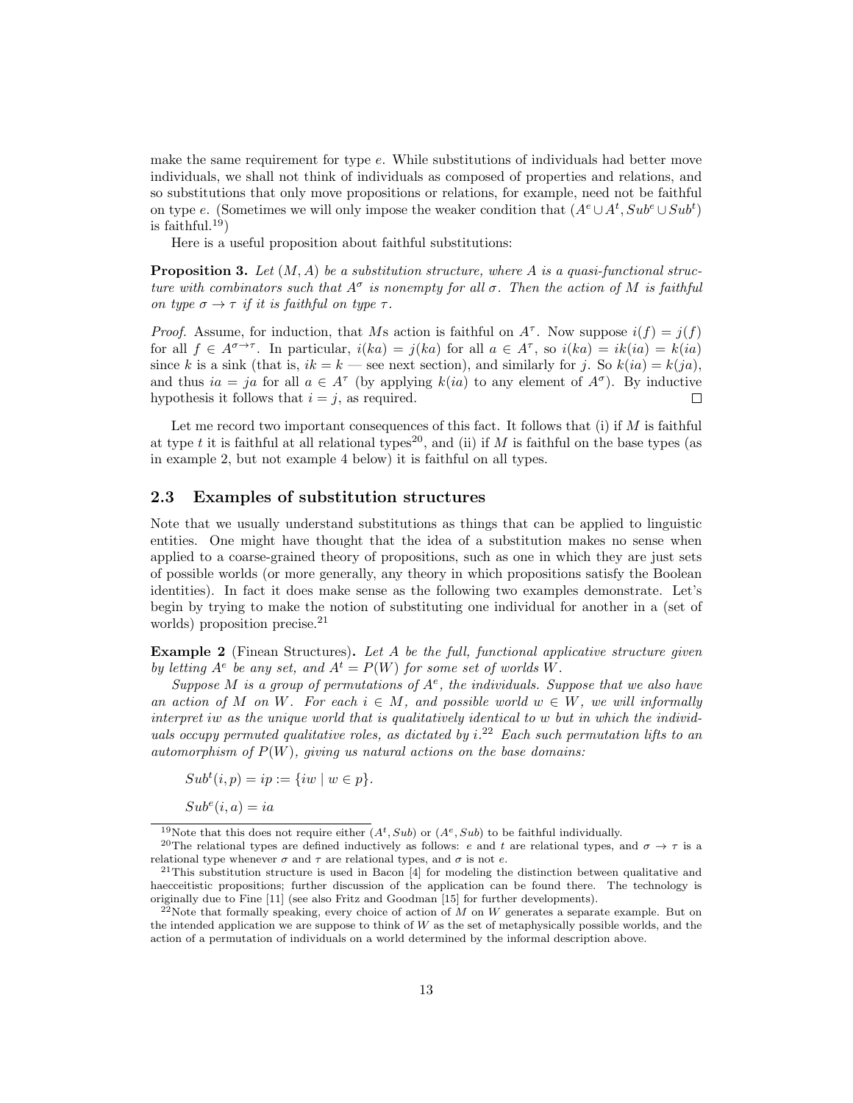make the same requirement for type  $e$ . While substitutions of individuals had better move individuals, we shall not think of individuals as composed of properties and relations, and so substitutions that only move propositions or relations, for example, need not be faithful on type e. (Sometimes we will only impose the weaker condition that  $(A^e \cup A^t, Sub^e \cup Sub^t)$ is faithful.<sup>19</sup>)

Here is a useful proposition about faithful substitutions:

**Proposition 3.** Let  $(M, A)$  be a substitution structure, where A is a quasi-functional structure with combinators such that  $A^{\sigma}$  is nonempty for all  $\sigma$ . Then the action of M is faithful on type  $\sigma \rightarrow \tau$  if it is faithful on type  $\tau$ .

*Proof.* Assume, for induction, that Ms action is faithful on  $A^{\tau}$ . Now suppose  $i(f) = j(f)$ for all  $f \in A^{\sigma \to \tau}$ . In particular,  $i(ka) = j(ka)$  for all  $a \in A^{\tau}$ , so  $i(ka) = ik(ia) = k(ia)$ since k is a sink (that is,  $ik = k$  — see next section), and similarly for j. So  $k(ia) = k(ja)$ , and thus  $ia = ja$  for all  $a \in A^{\tau}$  (by applying  $k(ia)$  to any element of  $A^{\sigma}$ ). By inductive hypothesis it follows that  $i = j$ , as required. П

Let me record two important consequences of this fact. It follows that (i) if  $M$  is faithful at type t it is faithful at all relational types<sup>20</sup>, and (ii) if M is faithful on the base types (as in example 2, but not example 4 below) it is faithful on all types.

### 2.3 Examples of substitution structures

Note that we usually understand substitutions as things that can be applied to linguistic entities. One might have thought that the idea of a substitution makes no sense when applied to a coarse-grained theory of propositions, such as one in which they are just sets of possible worlds (or more generally, any theory in which propositions satisfy the Boolean identities). In fact it does make sense as the following two examples demonstrate. Let's begin by trying to make the notion of substituting one individual for another in a (set of worlds) proposition precise.<sup>21</sup>

**Example 2** (Finean Structures). Let A be the full, functional applicative structure given by letting  $A^e$  be any set, and  $A^t = P(W)$  for some set of worlds W.

Suppose M is a group of permutations of  $A^e$ , the individuals. Suppose that we also have an action of M on W. For each  $i \in M$ , and possible world  $w \in W$ , we will informally interpret iw as the unique world that is qualitatively identical to w but in which the individuals occupy permuted qualitative roles, as dictated by  $i^{22}$  Each such permutation lifts to an automorphism of  $P(W)$ , giving us natural actions on the base domains:

 $Sub<sup>t</sup>(i, p) = ip := \{iw \mid w \in p\}.$ 

 $Sub<sup>e</sup>(i, a) = ia$ 

<sup>&</sup>lt;sup>19</sup>Note that this does not require either  $(A<sup>t</sup>, Sub)$  or  $(A<sup>e</sup>, Sub)$  to be faithful individually.

<sup>&</sup>lt;sup>20</sup>The relational types are defined inductively as follows: e and t are relational types, and  $\sigma \to \tau$  is a relational type whenever  $\sigma$  and  $\tau$  are relational types, and  $\sigma$  is not e.

<sup>21</sup>This substitution structure is used in Bacon [4] for modeling the distinction between qualitative and haecceitistic propositions; further discussion of the application can be found there. The technology is originally due to Fine [11] (see also Fritz and Goodman [15] for further developments).

<sup>&</sup>lt;sup>22</sup>Note that formally speaking, every choice of action of M on W generates a separate example. But on the intended application we are suppose to think of W as the set of metaphysically possible worlds, and the action of a permutation of individuals on a world determined by the informal description above.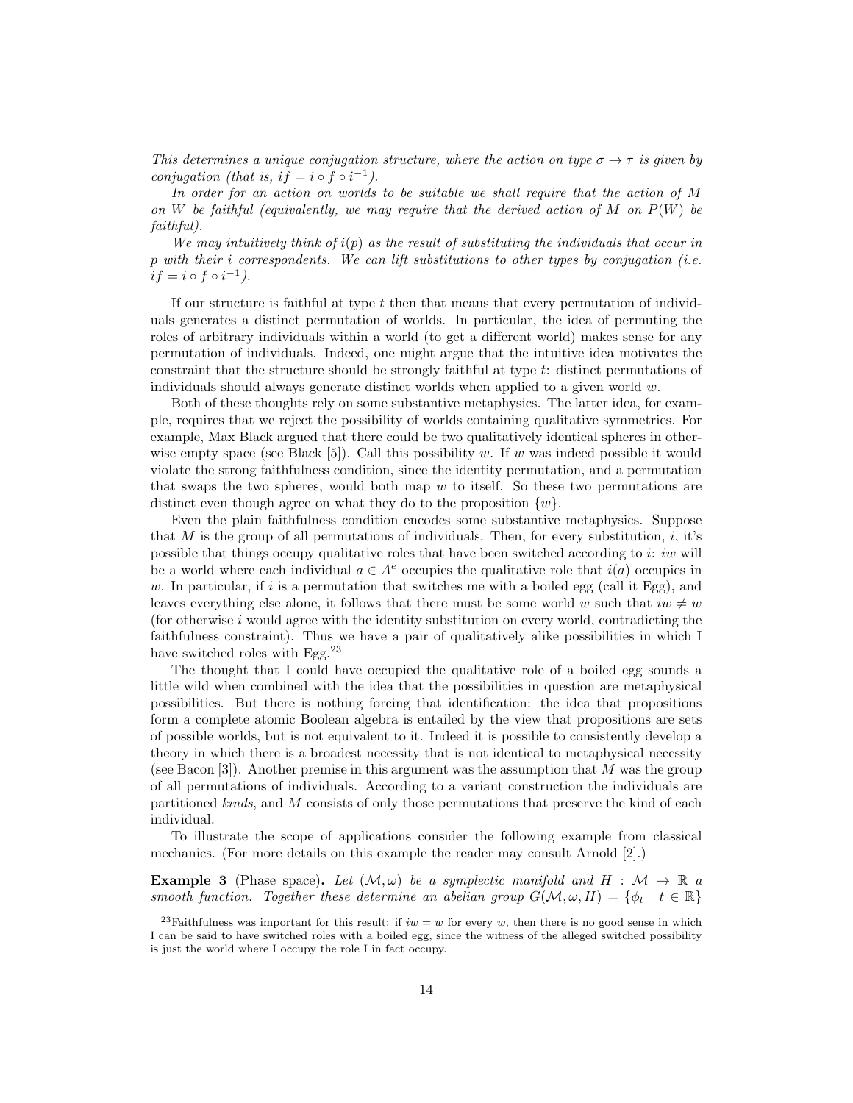This determines a unique conjugation structure, where the action on type  $\sigma \to \tau$  is given by conjugation (that is, if = i  $\circ$  f  $\circ$  i<sup>-1</sup>).

In order for an action on worlds to be suitable we shall require that the action of M on W be faithful (equivalently, we may require that the derived action of M on  $P(W)$  be faithful).

We may intuitively think of  $i(p)$  as the result of substituting the individuals that occur in p with their i correspondents. We can lift substitutions to other types by conjugation (i.e.  $if = i \circ f \circ i^{-1}.$ 

If our structure is faithful at type t then that means that every permutation of individuals generates a distinct permutation of worlds. In particular, the idea of permuting the roles of arbitrary individuals within a world (to get a different world) makes sense for any permutation of individuals. Indeed, one might argue that the intuitive idea motivates the constraint that the structure should be strongly faithful at type t: distinct permutations of individuals should always generate distinct worlds when applied to a given world  $w$ .

Both of these thoughts rely on some substantive metaphysics. The latter idea, for example, requires that we reject the possibility of worlds containing qualitative symmetries. For example, Max Black argued that there could be two qualitatively identical spheres in otherwise empty space (see Black [5]). Call this possibility w. If w was indeed possible it would violate the strong faithfulness condition, since the identity permutation, and a permutation that swaps the two spheres, would both map  $w$  to itself. So these two permutations are distinct even though agree on what they do to the proposition  $\{w\}$ .

Even the plain faithfulness condition encodes some substantive metaphysics. Suppose that M is the group of all permutations of individuals. Then, for every substitution,  $i$ , it's possible that things occupy qualitative roles that have been switched according to i: iw will be a world where each individual  $a \in A^e$  occupies the qualitative role that  $i(a)$  occupies in w. In particular, if i is a permutation that switches me with a boiled egg (call it Egg), and leaves everything else alone, it follows that there must be some world w such that  $iw \neq w$ (for otherwise  $i$  would agree with the identity substitution on every world, contradicting the faithfulness constraint). Thus we have a pair of qualitatively alike possibilities in which I have switched roles with Egg.  $^{23}$ 

The thought that I could have occupied the qualitative role of a boiled egg sounds a little wild when combined with the idea that the possibilities in question are metaphysical possibilities. But there is nothing forcing that identification: the idea that propositions form a complete atomic Boolean algebra is entailed by the view that propositions are sets of possible worlds, but is not equivalent to it. Indeed it is possible to consistently develop a theory in which there is a broadest necessity that is not identical to metaphysical necessity (see Bacon  $[3]$ ). Another premise in this argument was the assumption that M was the group of all permutations of individuals. According to a variant construction the individuals are partitioned kinds, and M consists of only those permutations that preserve the kind of each individual.

To illustrate the scope of applications consider the following example from classical mechanics. (For more details on this example the reader may consult Arnold [2].)

**Example 3** (Phase space). Let  $(M, \omega)$  be a symplectic manifold and H :  $M \to \mathbb{R}$  a smooth function. Together these determine an abelian group  $G(\mathcal{M}, \omega, H) = \{ \phi_t \mid t \in \mathbb{R} \}$ 

<sup>&</sup>lt;sup>23</sup>Faithfulness was important for this result: if  $iw = w$  for every w, then there is no good sense in which I can be said to have switched roles with a boiled egg, since the witness of the alleged switched possibility is just the world where I occupy the role I in fact occupy.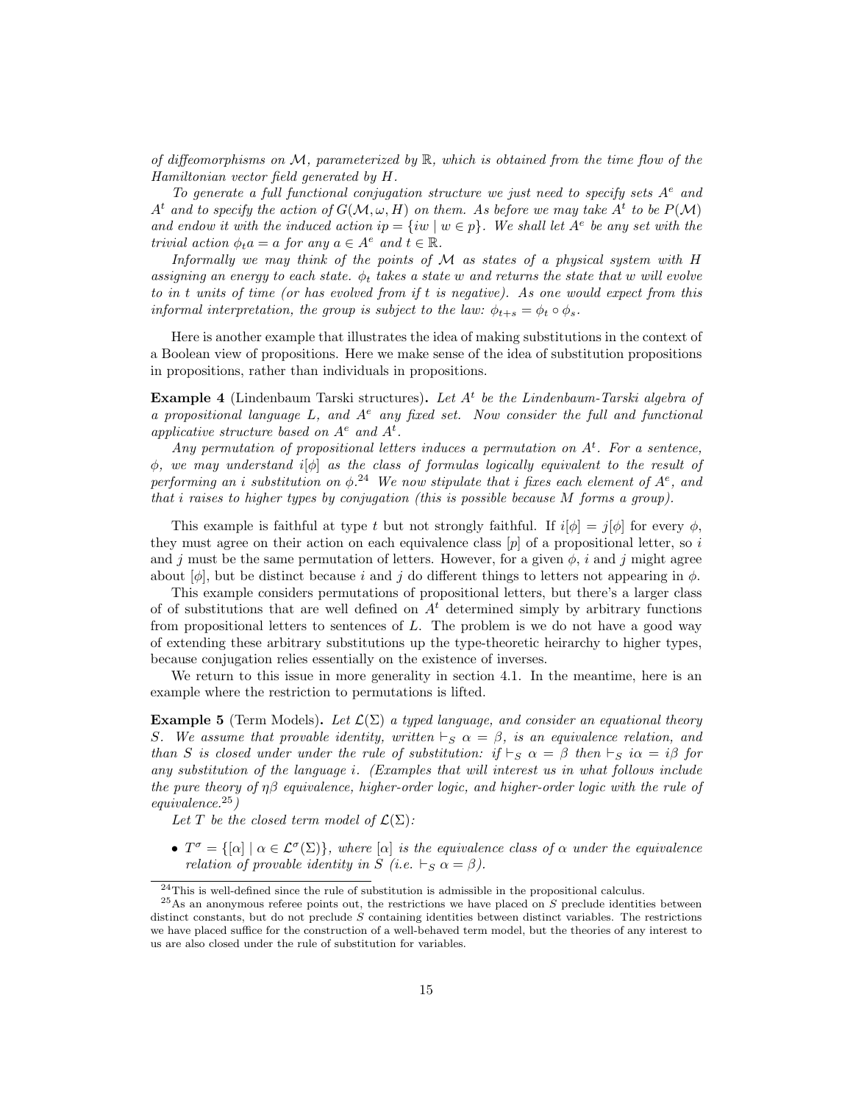of diffeomorphisms on  $\mathcal M$ , parameterized by  $\mathbb R$ , which is obtained from the time flow of the Hamiltonian vector field generated by H.

To generate a full functional conjugation structure we just need to specify sets  $A^e$  and  $A<sup>t</sup>$  and to specify the action of  $G(M, \omega, H)$  on them. As before we may take  $A<sup>t</sup>$  to be  $P(M)$ and endow it with the induced action  $ip = \{iw \mid w \in p\}$ . We shall let  $A^e$  be any set with the trivial action  $\phi_t a = a$  for any  $a \in A^e$  and  $t \in \mathbb{R}$ .

Informally we may think of the points of  $\mathcal M$  as states of a physical system with H assigning an energy to each state.  $\phi_t$  takes a state w and returns the state that w will evolve to in t units of time (or has evolved from if t is negative). As one would expect from this informal interpretation, the group is subject to the law:  $\phi_{t+s} = \phi_t \circ \phi_s$ .

Here is another example that illustrates the idea of making substitutions in the context of a Boolean view of propositions. Here we make sense of the idea of substitution propositions in propositions, rather than individuals in propositions.

**Example 4** (Lindenbaum Tarski structures). Let  $A<sup>t</sup>$  be the Lindenbaum-Tarski algebra of a propositional language L, and  $A^e$  any fixed set. Now consider the full and functional applicative structure based on  $A^e$  and  $A^t$ .

Any permutation of propositional letters induces a permutation on  $A<sup>t</sup>$ . For a sentence,  $\phi$ , we may understand i( $\phi$ ) as the class of formulas logically equivalent to the result of performing an i substitution on  $\phi$ .<sup>24</sup> We now stipulate that i fixes each element of  $A^e$ , and that i raises to higher types by conjugation (this is possible because M forms a group).

This example is faithful at type t but not strongly faithful. If  $i[\phi] = j[\phi]$  for every  $\phi$ , they must agree on their action on each equivalence class  $[p]$  of a propositional letter, so i and j must be the same permutation of letters. However, for a given  $\phi$ , i and j might agree about  $[\phi]$ , but be distinct because i and j do different things to letters not appearing in  $\phi$ .

This example considers permutations of propositional letters, but there's a larger class of of substitutions that are well defined on  $A<sup>t</sup>$  determined simply by arbitrary functions from propositional letters to sentences of L. The problem is we do not have a good way of extending these arbitrary substitutions up the type-theoretic heirarchy to higher types, because conjugation relies essentially on the existence of inverses.

We return to this issue in more generality in section 4.1. In the meantime, here is an example where the restriction to permutations is lifted.

**Example 5** (Term Models). Let  $\mathcal{L}(\Sigma)$  a typed language, and consider an equational theory S. We assume that provable identity, written  $\vdash_S \alpha = \beta$ , is an equivalence relation, and than S is closed under under the rule of substitution: if  $\vdash_S \alpha = \beta$  then  $\vdash_S i\alpha = i\beta$  for any substitution of the language i. (Examples that will interest us in what follows include the pure theory of  $\eta\beta$  equivalence, higher-order logic, and higher-order logic with the rule of equivalence.<sup>25</sup>)

Let T be the closed term model of  $\mathcal{L}(\Sigma)$ :

•  $T^{\sigma} = \{[\alpha] \mid \alpha \in \mathcal{L}^{\sigma}(\Sigma)\},\$  where  $[\alpha]$  is the equivalence class of  $\alpha$  under the equivalence relation of provable identity in S (i.e.  $\vdash_S \alpha = \beta$ ).

 $24$ This is well-defined since the rule of substitution is admissible in the propositional calculus.

 $^{25}$ As an anonymous referee points out, the restrictions we have placed on S preclude identities between distinct constants, but do not preclude S containing identities between distinct variables. The restrictions we have placed suffice for the construction of a well-behaved term model, but the theories of any interest to us are also closed under the rule of substitution for variables.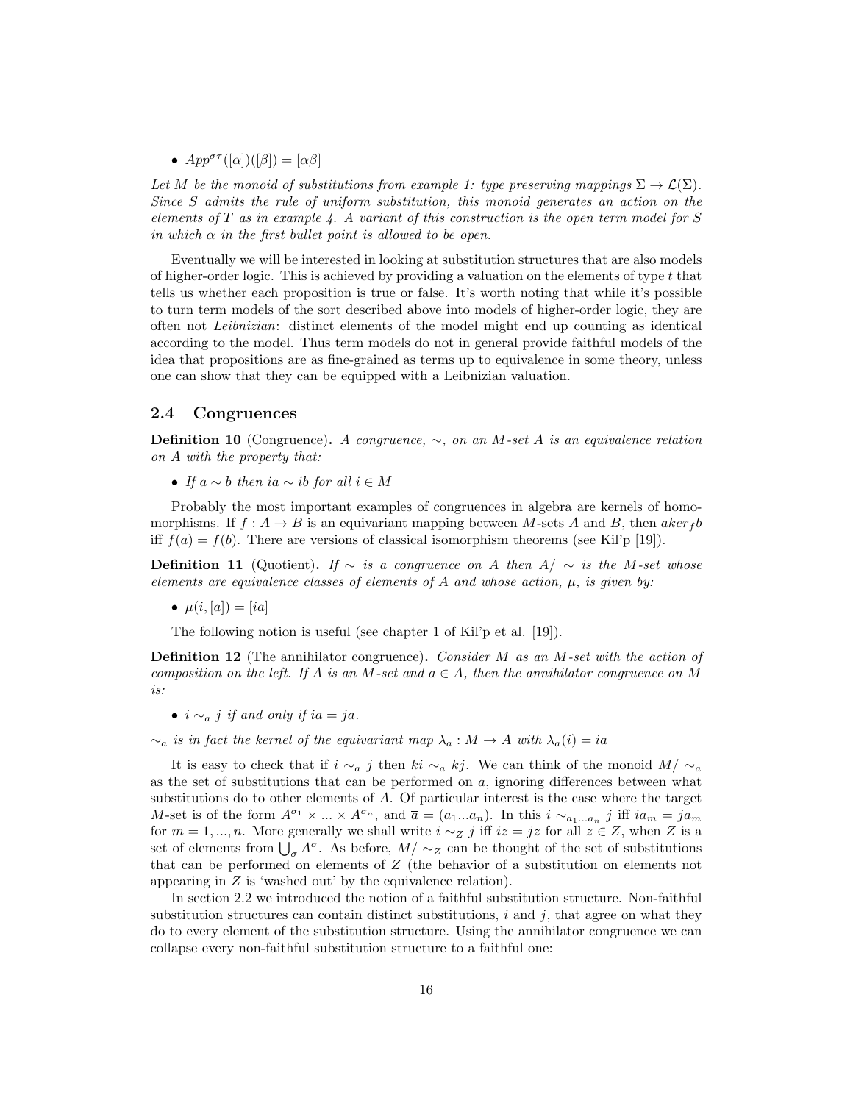•  $App^{\sigma\tau}([\alpha])([\beta]) = [\alpha\beta]$ 

Let M be the monoid of substitutions from example 1: type preserving mappings  $\Sigma \to \mathcal{L}(\Sigma)$ . Since S admits the rule of uniform substitution, this monoid generates an action on the elements of T as in example  $\lambda$ . A variant of this construction is the open term model for S in which  $\alpha$  in the first bullet point is allowed to be open.

Eventually we will be interested in looking at substitution structures that are also models of higher-order logic. This is achieved by providing a valuation on the elements of type t that tells us whether each proposition is true or false. It's worth noting that while it's possible to turn term models of the sort described above into models of higher-order logic, they are often not Leibnizian: distinct elements of the model might end up counting as identical according to the model. Thus term models do not in general provide faithful models of the idea that propositions are as fine-grained as terms up to equivalence in some theory, unless one can show that they can be equipped with a Leibnizian valuation.

### 2.4 Congruences

**Definition 10** (Congruence). A congruence,  $\sim$ , on an M-set A is an equivalence relation on A with the property that:

• If  $a \sim b$  then i $a \sim ib$  for all  $i \in M$ 

Probably the most important examples of congruences in algebra are kernels of homomorphisms. If  $f: A \rightarrow B$  is an equivariant mapping between M-sets A and B, then  $aker_f b$ iff  $f(a) = f(b)$ . There are versions of classical isomorphism theorems (see Kil'p [19]).

**Definition 11** (Quotient). If  $\sim$  is a congruence on A then  $A/\sim$  is the M-set whose elements are equivalence classes of elements of  $A$  and whose action,  $\mu$ , is given by:

•  $\mu(i, [a]) = [ia]$ 

The following notion is useful (see chapter 1 of Kil'p et al. [19]).

**Definition 12** (The annihilator congruence). Consider  $M$  as an  $M$ -set with the action of composition on the left. If A is an M-set and  $a \in A$ , then the annihilator congruence on M is:

•  $i \sim_a i$  if and only if  $ia = ja$ .

 $\sim_a$  is in fact the kernel of the equivariant map  $\lambda_a : M \to A$  with  $\lambda_a(i) = ia$ 

It is easy to check that if  $i \sim_a j$  then ki  $\sim_a kj$ . We can think of the monoid  $M/\sim_a$ as the set of substitutions that can be performed on  $a$ , ignoring differences between what substitutions do to other elements of A. Of particular interest is the case where the target M-set is of the form  $A^{\sigma_1} \times ... \times A^{\sigma_n}$ , and  $\bar{a} = (a_1...a_n)$ . In this  $i \sim_{a_1...a_n} j$  iff  $ia_m = ja_m$ for  $m = 1, ..., n$ . More generally we shall write  $i \sim z$  j iff  $iz = jz$  for all  $z \in Z$ , when Z is a set of elements from  $\bigcup_{\sigma} A^{\sigma}$ . As before,  $M/\sim_Z$  can be thought of the set of substitutions that can be performed on elements of Z (the behavior of a substitution on elements not appearing in Z is 'washed out' by the equivalence relation).

In section 2.2 we introduced the notion of a faithful substitution structure. Non-faithful substitution structures can contain distinct substitutions,  $i$  and  $j$ , that agree on what they do to every element of the substitution structure. Using the annihilator congruence we can collapse every non-faithful substitution structure to a faithful one: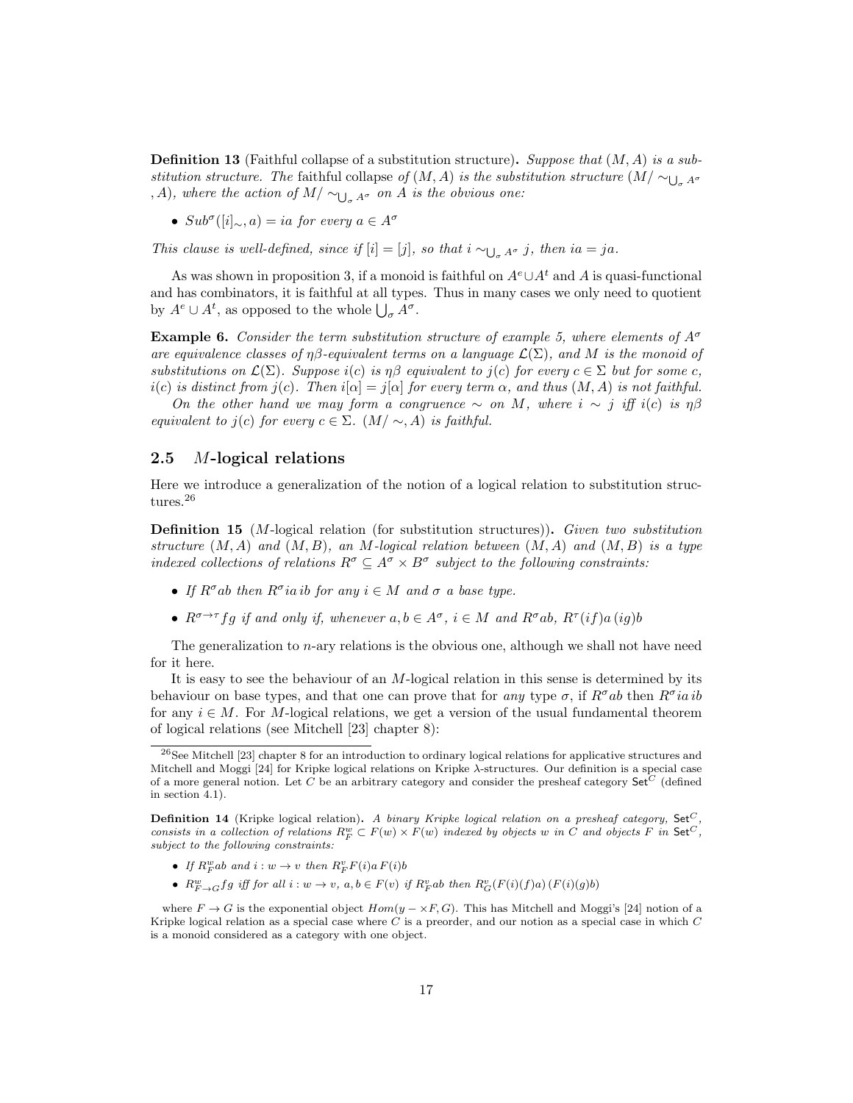**Definition 13** (Faithful collapse of a substitution structure). Suppose that  $(M, A)$  is a substitution structure. The faithful collapse of  $(M, A)$  is the substitution structure  $(M / \sim_{\bigcup_{\sigma} A^{\sigma}})$ , A), where the action of  $M/\sim_{\bigcup_{\sigma} A^{\sigma}}$  on A is the obvious one:

•  $Sub^{\sigma}([i]_{\infty}, a) = ia$  for every  $a \in A^{\sigma}$ 

This clause is well-defined, since if  $[i] = [j]$ , so that  $i \sim_{\bigcup_{\sigma} A^{\sigma}} j$ , then  $ia = ja$ .

As was shown in proposition 3, if a monoid is faithful on  $A^e \cup A^t$  and A is quasi-functional and has combinators, it is faithful at all types. Thus in many cases we only need to quotient by  $A^e \cup A^t$ , as opposed to the whole  $\bigcup_{\sigma} A^{\sigma}$ .

**Example 6.** Consider the term substitution structure of example 5, where elements of  $A^{\sigma}$ are equivalence classes of  $n\beta$ -equivalent terms on a language  $\mathcal{L}(\Sigma)$ , and M is the monoid of substitutions on  $\mathcal{L}(\Sigma)$ . Suppose i(c) is  $\eta\beta$  equivalent to j(c) for every  $c \in \Sigma$  but for some c, i(c) is distinct from j(c). Then  $i[\alpha] = j[\alpha]$  for every term  $\alpha$ , and thus  $(M, A)$  is not faithful.

On the other hand we may form a congruence  $\sim$  on M, where  $i \sim j$  iff i(c) is  $\eta\beta$ equivalent to j(c) for every  $c \in \Sigma$ . (M/  $\sim$ , A) is faithful.

### 2.5 M-logical relations

Here we introduce a generalization of the notion of a logical relation to substitution structures.<sup>26</sup>

Definition 15 (M-logical relation (for substitution structures)). Given two substitution structure  $(M, A)$  and  $(M, B)$ , an M-logical relation between  $(M, A)$  and  $(M, B)$  is a type indexed collections of relations  $R^{\sigma} \subseteq A^{\sigma} \times B^{\sigma}$  subject to the following constraints:

- If  $R^{\sigma}$ ab then  $R^{\sigma}$ ia ib for any  $i \in M$  and  $\sigma$  a base type.
- $R^{\sigma \to \tau} f g$  if and only if, whenever  $a, b \in A^{\sigma}$ ,  $i \in M$  and  $R^{\sigma} ab$ ,  $R^{\tau}(i f) a (i g) b$

The generalization to  $n$ -ary relations is the obvious one, although we shall not have need for it here.

It is easy to see the behaviour of an M-logical relation in this sense is determined by its behaviour on base types, and that one can prove that for any type  $\sigma$ , if  $R^{\sigma}ab$  then  $R^{\sigma}ia ib$ for any  $i \in M$ . For M-logical relations, we get a version of the usual fundamental theorem of logical relations (see Mitchell [23] chapter 8):

- If  $R_F^w$ ab and  $i:w \to v$  then  $R_F^v F(i)a F(i)b$
- $R_{F\rightarrow G}^{w}fg$  iff for all  $i:w\rightarrow v$ ,  $a,b\in F(v)$  if  $R_{F}^{v}ab$  then  $R_{G}^{v}(F(i)(f)a)(F(i)(g)b)$

where  $F \to G$  is the exponential object  $Hom(y - \times F, G)$ . This has Mitchell and Moggi's [24] notion of a Kripke logical relation as a special case where  $C$  is a preorder, and our notion as a special case in which  $C$ is a monoid considered as a category with one object.

<sup>26</sup>See Mitchell [23] chapter 8 for an introduction to ordinary logical relations for applicative structures and Mitchell and Moggi [24] for Kripke logical relations on Kripke λ-structures. Our definition is a special case of a more general notion. Let C be an arbitrary category and consider the presheaf category  $\mathsf{Set}^C$  (defined in section 4.1).

**Definition 14** (Kripke logical relation). A binary Kripke logical relation on a presheaf category, Set<sup>C</sup> consists in a collection of relations  $R_F^w \subset F(w) \times F(w)$  indexed by objects w in C and objects F in Set<sup>C</sup>, subject to the following constraints: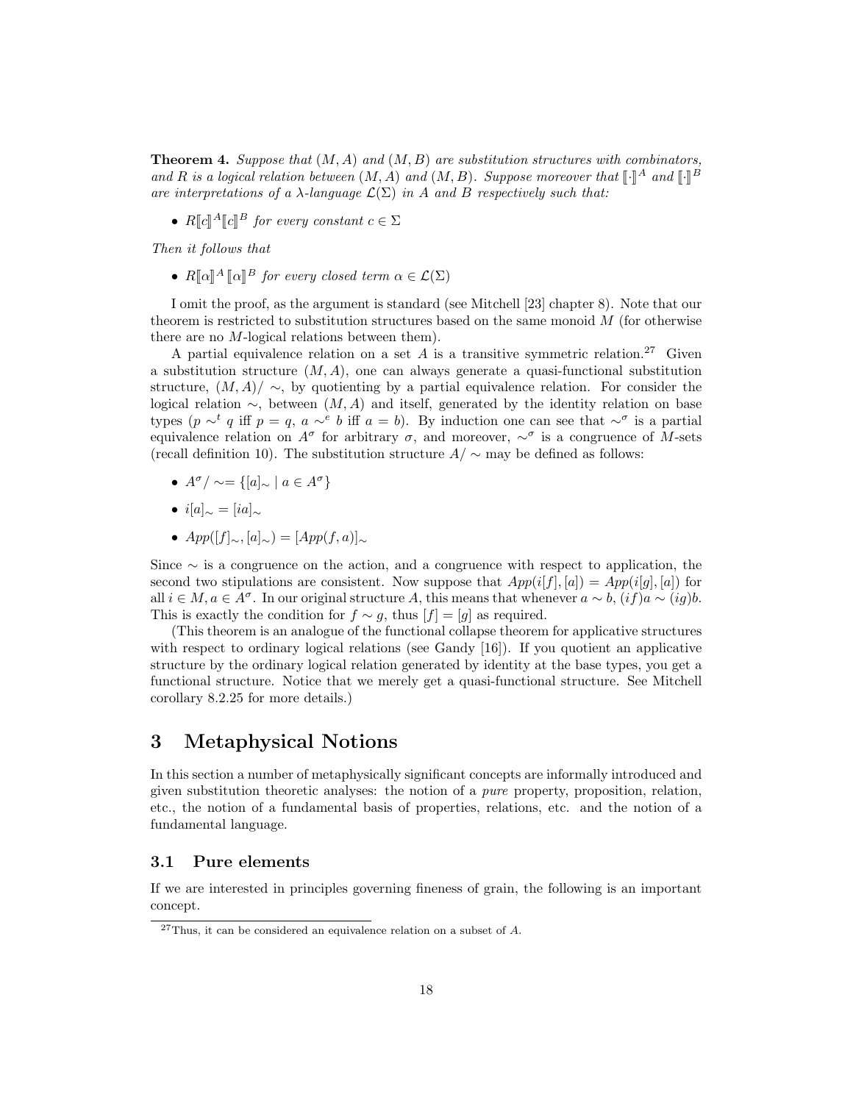**Theorem 4.** Suppose that  $(M, A)$  and  $(M, B)$  are substitution structures with combinators, and R is a logical relation between  $(M, A)$  and  $(M, B)$ . Suppose moreover that  $[\cdot]^A$  and  $[\cdot]^B$ <br>are interpretations of a) language  $\mathcal{L}(\Sigma)$  in A and B respectively such that: are interpretations of a  $\lambda$ -language  $\mathcal{L}(\Sigma)$  in A and B respectively such that:

•  $R[\![c]\!]^A[\![c]\!]^B$  for every constant  $c \in \Sigma$ 

Then it follows that

•  $R[\![\alpha]\!]^A [\![\alpha]\!]^B$  for every closed term  $\alpha \in \mathcal{L}(\Sigma)$ 

I omit the proof, as the argument is standard (see Mitchell [23] chapter 8). Note that our theorem is restricted to substitution structures based on the same monoid  $M$  (for otherwise there are no M-logical relations between them).

A partial equivalence relation on a set  $A$  is a transitive symmetric relation.<sup>27</sup> Given a substitution structure  $(M, A)$ , one can always generate a quasi-functional substitution structure,  $(M, A)/ \sim$ , by quotienting by a partial equivalence relation. For consider the logical relation  $\sim$ , between  $(M, A)$  and itself, generated by the identity relation on base types (p  $\sim^t q$  iff  $p = q$ ,  $a \sim^e b$  iff  $a = b$ ). By induction one can see that  $\sim^{\sigma}$  is a partial equivalence relation on  $A^{\sigma}$  for arbitrary  $\sigma$ , and moreover,  $\sim^{\sigma}$  is a congruence of M-sets (recall definition 10). The substitution structure  $A/\sim$  may be defined as follows:

- $A^{\sigma}/\sim = \{ [a]_{\sim} \mid a \in A^{\sigma} \}$
- $i[a]_{\sim} = [ia]_{\sim}$
- $App([f]_{\sim}, [a]_{\sim}) = [App(f, a)]_{\sim}$

Since ∼ is a congruence on the action, and a congruence with respect to application, the second two stipulations are consistent. Now suppose that  $App(i[f],[a]) = App(i[g],[a])$  for all  $i \in M$ ,  $a \in A^{\sigma}$ . In our original structure A, this means that whenever  $a \sim b$ ,  $(if)a \sim (ig)b$ . This is exactly the condition for  $f \sim g$ , thus  $[f] = [g]$  as required.

(This theorem is an analogue of the functional collapse theorem for applicative structures with respect to ordinary logical relations (see Gandy [16]). If you quotient an applicative structure by the ordinary logical relation generated by identity at the base types, you get a functional structure. Notice that we merely get a quasi-functional structure. See Mitchell corollary 8.2.25 for more details.)

# 3 Metaphysical Notions

In this section a number of metaphysically significant concepts are informally introduced and given substitution theoretic analyses: the notion of a pure property, proposition, relation, etc., the notion of a fundamental basis of properties, relations, etc. and the notion of a fundamental language.

### 3.1 Pure elements

If we are interested in principles governing fineness of grain, the following is an important concept.

 $27$ Thus, it can be considered an equivalence relation on a subset of A.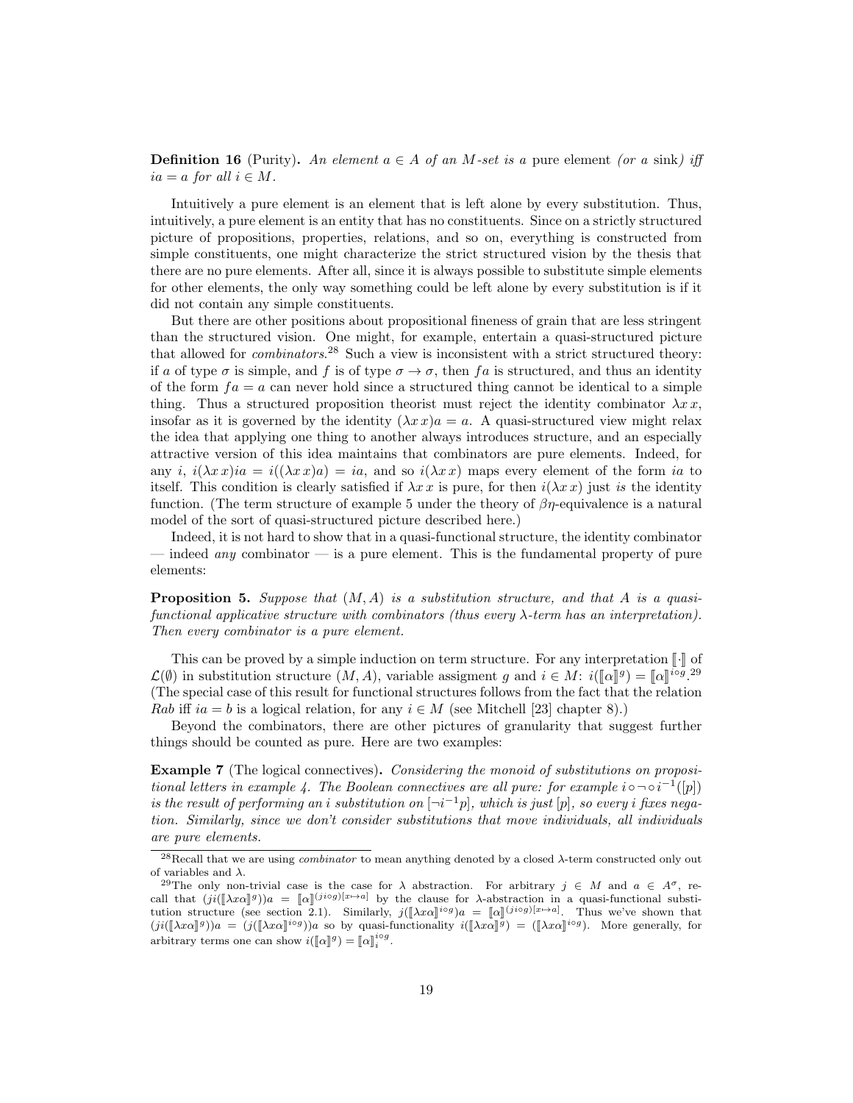**Definition 16** (Purity). An element  $a \in A$  of an M-set is a pure element (or a sink) iff  $ia = a$  for all  $i \in M$ .

Intuitively a pure element is an element that is left alone by every substitution. Thus, intuitively, a pure element is an entity that has no constituents. Since on a strictly structured picture of propositions, properties, relations, and so on, everything is constructed from simple constituents, one might characterize the strict structured vision by the thesis that there are no pure elements. After all, since it is always possible to substitute simple elements for other elements, the only way something could be left alone by every substitution is if it did not contain any simple constituents.

But there are other positions about propositional fineness of grain that are less stringent than the structured vision. One might, for example, entertain a quasi-structured picture that allowed for *combinators*.<sup>28</sup> Such a view is inconsistent with a strict structured theory: if a of type  $\sigma$  is simple, and f is of type  $\sigma \to \sigma$ , then f a is structured, and thus an identity of the form  $fa = a$  can never hold since a structured thing cannot be identical to a simple thing. Thus a structured proposition theorist must reject the identity combinator  $\lambda x x$ , insofar as it is governed by the identity  $(\lambda x x)a = a$ . A quasi-structured view might relax the idea that applying one thing to another always introduces structure, and an especially attractive version of this idea maintains that combinators are pure elements. Indeed, for any i,  $i(\lambda x x)ia = i((\lambda x x)a) = ia$ , and so  $i(\lambda x x)$  maps every element of the form ia to itself. This condition is clearly satisfied if  $\lambda x \, x$  is pure, for then  $i(\lambda x \, x)$  just is the identity function. (The term structure of example 5 under the theory of  $\beta\eta$ -equivalence is a natural model of the sort of quasi-structured picture described here.)

Indeed, it is not hard to show that in a quasi-functional structure, the identity combinator — indeed *any* combinator — is a pure element. This is the fundamental property of pure elements:

**Proposition 5.** Suppose that  $(M, A)$  is a substitution structure, and that A is a quasifunctional applicative structure with combinators (thus every λ-term has an interpretation). Then every combinator is a pure element.

This can be proved by a simple induction on term structure. For any interpretation  $\lceil \cdot \rceil$  of  $\mathcal{L}(\emptyset)$  in substitution structure  $(M, A)$ , variable assigment g and  $i \in M$ :  $i(\llbracket \alpha \rrbracket^g) = \llbracket \alpha \rrbracket^{i \circ g}$ . (The special case of this result for functional structures follows from the fact that the relation Rab iff  $ia = b$  is a logical relation, for any  $i \in M$  (see Mitchell [23] chapter 8).)

Beyond the combinators, there are other pictures of granularity that suggest further things should be counted as pure. Here are two examples:

**Example 7** (The logical connectives). Considering the monoid of substitutions on propositional letters in example 4. The Boolean connectives are all pure: for example  $i \circ \neg \circ i^{-1}([p])$ is the result of performing an i substitution on  $\neg i^{-1}p$ , which is just  $[p]$ , so every i fixes negation. Similarly, since we don't consider substitutions that move individuals, all individuals are pure elements.

<sup>&</sup>lt;sup>28</sup>Recall that we are using *combinator* to mean anything denoted by a closed  $\lambda$ -term constructed only out of variables and  $\lambda$ .

<sup>&</sup>lt;sup>29</sup>The only non-trivial case is the case for  $\lambda$  abstraction. For arbitrary  $j \in M$  and  $a \in A^{\sigma}$ , recall that  $(ji([\lambda x\alpha]^g))a = [\alpha]^{(jiog)[x\mapsto a]}$  by the clause for  $\lambda$ -abstraction in a quasi-functional substitution structure (see section 2.1). Similarly  $i([\lambda x\alpha]^{i \circ g})_a = [\alpha]^{(jiog)[x\mapsto a]}$ . Thus we've shown that tution structure (see section 2.1). Similarly,  $j(\llbracket \lambda x \alpha \rrbracket^{i \circ g})a = [\alpha \rrbracket^{(i \circ g)[x \to a]}$ . Thus we've shown that  $(i(\llbracket \lambda x \alpha \rrbracket^{i \circ g}) \geq \alpha$  where  $(i(\llbracket \lambda x \alpha \rrbracket^{i \circ g}) \geq \alpha$  where  $\alpha$  and  $(i(\llbracket \lambda x \alpha \rrbracket^{i \circ g}) \geq \alpha$ .  $(ji([\![\lambda x\alpha]\!]^j))^a = (j([\![\lambda x\alpha]\!]^{i\alpha})^j)^a$  so by quasi-functionality  $i([\![\lambda x\alpha]\!]^{\bar{g}}) = ([\![\lambda x\alpha]\!]^{i\alpha}^j)$ . More generally, for arbitrary terms one can show  $i(\llbracket \alpha \rrbracket^g) = \llbracket \alpha \rrbracket_i^{i \circ g}$ .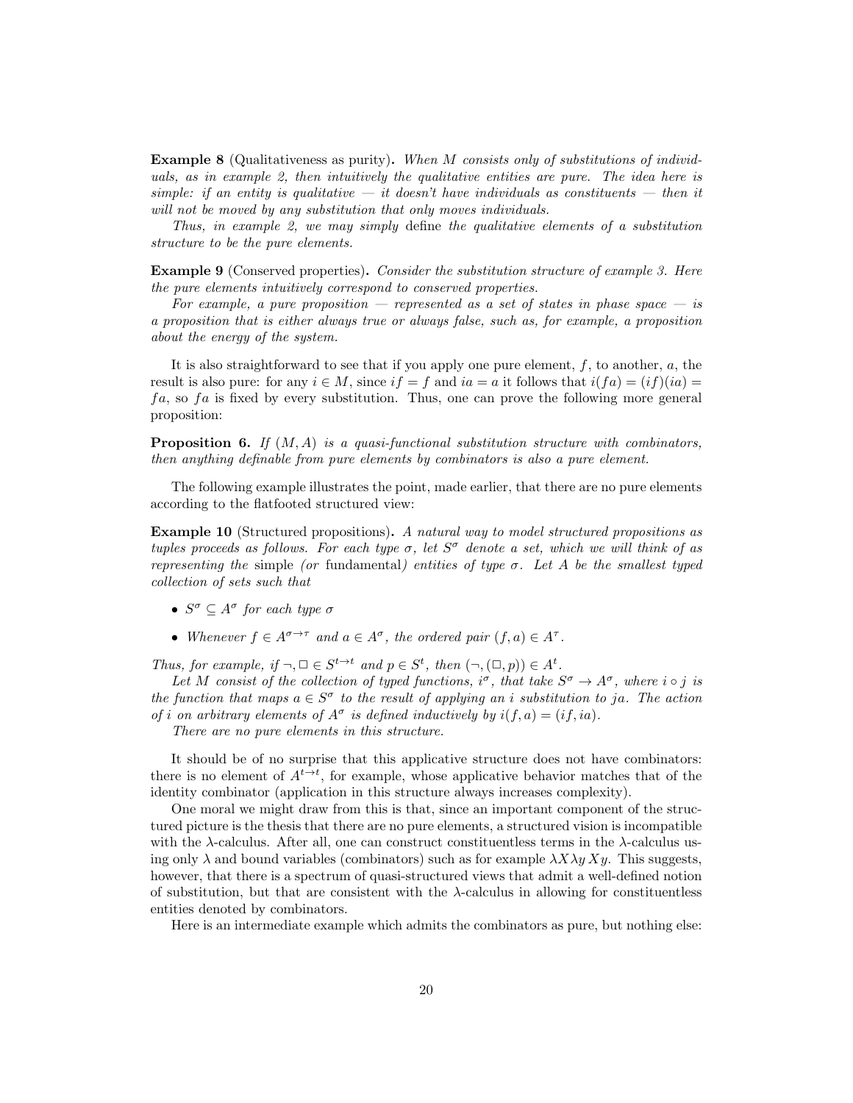Example 8 (Qualitativeness as purity). When M consists only of substitutions of individuals, as in example 2, then intuitively the qualitative entities are pure. The idea here is simple: if an entity is qualitative  $-$  it doesn't have individuals as constituents  $-$  then it will not be moved by any substitution that only moves individuals.

Thus, in example 2, we may simply define the qualitative elements of a substitution structure to be the pure elements.

**Example 9** (Conserved properties). Consider the substitution structure of example 3. Here the pure elements intuitively correspond to conserved properties.

For example, a pure proposition  $-$  represented as a set of states in phase space  $-$  is a proposition that is either always true or always false, such as, for example, a proposition about the energy of the system.

It is also straightforward to see that if you apply one pure element,  $f$ , to another,  $a$ , the result is also pure: for any  $i \in M$ , since  $if = f$  and  $ia = a$  it follows that  $i(fa) = (if)(ia)$  $fa$ , so  $fa$  is fixed by every substitution. Thus, one can prove the following more general proposition:

**Proposition 6.** If  $(M, A)$  is a quasi-functional substitution structure with combinators, then anything definable from pure elements by combinators is also a pure element.

The following example illustrates the point, made earlier, that there are no pure elements according to the flatfooted structured view:

Example 10 (Structured propositions). A natural way to model structured propositions as tuples proceeds as follows. For each type  $\sigma$ , let  $S^{\sigma}$  denote a set, which we will think of as representing the simple (or fundamental) entities of type  $\sigma$ . Let A be the smallest typed collection of sets such that

- $S^{\sigma} \subseteq A^{\sigma}$  for each type  $\sigma$
- Whenever  $f \in A^{\sigma \to \tau}$  and  $a \in A^{\sigma}$ , the ordered pair  $(f, a) \in A^{\tau}$ .

Thus, for example, if  $\neg, \Box \in S^{t \to t}$  and  $p \in S^t$ , then  $(\neg, (\Box, p)) \in A^t$ .

Let M consist of the collection of typed functions,  $i^{\sigma}$ , that take  $S^{\sigma} \to A^{\sigma}$ , where  $i \circ j$  is the function that maps  $a \in S^{\sigma}$  to the result of applying an i substitution to ja. The action of i on arbitrary elements of  $A^{\sigma}$  is defined inductively by  $i(f, a) = (if, ia)$ .

There are no pure elements in this structure.

It should be of no surprise that this applicative structure does not have combinators: there is no element of  $A^{t\to t}$ , for example, whose applicative behavior matches that of the identity combinator (application in this structure always increases complexity).

One moral we might draw from this is that, since an important component of the structured picture is the thesis that there are no pure elements, a structured vision is incompatible with the  $\lambda$ -calculus. After all, one can construct constituentless terms in the  $\lambda$ -calculus using only  $\lambda$  and bound variables (combinators) such as for example  $\lambda X\lambda y X y$ . This suggests, however, that there is a spectrum of quasi-structured views that admit a well-defined notion of substitution, but that are consistent with the  $\lambda$ -calculus in allowing for constituentless entities denoted by combinators.

Here is an intermediate example which admits the combinators as pure, but nothing else: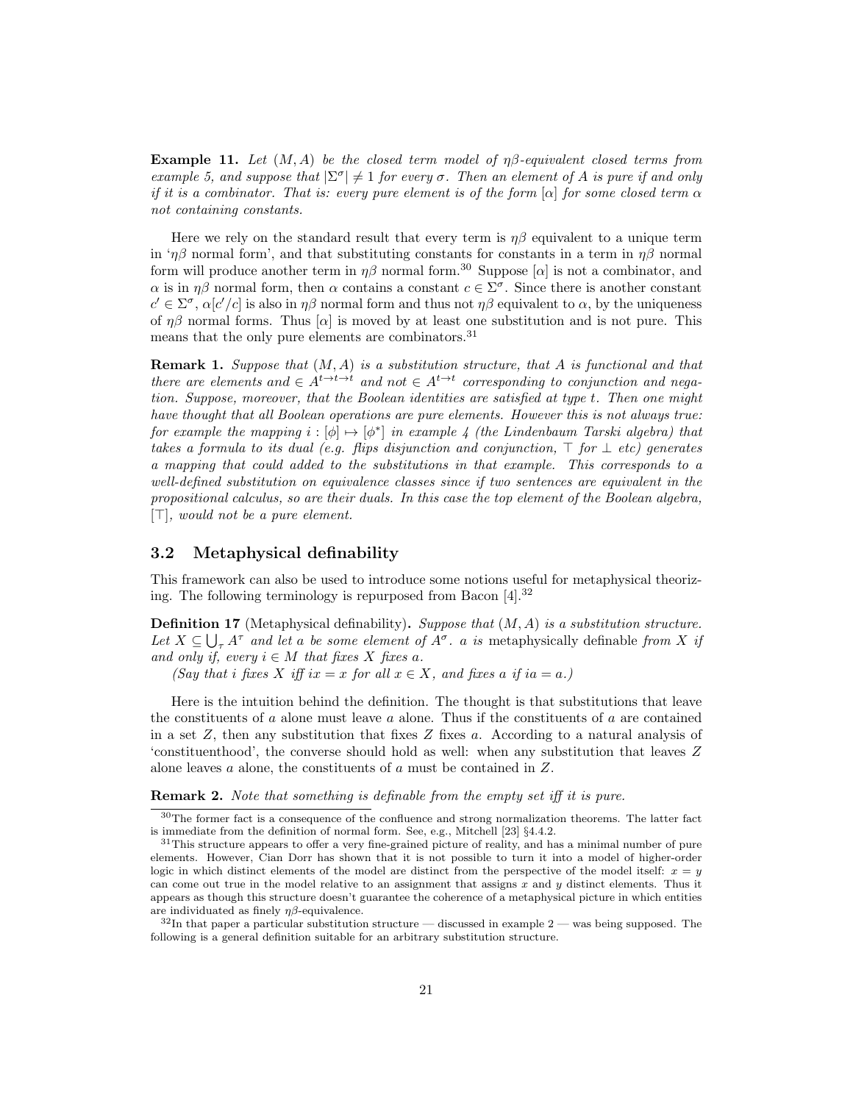**Example 11.** Let  $(M, A)$  be the closed term model of  $\eta\beta$ -equivalent closed terms from example 5, and suppose that  $|\Sigma^{\sigma}| \neq 1$  for every  $\sigma$ . Then an element of A is pure if and only if it is a combinator. That is: every pure element is of the form  $[\alpha]$  for some closed term  $\alpha$ not containing constants.

Here we rely on the standard result that every term is  $\eta\beta$  equivalent to a unique term in ' $\eta\beta$  normal form', and that substituting constants for constants in a term in  $\eta\beta$  normal form will produce another term in  $\eta\beta$  normal form.<sup>30</sup> Suppose [ $\alpha$ ] is not a combinator, and  $\alpha$  is in  $\eta\beta$  normal form, then  $\alpha$  contains a constant  $c \in \Sigma^{\sigma}$ . Since there is another constant  $c' \in \Sigma^{\sigma}$ ,  $\alpha[c'/c]$  is also in  $\eta\beta$  normal form and thus not  $\eta\beta$  equivalent to  $\alpha$ , by the uniqueness of  $\eta\beta$  normal forms. Thus  $[\alpha]$  is moved by at least one substitution and is not pure. This means that the only pure elements are combinators.<sup>31</sup>

**Remark 1.** Suppose that  $(M, A)$  is a substitution structure, that  $A$  is functional and that there are elements and  $\in A^{t\to t\to t}$  and not  $\in A^{t\to t}$  corresponding to conjunction and negation. Suppose, moreover, that the Boolean identities are satisfied at type t. Then one might have thought that all Boolean operations are pure elements. However this is not always true: for example the mapping  $i : [\phi] \mapsto [\phi^*]$  in example 4 (the Lindenbaum Tarski algebra) that takes a formula to its dual (e.g. flips disjunction and conjunction,  $\top$  for  $\bot$  etc) generates a mapping that could added to the substitutions in that example. This corresponds to a well-defined substitution on equivalence classes since if two sentences are equivalent in the propositional calculus, so are their duals. In this case the top element of the Boolean algebra,  $[T]$ , would not be a pure element.

### 3.2 Metaphysical definability

This framework can also be used to introduce some notions useful for metaphysical theorizing. The following terminology is repurposed from Bacon [4].<sup>32</sup>

**Definition 17** (Metaphysical definability). Suppose that  $(M, A)$  is a substitution structure. Let  $X \subseteq \bigcup_{\tau} A^{\tau}$  and let a be some element of  $A^{\sigma}$ . a is metaphysically definable from X if and only if, every  $i \in M$  that fixes X fixes a.

(Say that i fixes X iff ix = x for all  $x \in X$ , and fixes a if ia = a.)

Here is the intuition behind the definition. The thought is that substitutions that leave the constituents of  $a$  alone must leave  $a$  alone. Thus if the constituents of  $a$  are contained in a set  $Z$ , then any substitution that fixes  $Z$  fixes  $a$ . According to a natural analysis of 'constituenthood', the converse should hold as well: when any substitution that leaves Z alone leaves a alone, the constituents of a must be contained in Z.

Remark 2. Note that something is definable from the empty set iff it is pure.

<sup>&</sup>lt;sup>30</sup>The former fact is a consequence of the confluence and strong normalization theorems. The latter fact is immediate from the definition of normal form. See, e.g., Mitchell [23] §4.4.2.

<sup>&</sup>lt;sup>31</sup>This structure appears to offer a very fine-grained picture of reality, and has a minimal number of pure elements. However, Cian Dorr has shown that it is not possible to turn it into a model of higher-order logic in which distinct elements of the model are distinct from the perspective of the model itself:  $x = y$ can come out true in the model relative to an assignment that assigns  $x$  and  $y$  distinct elements. Thus it appears as though this structure doesn't guarantee the coherence of a metaphysical picture in which entities are individuated as finely  $\eta\beta$ -equivalence.

 $32$ In that paper a particular substitution structure — discussed in example 2 — was being supposed. The following is a general definition suitable for an arbitrary substitution structure.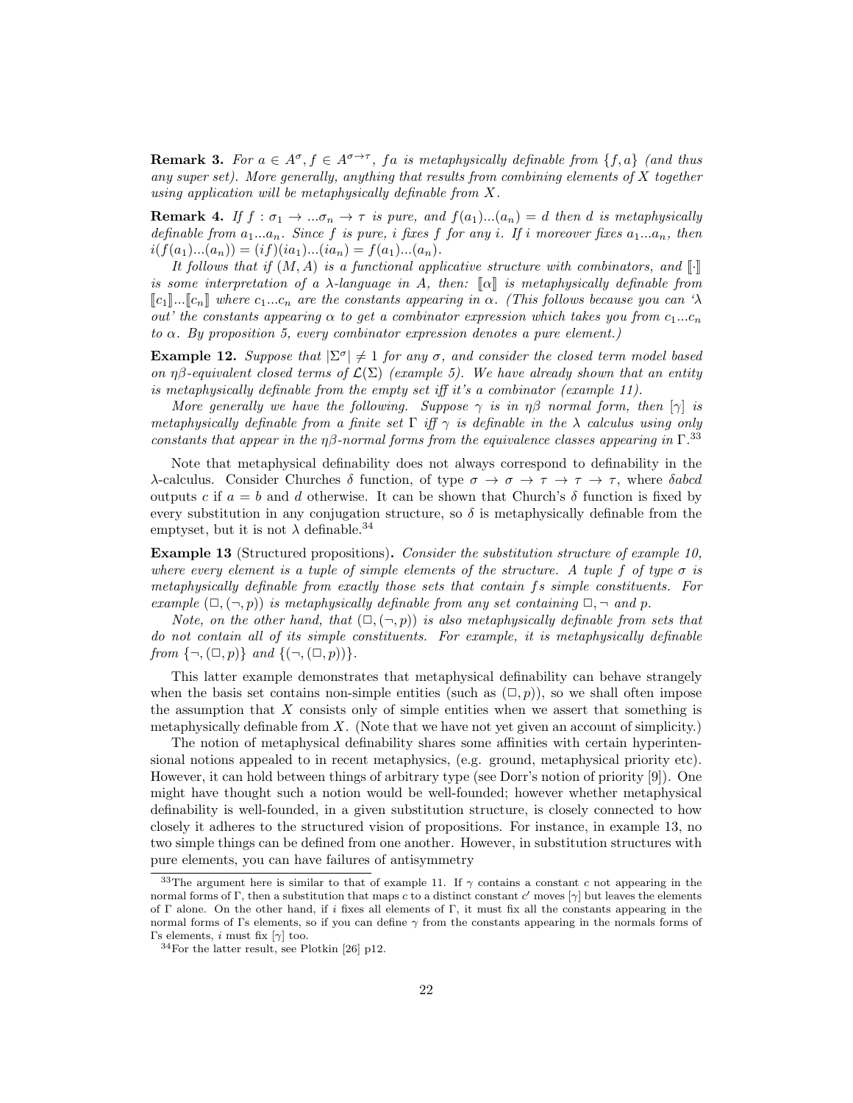**Remark 3.** For  $a \in A^{\sigma}, f \in A^{\sigma \to \tau}$ , fa is metaphysically definable from  $\{f, a\}$  (and thus any super set). More generally, anything that results from combining elements of  $X$  together using application will be metaphysically definable from X.

**Remark 4.** If  $f : \sigma_1 \to \dots \sigma_n \to \tau$  is pure, and  $f(a_1) \dots (a_n) = d$  then d is metaphysically definable from  $a_1...a_n$ . Since f is pure, i fixes f for any i. If i moreover fixes  $a_1...a_n$ , then  $i(f(a_1)...(a_n)) = (if)(ia_1)...(ia_n) = f(a_1)...(a_n).$ 

It follows that if  $(M, A)$  is a functional applicative structure with combinators, and  $\llbracket \cdot \rrbracket$ is some interpretation of a  $\lambda$ -language in A, then:  $\llbracket \alpha \rrbracket$  is metaphysically definable from  $\llbracket c_1 \rrbracket$ ... $\llbracket c_n \rrbracket$  where  $c_1...c_n$  are the constants appearing in  $\alpha$ . (This follows because you can ' $\lambda$ out' the constants appearing  $\alpha$  to get a combinator expression which takes you from  $c_1...c_n$ to  $\alpha$ . By proposition 5, every combinator expression denotes a pure element.)

**Example 12.** Suppose that  $|\Sigma^{\sigma}| \neq 1$  for any  $\sigma$ , and consider the closed term model based on  $\eta\beta$ -equivalent closed terms of  $\mathcal{L}(\Sigma)$  (example 5). We have already shown that an entity is metaphysically definable from the empty set iff it's a combinator (example 11).

More generally we have the following. Suppose  $\gamma$  is in  $\eta\beta$  normal form, then  $[\gamma]$  is metaphysically definable from a finite set  $\Gamma$  iff  $\gamma$  is definable in the  $\lambda$  calculus using only constants that appear in the  $\eta\beta$ -normal forms from the equivalence classes appearing in  $\Gamma^{.33}$ 

Note that metaphysical definability does not always correspond to definability in the λ-calculus. Consider Churches δ function, of type  $\sigma \to \sigma \to \tau \to \tau \to \tau$ , where δabcd outputs c if  $a = b$  and d otherwise. It can be shown that Church's  $\delta$  function is fixed by every substitution in any conjugation structure, so  $\delta$  is metaphysically definable from the emptyset, but it is not  $\lambda$  definable.<sup>34</sup>

Example 13 (Structured propositions). Consider the substitution structure of example 10, where every element is a tuple of simple elements of the structure. A tuple f of type  $\sigma$  is metaphysically definable from exactly those sets that contain fs simple constituents. For example  $(\Box, (\neg, p))$  is metaphysically definable from any set containing  $\Box, \neg$  and p.

Note, on the other hand, that  $(\Box, (\neg, p))$  is also metaphysically definable from sets that do not contain all of its simple constituents. For example, it is metaphysically definable from  $\{\neg, (\square, p)\}\$  and  $\{(\neg, (\square, p))\}.$ 

This latter example demonstrates that metaphysical definability can behave strangely when the basis set contains non-simple entities (such as  $(\square, p)$ ), so we shall often impose the assumption that  $X$  consists only of simple entities when we assert that something is metaphysically definable from  $X$ . (Note that we have not yet given an account of simplicity.)

The notion of metaphysical definability shares some affinities with certain hyperintensional notions appealed to in recent metaphysics, (e.g. ground, metaphysical priority etc). However, it can hold between things of arbitrary type (see Dorr's notion of priority [9]). One might have thought such a notion would be well-founded; however whether metaphysical definability is well-founded, in a given substitution structure, is closely connected to how closely it adheres to the structured vision of propositions. For instance, in example 13, no two simple things can be defined from one another. However, in substitution structures with pure elements, you can have failures of antisymmetry

<sup>&</sup>lt;sup>33</sup>The argument here is similar to that of example 11. If  $\gamma$  contains a constant c not appearing in the normal forms of Γ, then a substitution that maps c to a distinct constant c' moves  $[\gamma]$  but leaves the elements of Γ alone. On the other hand, if i fixes all elements of Γ, it must fix all the constants appearing in the normal forms of Γs elements, so if you can define  $\gamma$  from the constants appearing in the normals forms of Γs elements, *i* must fix  $[γ]$  too.

<sup>34</sup>For the latter result, see Plotkin [26] p12.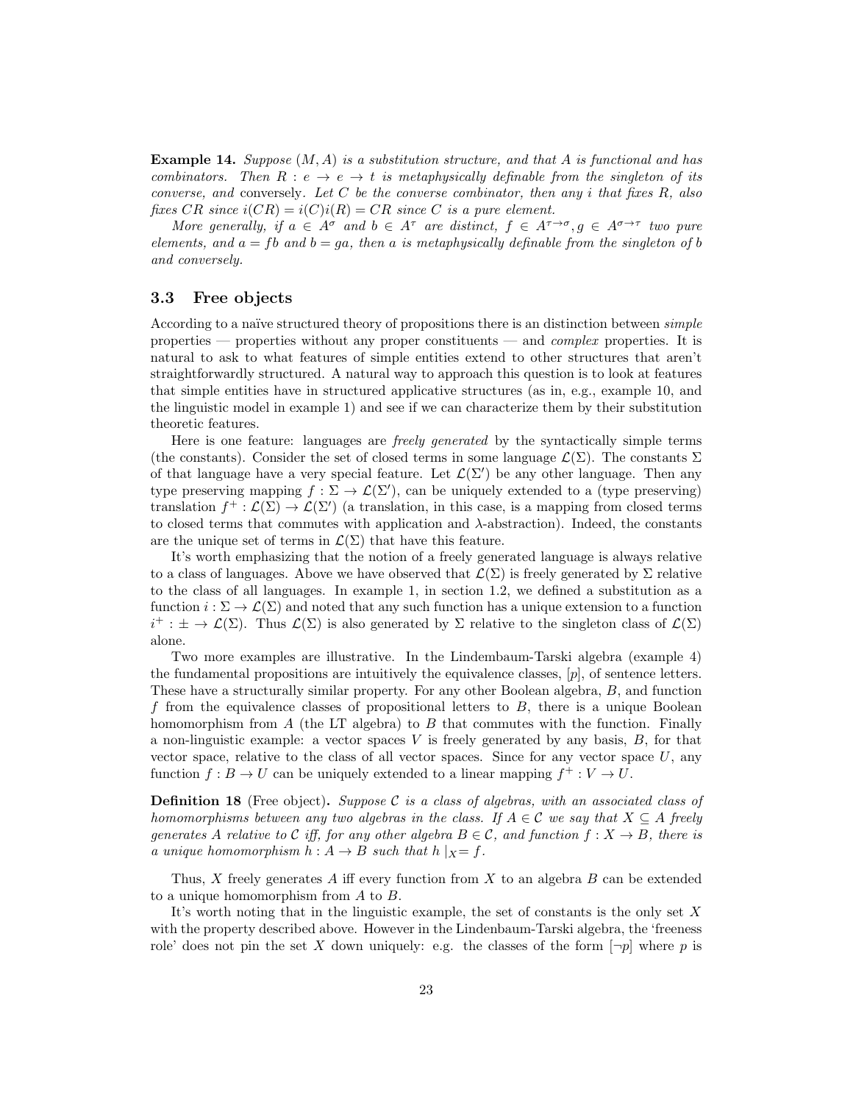**Example 14.** Suppose  $(M, A)$  is a substitution structure, and that A is functional and has combinators. Then  $R : e \to e + t$  is metaphysically definable from the singleton of its converse, and conversely. Let C be the converse combinator, then any i that fixes  $R$ , also fixes CR since  $i(CR) = i(C)i(R) = CR$  since C is a pure element.

More generally, if  $a \in A^{\sigma}$  and  $b \in A^{\tau}$  are distinct,  $f \in A^{\tau \to \sigma}, g \in A^{\sigma \to \tau}$  two pure elements, and  $a = fb$  and  $b = qa$ , then a is metaphysically definable from the singleton of b and conversely.

### 3.3 Free objects

According to a naïve structured theory of propositions there is an distinction between *simple* properties — properties without any proper constituents — and *complex* properties. It is natural to ask to what features of simple entities extend to other structures that aren't straightforwardly structured. A natural way to approach this question is to look at features that simple entities have in structured applicative structures (as in, e.g., example 10, and the linguistic model in example 1) and see if we can characterize them by their substitution theoretic features.

Here is one feature: languages are freely generated by the syntactically simple terms (the constants). Consider the set of closed terms in some language  $\mathcal{L}(\Sigma)$ . The constants  $\Sigma$ of that language have a very special feature. Let  $\mathcal{L}(\Sigma')$  be any other language. Then any type preserving mapping  $f : \Sigma \to \mathcal{L}(\Sigma')$ , can be uniquely extended to a (type preserving) translation  $f^+:\mathcal{L}(\Sigma) \to \mathcal{L}(\Sigma')$  (a translation, in this case, is a mapping from closed terms to closed terms that commutes with application and  $\lambda$ -abstraction). Indeed, the constants are the unique set of terms in  $\mathcal{L}(\Sigma)$  that have this feature.

It's worth emphasizing that the notion of a freely generated language is always relative to a class of languages. Above we have observed that  $\mathcal{L}(\Sigma)$  is freely generated by  $\Sigma$  relative to the class of all languages. In example 1, in section 1.2, we defined a substitution as a function  $i : \Sigma \to \mathcal{L}(\Sigma)$  and noted that any such function has a unique extension to a function  $i^+ : \pm \to \mathcal{L}(\Sigma)$ . Thus  $\mathcal{L}(\Sigma)$  is also generated by  $\Sigma$  relative to the singleton class of  $\mathcal{L}(\Sigma)$ alone.

Two more examples are illustrative. In the Lindembaum-Tarski algebra (example 4) the fundamental propositions are intuitively the equivalence classes,  $[p]$ , of sentence letters. These have a structurally similar property. For any other Boolean algebra, B, and function f from the equivalence classes of propositional letters to  $B$ , there is a unique Boolean homomorphism from A (the LT algebra) to B that commutes with the function. Finally a non-linguistic example: a vector spaces  $V$  is freely generated by any basis,  $B$ , for that vector space, relative to the class of all vector spaces. Since for any vector space  $U$ , any function  $f : B \to U$  can be uniquely extended to a linear mapping  $f^+ : V \to U$ .

**Definition 18** (Free object). Suppose C is a class of algebras, with an associated class of homomorphisms between any two algebras in the class. If  $A \in \mathcal{C}$  we say that  $X \subseteq A$  freely generates A relative to C iff, for any other algebra  $B \in \mathcal{C}$ , and function  $f : X \to B$ , there is a unique homomorphism  $h : A \rightarrow B$  such that  $h |_{X}= f$ .

Thus,  $X$  freely generates  $A$  iff every function from  $X$  to an algebra  $B$  can be extended to a unique homomorphism from A to B.

It's worth noting that in the linguistic example, the set of constants is the only set  $X$ with the property described above. However in the Lindenbaum-Tarski algebra, the 'freeness role' does not pin the set X down uniquely: e.g. the classes of the form  $\neg p$  where p is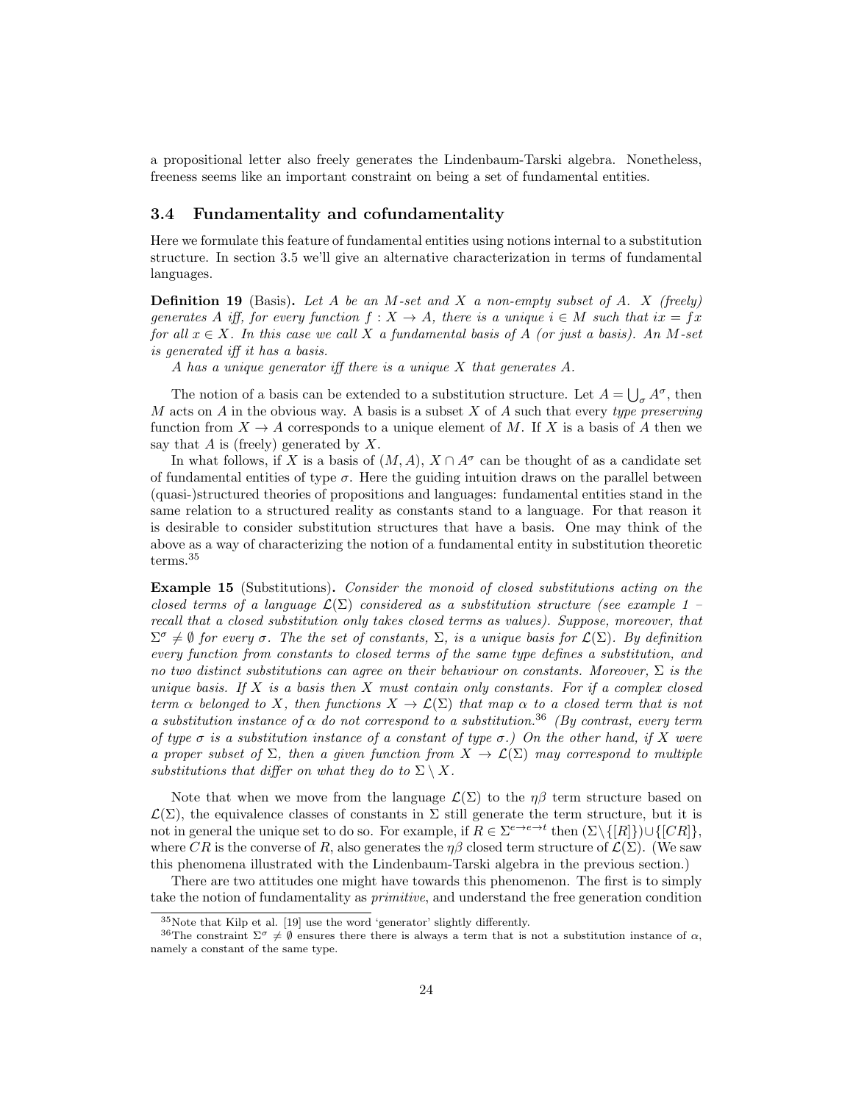a propositional letter also freely generates the Lindenbaum-Tarski algebra. Nonetheless, freeness seems like an important constraint on being a set of fundamental entities.

### 3.4 Fundamentality and cofundamentality

Here we formulate this feature of fundamental entities using notions internal to a substitution structure. In section 3.5 we'll give an alternative characterization in terms of fundamental languages.

**Definition 19** (Basis). Let A be an M-set and X a non-empty subset of A. X (freely) generates A iff, for every function  $f: X \to A$ , there is a unique  $i \in M$  such that  $ix = fx$ for all  $x \in X$ . In this case we call X a fundamental basis of A (or just a basis). An M-set is generated iff it has a basis.

A has a unique generator iff there is a unique X that generates A.

The notion of a basis can be extended to a substitution structure. Let  $A = \bigcup_{\sigma} A^{\sigma}$ , then  $M$  acts on  $A$  in the obvious way. A basis is a subset  $X$  of  $A$  such that every type preserving function from  $X \to A$  corresponds to a unique element of M. If X is a basis of A then we say that  $A$  is (freely) generated by  $X$ .

In what follows, if X is a basis of  $(M, A)$ ,  $X \cap A^{\sigma}$  can be thought of as a candidate set of fundamental entities of type  $\sigma$ . Here the guiding intuition draws on the parallel between (quasi-)structured theories of propositions and languages: fundamental entities stand in the same relation to a structured reality as constants stand to a language. For that reason it is desirable to consider substitution structures that have a basis. One may think of the above as a way of characterizing the notion of a fundamental entity in substitution theoretic terms.<sup>35</sup>

Example 15 (Substitutions). Consider the monoid of closed substitutions acting on the closed terms of a language  $\mathcal{L}(\Sigma)$  considered as a substitution structure (see example 1 – recall that a closed substitution only takes closed terms as values). Suppose, moreover, that  $\Sigma^{\sigma} \neq \emptyset$  for every  $\sigma$ . The the set of constants,  $\Sigma$ , is a unique basis for  $\mathcal{L}(\Sigma)$ . By definition every function from constants to closed terms of the same type defines a substitution, and no two distinct substitutions can agree on their behaviour on constants. Moreover,  $\Sigma$  is the unique basis. If X is a basis then X must contain only constants. For if a complex closed term  $\alpha$  belonged to X, then functions  $X \to \mathcal{L}(\Sigma)$  that map  $\alpha$  to a closed term that is not a substitution instance of  $\alpha$  do not correspond to a substitution.<sup>36</sup> (By contrast, every term of type  $\sigma$  is a substitution instance of a constant of type  $\sigma$ .) On the other hand, if X were a proper subset of  $\Sigma$ , then a given function from  $X \to \mathcal{L}(\Sigma)$  may correspond to multiple substitutions that differ on what they do to  $\Sigma \setminus X$ .

Note that when we move from the language  $\mathcal{L}(\Sigma)$  to the  $\eta\beta$  term structure based on  $\mathcal{L}(\Sigma)$ , the equivalence classes of constants in  $\Sigma$  still generate the term structure, but it is not in general the unique set to do so. For example, if  $R \in \Sigma^{e \to e \to t}$  then  $(\Sigma \setminus \{[R]\}) \cup \{[CR]\},$ where CR is the converse of R, also generates the  $\eta\beta$  closed term structure of  $\mathcal{L}(\Sigma)$ . (We saw this phenomena illustrated with the Lindenbaum-Tarski algebra in the previous section.)

There are two attitudes one might have towards this phenomenon. The first is to simply take the notion of fundamentality as primitive, and understand the free generation condition

<sup>35</sup>Note that Kilp et al. [19] use the word 'generator' slightly differently.

<sup>&</sup>lt;sup>36</sup>The constraint  $\Sigma^{\sigma} \neq \emptyset$  ensures there there is always a term that is not a substitution instance of  $\alpha$ , namely a constant of the same type.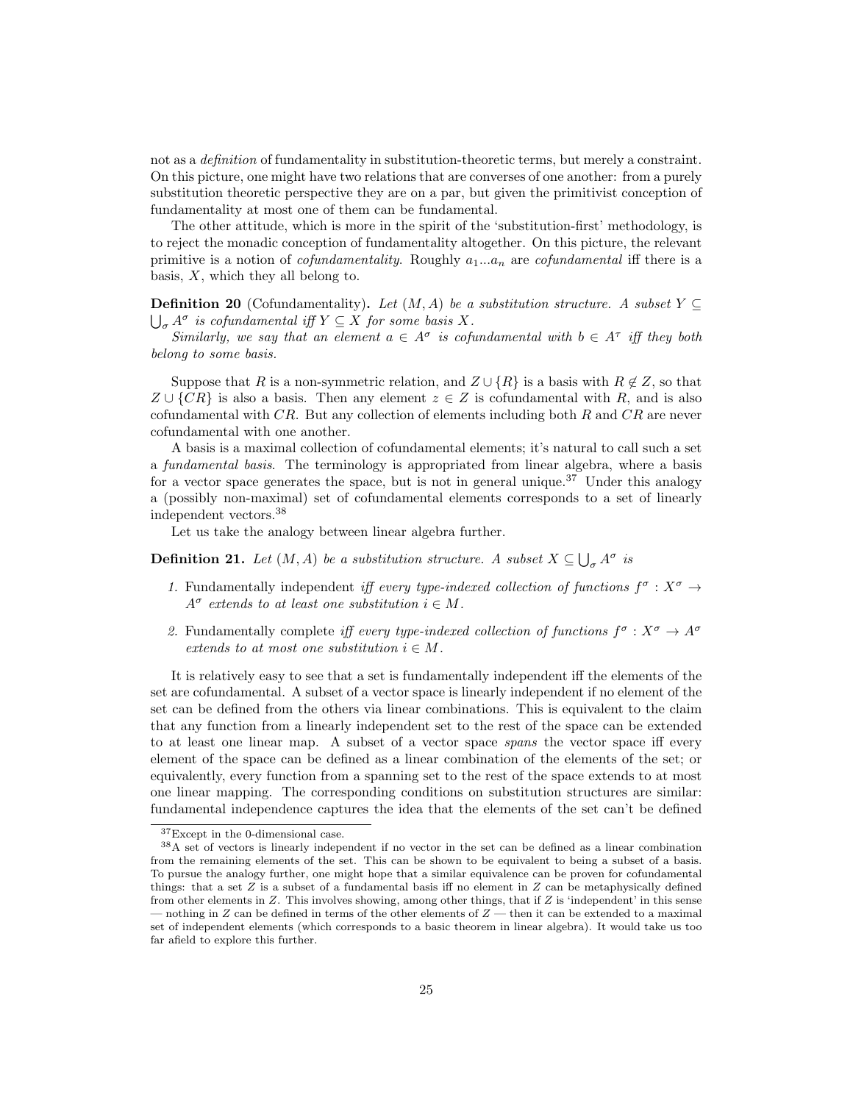not as a *definition* of fundamentality in substitution-theoretic terms, but merely a constraint. On this picture, one might have two relations that are converses of one another: from a purely substitution theoretic perspective they are on a par, but given the primitivist conception of fundamentality at most one of them can be fundamental.

The other attitude, which is more in the spirit of the 'substitution-first' methodology, is to reject the monadic conception of fundamentality altogether. On this picture, the relevant primitive is a notion of *cofundamentality*. Roughly  $a_1...a_n$  are *cofundamental* iff there is a basis,  $X$ , which they all belong to.

**Definition 20** (Cofundamentality). Let  $(M, A)$  be a substitution structure. A subset  $Y \subseteq$  $\bigcup_{\sigma} A^{\sigma}$  is cofundamental iff  $Y \subseteq X$  for some basis X.

Similarly, we say that an element  $a \in A^{\sigma}$  is cofundamental with  $b \in A^{\tau}$  iff they both belong to some basis.

Suppose that R is a non-symmetric relation, and  $Z \cup \{R\}$  is a basis with  $R \notin Z$ , so that  $Z \cup \{CR\}$  is also a basis. Then any element  $z \in Z$  is cofundamental with R, and is also cofundamental with  $CR$ . But any collection of elements including both R and  $CR$  are never cofundamental with one another.

A basis is a maximal collection of cofundamental elements; it's natural to call such a set a *fundamental basis*. The terminology is appropriated from linear algebra, where a basis for a vector space generates the space, but is not in general unique.<sup>37</sup> Under this analogy a (possibly non-maximal) set of cofundamental elements corresponds to a set of linearly independent vectors.<sup>38</sup>

Let us take the analogy between linear algebra further.

**Definition 21.** Let  $(M, A)$  be a substitution structure. A subset  $X \subseteq \bigcup_{\sigma} A^{\sigma}$  is

- 1. Fundamentally independent iff every type-indexed collection of functions  $f^{\sigma}: X^{\sigma} \to$  $A^{\sigma}$  extends to at least one substitution  $i \in M$ .
- 2. Fundamentally complete iff every type-indexed collection of functions  $f^{\sigma}: X^{\sigma} \to A^{\sigma}$ extends to at most one substitution  $i \in M$ .

It is relatively easy to see that a set is fundamentally independent iff the elements of the set are cofundamental. A subset of a vector space is linearly independent if no element of the set can be defined from the others via linear combinations. This is equivalent to the claim that any function from a linearly independent set to the rest of the space can be extended to at least one linear map. A subset of a vector space spans the vector space iff every element of the space can be defined as a linear combination of the elements of the set; or equivalently, every function from a spanning set to the rest of the space extends to at most one linear mapping. The corresponding conditions on substitution structures are similar: fundamental independence captures the idea that the elements of the set can't be defined

<sup>&</sup>lt;sup>37</sup>Except in the 0-dimensional case.

<sup>38</sup>A set of vectors is linearly independent if no vector in the set can be defined as a linear combination from the remaining elements of the set. This can be shown to be equivalent to being a subset of a basis. To pursue the analogy further, one might hope that a similar equivalence can be proven for cofundamental things: that a set  $Z$  is a subset of a fundamental basis iff no element in  $Z$  can be metaphysically defined from other elements in Z. This involves showing, among other things, that if Z is 'independent' in this sense — nothing in Z can be defined in terms of the other elements of  $Z$  — then it can be extended to a maximal set of independent elements (which corresponds to a basic theorem in linear algebra). It would take us too far afield to explore this further.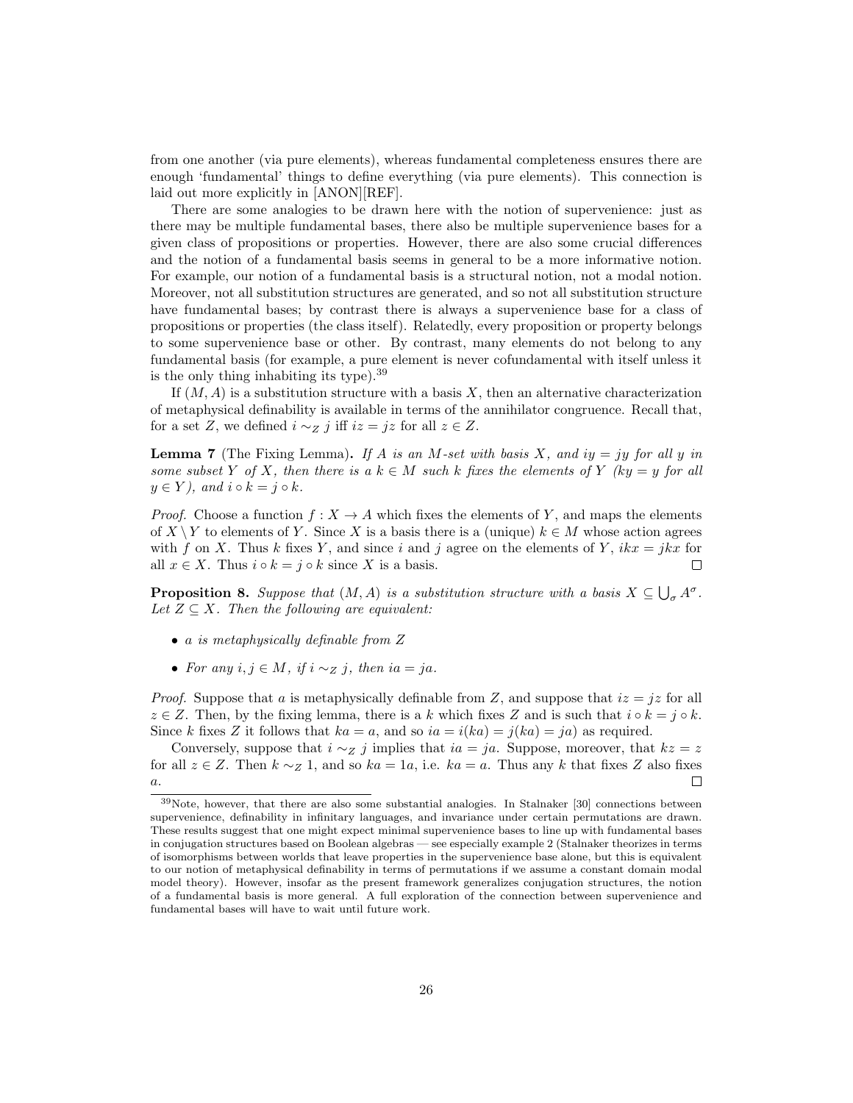from one another (via pure elements), whereas fundamental completeness ensures there are enough 'fundamental' things to define everything (via pure elements). This connection is laid out more explicitly in [ANON][REF].

There are some analogies to be drawn here with the notion of supervenience: just as there may be multiple fundamental bases, there also be multiple supervenience bases for a given class of propositions or properties. However, there are also some crucial differences and the notion of a fundamental basis seems in general to be a more informative notion. For example, our notion of a fundamental basis is a structural notion, not a modal notion. Moreover, not all substitution structures are generated, and so not all substitution structure have fundamental bases; by contrast there is always a supervenience base for a class of propositions or properties (the class itself). Relatedly, every proposition or property belongs to some supervenience base or other. By contrast, many elements do not belong to any fundamental basis (for example, a pure element is never cofundamental with itself unless it is the only thing inhabiting its type).<sup>39</sup>

If  $(M, A)$  is a substitution structure with a basis X, then an alternative characterization of metaphysical definability is available in terms of the annihilator congruence. Recall that, for a set Z, we defined  $i \sim_Z j$  iff  $iz = jz$  for all  $z \in Z$ .

**Lemma 7** (The Fixing Lemma). If A is an M-set with basis X, and iy = jy for all y in some subset Y of X, then there is a  $k \in M$  such k fixes the elements of Y (ky = y for all  $y \in Y$ ), and  $i \circ k = j \circ k$ .

*Proof.* Choose a function  $f: X \to A$  which fixes the elements of Y, and maps the elements of  $X \setminus Y$  to elements of Y. Since X is a basis there is a (unique)  $k \in M$  whose action agrees with f on X. Thus k fixes Y, and since i and j agree on the elements of Y,  $ikx = jkx$  for all  $x \in X$ . Thus  $i \circ k = j \circ k$  since X is a basis.  $\Box$ 

**Proposition 8.** Suppose that  $(M, A)$  is a substitution structure with a basis  $X \subseteq \bigcup_{\sigma} A^{\sigma}$ . Let  $Z \subseteq X$ . Then the following are equivalent:

- a is metaphysically definable from Z
- For any  $i, j \in M$ , if  $i \sim_Z j$ , then  $ia = ja$ .

*Proof.* Suppose that a is metaphysically definable from Z, and suppose that  $iz = jz$  for all  $z \in \mathbb{Z}$ . Then, by the fixing lemma, there is a k which fixes Z and is such that  $i \circ k = j \circ k$ . Since k fixes Z it follows that  $ka = a$ , and so  $ia = i(ka) = j(ka) = ja$  as required.

Conversely, suppose that  $i \sim z$  j implies that  $ia = ja$ . Suppose, moreover, that  $kz = z$ for all  $z \in Z$ . Then  $k \sim_Z 1$ , and so  $ka = 1a$ , i.e.  $ka = a$ . Thus any k that fixes Z also fixes  $\overline{a}$ .  $\Box$ 

<sup>39</sup>Note, however, that there are also some substantial analogies. In Stalnaker [30] connections between supervenience, definability in infinitary languages, and invariance under certain permutations are drawn. These results suggest that one might expect minimal supervenience bases to line up with fundamental bases in conjugation structures based on Boolean algebras — see especially example 2 (Stalnaker theorizes in terms of isomorphisms between worlds that leave properties in the supervenience base alone, but this is equivalent to our notion of metaphysical definability in terms of permutations if we assume a constant domain modal model theory). However, insofar as the present framework generalizes conjugation structures, the notion of a fundamental basis is more general. A full exploration of the connection between supervenience and fundamental bases will have to wait until future work.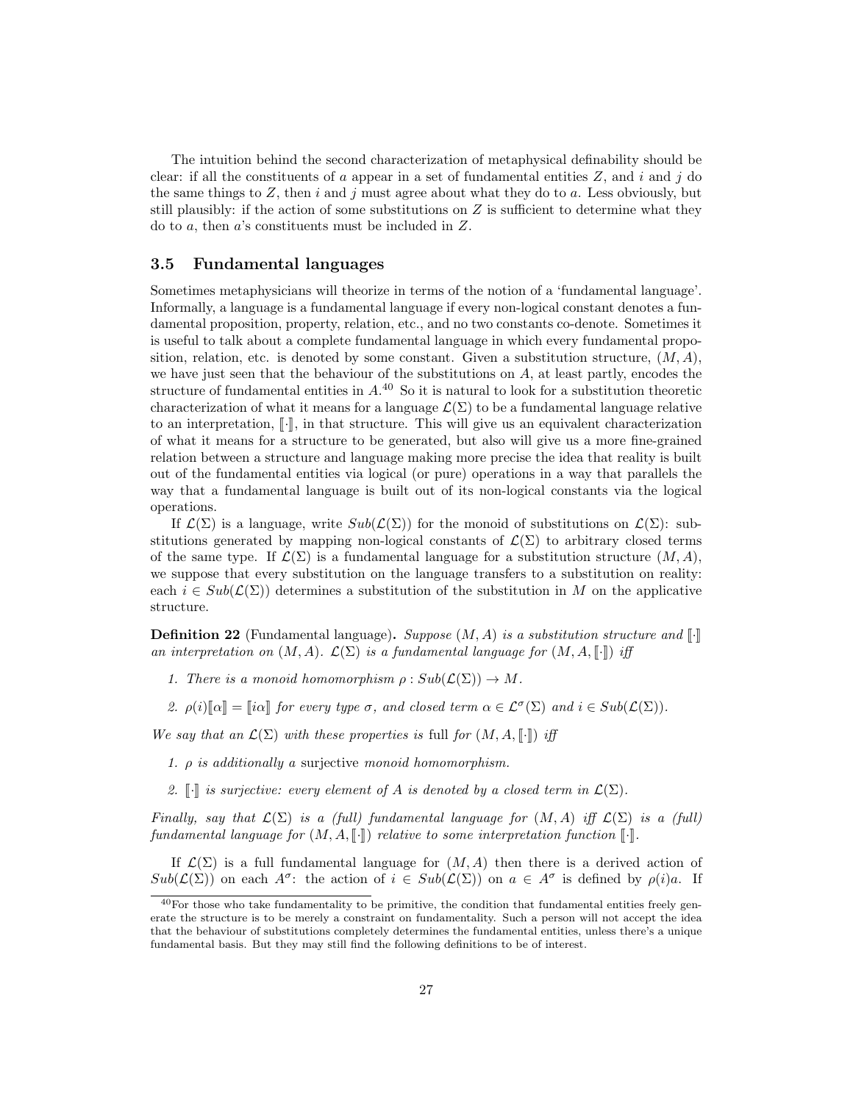The intuition behind the second characterization of metaphysical definability should be clear: if all the constituents of a appear in a set of fundamental entities  $Z$ , and i and j do the same things to  $Z$ , then i and j must agree about what they do to a. Less obviously, but still plausibly: if the action of some substitutions on  $Z$  is sufficient to determine what they do to a, then a's constituents must be included in Z.

#### 3.5 Fundamental languages

Sometimes metaphysicians will theorize in terms of the notion of a 'fundamental language'. Informally, a language is a fundamental language if every non-logical constant denotes a fundamental proposition, property, relation, etc., and no two constants co-denote. Sometimes it is useful to talk about a complete fundamental language in which every fundamental proposition, relation, etc. is denoted by some constant. Given a substitution structure,  $(M, A)$ , we have just seen that the behaviour of the substitutions on  $A$ , at least partly, encodes the structure of fundamental entities in  $A^{40}$ . So it is natural to look for a substitution theoretic characterization of what it means for a language  $\mathcal{L}(\Sigma)$  to be a fundamental language relative to an interpretation,  $\lceil \cdot \rceil$ , in that structure. This will give us an equivalent characterization of what it means for a structure to be generated, but also will give us a more fine-grained relation between a structure and language making more precise the idea that reality is built out of the fundamental entities via logical (or pure) operations in a way that parallels the way that a fundamental language is built out of its non-logical constants via the logical operations.

If  $\mathcal{L}(\Sigma)$  is a language, write  $Sub(\mathcal{L}(\Sigma))$  for the monoid of substitutions on  $\mathcal{L}(\Sigma)$ : substitutions generated by mapping non-logical constants of  $\mathcal{L}(\Sigma)$  to arbitrary closed terms of the same type. If  $\mathcal{L}(\Sigma)$  is a fundamental language for a substitution structure  $(M, A)$ , we suppose that every substitution on the language transfers to a substitution on reality: each  $i \in Sub(\mathcal{L}(\Sigma))$  determines a substitution of the substitution in M on the applicative structure.

**Definition 22** (Fundamental language). Suppose  $(M, A)$  is a substitution structure and  $\llbracket \cdot \rrbracket$ an interpretation on  $(M, A)$ .  $\mathcal{L}(\Sigma)$  is a fundamental language for  $(M, A, \lceil \cdot \rceil)$  iff

- 1. There is a monoid homomorphism  $\rho: Sub(\mathcal{L}(\Sigma)) \to M$ .
- 2.  $\rho(i)[\![\alpha]\!] = [\![i\alpha]\!]$  for every type  $\sigma$ , and closed term  $\alpha \in \mathcal{L}^{\sigma}(\Sigma)$  and  $i \in Sub(\mathcal{L}(\Sigma))$ .

We say that an  $\mathcal{L}(\Sigma)$  with these properties is full for  $(M, A, \llbracket \cdot \rrbracket)$  iff

- 1.  $\rho$  is additionally a surjective monoid homomorphism.
- 2.  $\llbracket \cdot \rrbracket$  is surjective: every element of A is denoted by a closed term in  $\mathcal{L}(\Sigma)$ .

Finally, say that  $\mathcal{L}(\Sigma)$  is a (full) fundamental language for  $(M, A)$  iff  $\mathcal{L}(\Sigma)$  is a (full) fundamental language for  $(M, A, \lceil \cdot \rceil)$  relative to some interpretation function  $\lceil \cdot \rceil$ .

If  $\mathcal{L}(\Sigma)$  is a full fundamental language for  $(M, A)$  then there is a derived action of  $Sub(\mathcal{L}(\Sigma))$  on each  $A^{\sigma}$ : the action of  $i \in Sub(\mathcal{L}(\Sigma))$  on  $a \in A^{\sigma}$  is defined by  $\rho(i)a$ . If

 $^{40}$ For those who take fundamentality to be primitive, the condition that fundamental entities freely generate the structure is to be merely a constraint on fundamentality. Such a person will not accept the idea that the behaviour of substitutions completely determines the fundamental entities, unless there's a unique fundamental basis. But they may still find the following definitions to be of interest.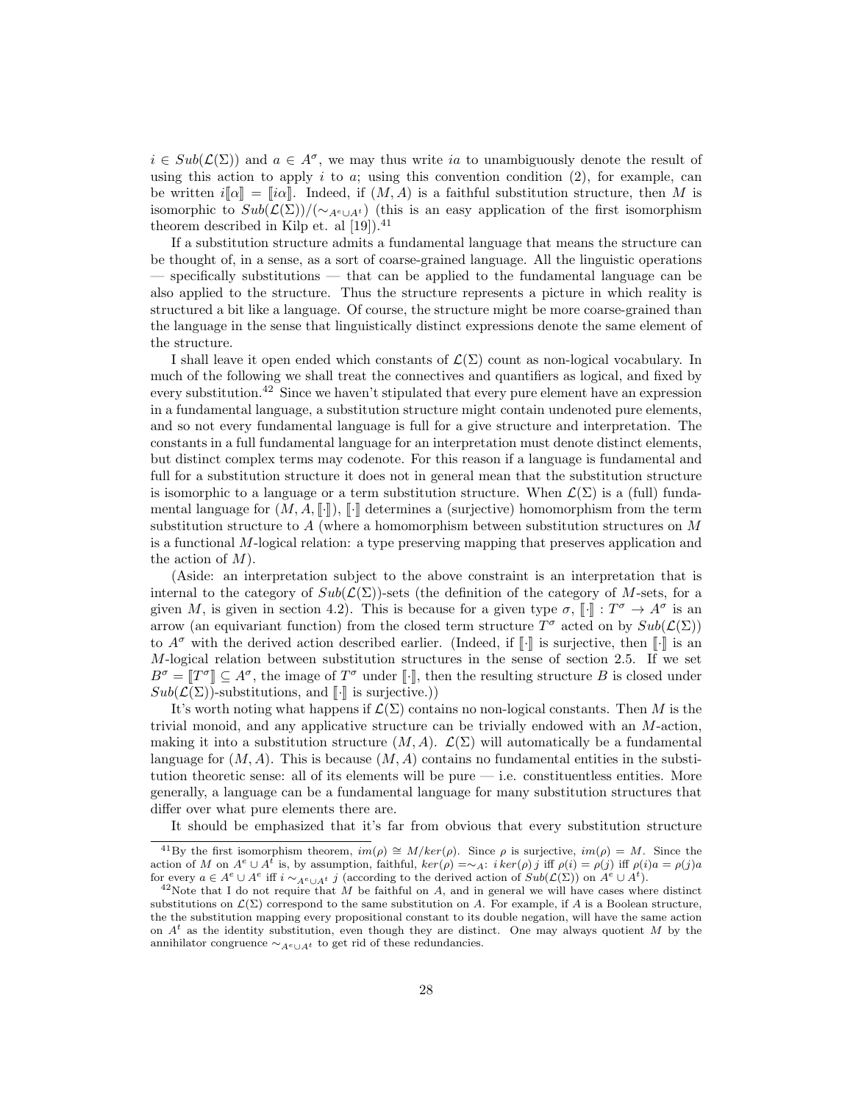$i \in Sub(\mathcal{L}(\Sigma))$  and  $a \in A^{\sigma}$ , we may thus write ia to unambiguously denote the result of using this action to apply i to a; using this convention condition  $(2)$ , for example, can be written  $i[\![\alpha]\!] = [i\alpha]\!]$ . Indeed, if  $(M, A)$  is a faithful substitution structure, then M is isomorphic to  $Sub(\mathcal{L}(\Sigma)) / (\sim_{A^e \cup A^t})$  (this is an easy application of the first isomorphism theorem described in Kilp et. al  $[19]$ .<sup>41</sup>

If a substitution structure admits a fundamental language that means the structure can be thought of, in a sense, as a sort of coarse-grained language. All the linguistic operations — specifically substitutions — that can be applied to the fundamental language can be also applied to the structure. Thus the structure represents a picture in which reality is structured a bit like a language. Of course, the structure might be more coarse-grained than the language in the sense that linguistically distinct expressions denote the same element of the structure.

I shall leave it open ended which constants of  $\mathcal{L}(\Sigma)$  count as non-logical vocabulary. In much of the following we shall treat the connectives and quantifiers as logical, and fixed by every substitution.<sup>42</sup> Since we haven't stipulated that every pure element have an expression in a fundamental language, a substitution structure might contain undenoted pure elements, and so not every fundamental language is full for a give structure and interpretation. The constants in a full fundamental language for an interpretation must denote distinct elements, but distinct complex terms may codenote. For this reason if a language is fundamental and full for a substitution structure it does not in general mean that the substitution structure is isomorphic to a language or a term substitution structure. When  $\mathcal{L}(\Sigma)$  is a (full) fundamental language for  $(M, A, \lceil \cdot \rceil)$ ,  $\lceil \cdot \rceil$  determines a (surjective) homomorphism from the term substitution structure to  $A$  (where a homomorphism between substitution structures on  $M$ is a functional M-logical relation: a type preserving mapping that preserves application and the action of  $M$ ).

(Aside: an interpretation subject to the above constraint is an interpretation that is internal to the category of  $Sub(\mathcal{L}(\Sigma))$ -sets (the definition of the category of M-sets, for a given M, is given in section 4.2). This is because for a given type  $\sigma$ ,  $[\cdot] : T^{\sigma} \to A^{\sigma}$  is an error (or equivariant function) from the closed term structure  $T^{\sigma}$  acted on by  $S_{ab}(C(\Sigma))$ arrow (an equivariant function) from the closed term structure  $T^{\sigma}$  acted on by  $Sub(\mathcal{L}(\Sigma))$ to  $A^{\sigma}$  with the derived action described earlier. (Indeed, if  $\lbrack \cdot \rbrack$  is surjective, then  $\lbrack \rbrack \cdot \rbrack$  is an  $M$ -logical relation between substitution structures in the sense of section 2.5. If we set  $B^{\sigma} = [T^{\sigma}] \subseteq A^{\sigma}$ , the image of  $T^{\sigma}$  under [*i*], then the resulting structure B is closed under  $S_{ab}(C(\Sigma))$  substitutions, and  $\llbracket \rrbracket$  is surjective.)  $Sub(\mathcal{L}(\Sigma))$ -substitutions, and  $\llbracket \cdot \rrbracket$  is surjective.))

It's worth noting what happens if  $\mathcal{L}(\Sigma)$  contains no non-logical constants. Then M is the trivial monoid, and any applicative structure can be trivially endowed with an M-action, making it into a substitution structure  $(M, A)$ .  $\mathcal{L}(\Sigma)$  will automatically be a fundamental language for  $(M, A)$ . This is because  $(M, A)$  contains no fundamental entities in the substitution theoretic sense: all of its elements will be pure — i.e. constituentless entities. More generally, a language can be a fundamental language for many substitution structures that differ over what pure elements there are.

It should be emphasized that it's far from obvious that every substitution structure

<sup>&</sup>lt;sup>41</sup>By the first isomorphism theorem,  $im(\rho) \cong M/ker(\rho)$ . Since  $\rho$  is surjective,  $im(\rho) = M$ . Since the action of M on  $A^e \cup A^t$  is, by assumption, faithful,  $ker(\rho) = \sim_A$ :  $i ker(\rho) j$  iff  $\rho(i) = \rho(j)$  iff  $\rho(i)a = \rho(j)a$ for every  $a \in A^e \cup A^e$  iff  $i \sim_{A^e \cup A^t} j$  (according to the derived action of  $Sub(\mathcal{L}(\Sigma))$  on  $A^e \cup A^t$ ).

 $^{42}$ Note that I do not require that M be faithful on A, and in general we will have cases where distinct substitutions on  $\mathcal{L}(\Sigma)$  correspond to the same substitution on A. For example, if A is a Boolean structure, the the substitution mapping every propositional constant to its double negation, will have the same action on  $A<sup>t</sup>$  as the identity substitution, even though they are distinct. One may always quotient M by the annihilator congruence  $\sim_{A^e \cup A^t}$  to get rid of these redundancies.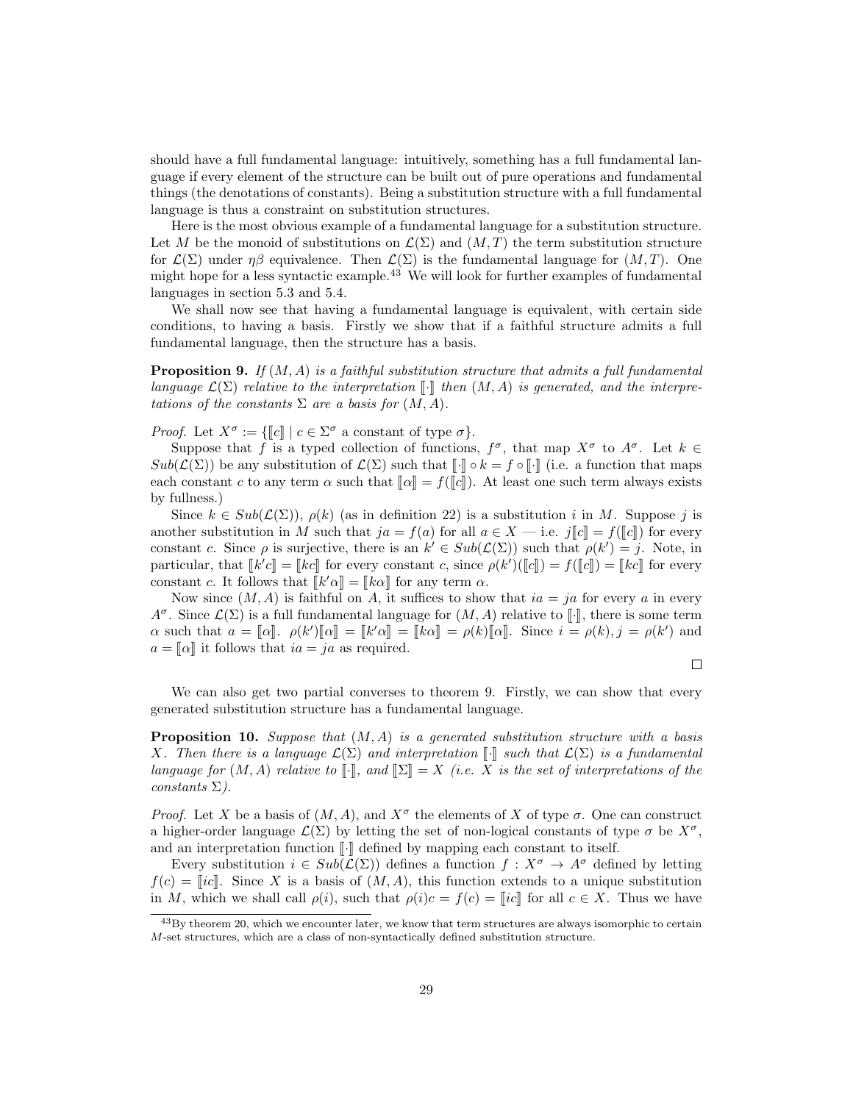should have a full fundamental language: intuitively, something has a full fundamental language if every element of the structure can be built out of pure operations and fundamental things (the denotations of constants). Being a substitution structure with a full fundamental language is thus a constraint on substitution structures.

Here is the most obvious example of a fundamental language for a substitution structure. Let M be the monoid of substitutions on  $\mathcal{L}(\Sigma)$  and  $(M, T)$  the term substitution structure for  $\mathcal{L}(\Sigma)$  under  $\eta\beta$  equivalence. Then  $\mathcal{L}(\Sigma)$  is the fundamental language for  $(M, T)$ . One might hope for a less syntactic example.<sup>43</sup> We will look for further examples of fundamental languages in section 5.3 and 5.4.

We shall now see that having a fundamental language is equivalent, with certain side conditions, to having a basis. Firstly we show that if a faithful structure admits a full fundamental language, then the structure has a basis.

**Proposition 9.** If  $(M, A)$  is a faithful substitution structure that admits a full fundamental language  $\mathcal{L}(\Sigma)$  relative to the interpretation  $\llbracket \cdot \rrbracket$  then  $(M, A)$  is generated, and the interpretations of the constants  $\Sigma$  are a basis for  $(M, A)$ .

Proof. Let  $X^{\sigma} := \{\llbracket c \rrbracket \mid c \in \Sigma^{\sigma} \text{ a constant of type } \sigma \}.$ <br>Suppose that f is a typed collection of functions

Suppose that f is a typed collection of functions,  $f^{\sigma}$ , that map  $X^{\sigma}$  to  $A^{\sigma}$ . Let  $k \in$  $Sub(\mathcal{L}(\Sigma))$  be any substitution of  $\mathcal{L}(\Sigma)$  such that  $\llbracket \cdot \rrbracket \circ k = f \circ \llbracket \cdot \rrbracket$  (i.e. a function that maps each constant c to any term  $\alpha$  such that  $\llbracket \alpha \rrbracket = f(\llbracket c \rrbracket)$ . At least one such term always exists by fullness.)

Since  $k \in Sub(\mathcal{L}(\Sigma))$ ,  $\rho(k)$  (as in definition 22) is a substitution i in M. Suppose j is another substitution in M such that  $ja = f(a)$  for all  $a \in X$  — i.e.  $j||c|| = f(||c||)$  for every constant c. Since  $\rho$  is surjective, there is an  $k' \in Sub(\mathcal{L}(\Sigma))$  such that  $\rho(k') = j$ . Note, in particular, that  $\llbracket k'c \rrbracket = \llbracket kc \rrbracket$  for every constant c, since  $\rho(k')(\llbracket c \rrbracket) = f(\llbracket c \rrbracket) = \llbracket kc \rrbracket$  for every constant c. It follows that  $\llbracket k'c \rrbracket = \llbracket kc \rrbracket$  for any term c. constant c. It follows that  $[[k'\alpha]] = [[k\alpha]]$  for any term  $\alpha$ .<br>Now gives  $(M, A)$  is faithful on  $A$  it guffices to show

Now since  $(M, A)$  is faithful on A, it suffices to show that  $ia = ja$  for every a in every  $A^{\sigma}$ . Since  $\mathcal{L}(\Sigma)$  is a full fundamental language for  $(M, A)$  relative to  $[\cdot]$ , there is some term  $\alpha$  such that  $a = [\![\alpha]\!]$ .  $\rho(k')[\![\alpha]\!] = [\![k'\alpha]\!] = [\![k\alpha]\!] = \rho(k)[\![\alpha]\!]$ . Since  $i = \rho(k), j = \rho(k')$  and  $a = \llbracket \alpha \rrbracket$  it follows that  $ia = ja$  as required.

 $\Box$ 

We can also get two partial converses to theorem 9. Firstly, we can show that every generated substitution structure has a fundamental language.

**Proposition 10.** Suppose that  $(M, A)$  is a generated substitution structure with a basis X. Then there is a language  $\mathcal{L}(\Sigma)$  and interpretation  $\llbracket \cdot \rrbracket$  such that  $\mathcal{L}(\Sigma)$  is a fundamental language for  $(M, A)$  relative to  $\llbracket \cdot \rrbracket$ , and  $\llbracket \Sigma \rrbracket = X$  (i.e. X is the set of interpretations of the  $constants \Sigma$ ).

*Proof.* Let X be a basis of  $(M, A)$ , and  $X^{\sigma}$  the elements of X of type  $\sigma$ . One can construct a higher-order language  $\mathcal{L}(\Sigma)$  by letting the set of non-logical constants of type  $\sigma$  be  $X^{\sigma}$ , and an interpretation function  $\llbracket \cdot \rrbracket$  defined by mapping each constant to itself.

Every substitution  $i \in Sub(\mathcal{L}(\Sigma))$  defines a function  $f: X^{\sigma} \to A^{\sigma}$  defined by letting  $f(c) = [ic]$ . Since X is a basis of  $(M, A)$ , this function extends to a unique substitution in M, which we shall call  $\rho(i)$ , such that  $\rho(i)c = f(c) = ||ic||$  for all  $c \in X$ . Thus we have

<sup>43</sup>By theorem 20, which we encounter later, we know that term structures are always isomorphic to certain M-set structures, which are a class of non-syntactically defined substitution structure.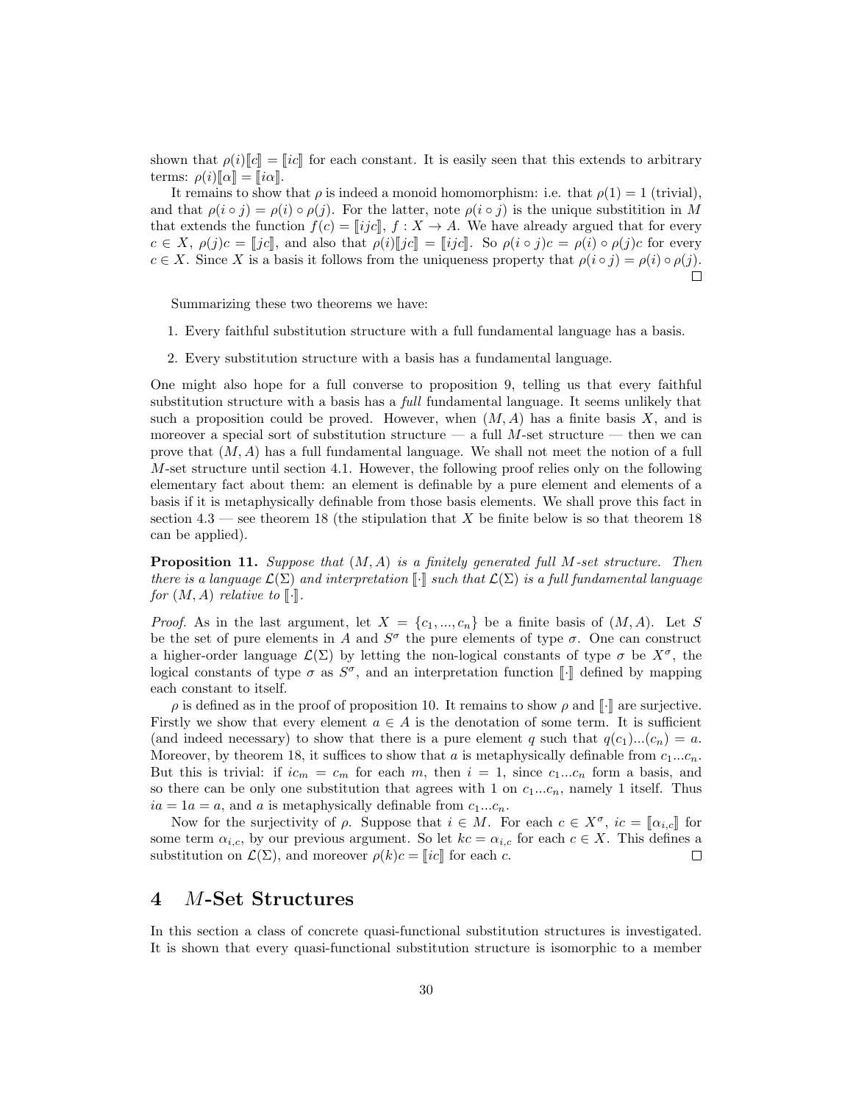shown that  $\rho(i)[c] = [ic]$  for each constant. It is easily seen that this extends to arbitrary terms:  $\rho(i)[\![\alpha]\!] = [\![i\alpha]\!]$ .

It remains to show that  $\rho$  is indeed a monoid homomorphism: i.e. that  $\rho(1) = 1$  (trivial), and that  $\rho(i \circ j) = \rho(i) \circ \rho(j)$ . For the latter, note  $\rho(i \circ j)$  is the unique substitition in M that extends the function  $f(c) = ||ijc||$ ,  $f: X \to A$ . We have already argued that for every  $c \in X$ ,  $\rho(j)c = [jc]$ , and also that  $\rho(i)[jc] = [ijc]$ . So  $\rho(i \circ j)c = \rho(i) \circ \rho(j)c$  for every  $c \in X$ . Since X is a basis it follows from the uniqueness property that  $\rho(i \circ j) = \rho(i) \circ \rho(j)$ .  $\Box$ 

Summarizing these two theorems we have:

- 1. Every faithful substitution structure with a full fundamental language has a basis.
- 2. Every substitution structure with a basis has a fundamental language.

One might also hope for a full converse to proposition 9, telling us that every faithful substitution structure with a basis has a *full* fundamental language. It seems unlikely that such a proposition could be proved. However, when  $(M, A)$  has a finite basis X, and is moreover a special sort of substitution structure — a full M-set structure — then we can prove that  $(M, A)$  has a full fundamental language. We shall not meet the notion of a full M-set structure until section 4.1. However, the following proof relies only on the following elementary fact about them: an element is definable by a pure element and elements of a basis if it is metaphysically definable from those basis elements. We shall prove this fact in section  $4.3$  — see theorem 18 (the stipulation that X be finite below is so that theorem 18 can be applied).

**Proposition 11.** Suppose that  $(M, A)$  is a finitely generated full M-set structure. Then there is a language  $\mathcal{L}(\Sigma)$  and interpretation  $\llbracket \cdot \rrbracket$  such that  $\mathcal{L}(\Sigma)$  is a full fundamental language for  $(M, A)$  relative to  $\lbrack \cdot \rbrack$ .

*Proof.* As in the last argument, let  $X = \{c_1, ..., c_n\}$  be a finite basis of  $(M, A)$ . Let S be the set of pure elements in A and  $S^{\sigma}$  the pure elements of type  $\sigma$ . One can construct a higher-order language  $\mathcal{L}(\Sigma)$  by letting the non-logical constants of type  $\sigma$  be  $X^{\sigma}$ , the logical constants of type  $\sigma$  as  $S^{\sigma}$ , and an interpretation function [.] defined by mapping<br>coach constant to itself each constant to itself.

 $\rho$  is defined as in the proof of proposition 10. It remains to show  $\rho$  and  $\llbracket \cdot \rrbracket$  are surjective. Firstly we show that every element  $a \in A$  is the denotation of some term. It is sufficient (and indeed necessary) to show that there is a pure element q such that  $q(c_1)...(c_n) = a$ . Moreover, by theorem 18, it suffices to show that a is metaphysically definable from  $c_1...c_n$ . But this is trivial: if  $ic_m = c_m$  for each m, then  $i = 1$ , since  $c_1...c_n$  form a basis, and so there can be only one substitution that agrees with 1 on  $c_1...c_n$ , namely 1 itself. Thus  $ia = 1a = a$ , and a is metaphysically definable from  $c_1...c_n$ .

Now for the surjectivity of  $\rho$ . Suppose that  $i \in M$ . For each  $c \in X^{\sigma}$ ,  $ic = \llbracket \alpha_{i,c} \rrbracket$  for each form  $\alpha_{i,c}$ , by our provisive preument. So let  $ka = \alpha_{i,c}$  for each  $c \in X$ . This defines a some term  $\alpha_{i,c}$ , by our previous argument. So let  $kc = \alpha_{i,c}$  for each  $c \in X$ . This defines a substitution on  $\mathcal{L}(\Sigma)$ , and moreover  $\rho(k)c = ||ic||$  for each c.  $\Box$ 

## 4 M-Set Structures

In this section a class of concrete quasi-functional substitution structures is investigated. It is shown that every quasi-functional substitution structure is isomorphic to a member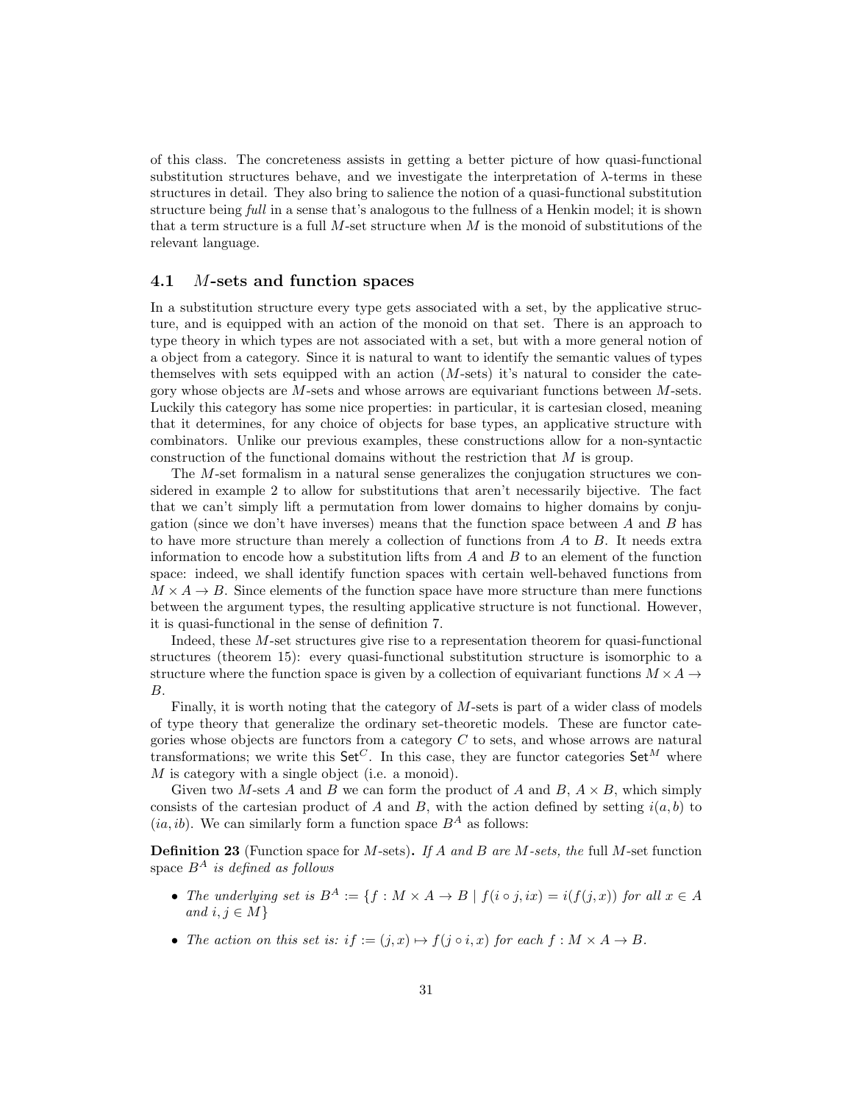of this class. The concreteness assists in getting a better picture of how quasi-functional substitution structures behave, and we investigate the interpretation of λ-terms in these structures in detail. They also bring to salience the notion of a quasi-functional substitution structure being full in a sense that's analogous to the fullness of a Henkin model; it is shown that a term structure is a full M-set structure when M is the monoid of substitutions of the relevant language.

#### 4.1 M-sets and function spaces

In a substitution structure every type gets associated with a set, by the applicative structure, and is equipped with an action of the monoid on that set. There is an approach to type theory in which types are not associated with a set, but with a more general notion of a object from a category. Since it is natural to want to identify the semantic values of types themselves with sets equipped with an action  $(M\text{-sets})$  it's natural to consider the category whose objects are  $M$ -sets and whose arrows are equivariant functions between  $M$ -sets. Luckily this category has some nice properties: in particular, it is cartesian closed, meaning that it determines, for any choice of objects for base types, an applicative structure with combinators. Unlike our previous examples, these constructions allow for a non-syntactic construction of the functional domains without the restriction that M is group.

The M-set formalism in a natural sense generalizes the conjugation structures we considered in example 2 to allow for substitutions that aren't necessarily bijective. The fact that we can't simply lift a permutation from lower domains to higher domains by conjugation (since we don't have inverses) means that the function space between  $A$  and  $B$  has to have more structure than merely a collection of functions from A to B. It needs extra information to encode how a substitution lifts from  $A$  and  $B$  to an element of the function space: indeed, we shall identify function spaces with certain well-behaved functions from  $M \times A \rightarrow B$ . Since elements of the function space have more structure than mere functions between the argument types, the resulting applicative structure is not functional. However, it is quasi-functional in the sense of definition 7.

Indeed, these M-set structures give rise to a representation theorem for quasi-functional structures (theorem 15): every quasi-functional substitution structure is isomorphic to a structure where the function space is given by a collection of equivariant functions  $M \times A \rightarrow$ B.

Finally, it is worth noting that the category of M-sets is part of a wider class of models of type theory that generalize the ordinary set-theoretic models. These are functor categories whose objects are functors from a category  $C$  to sets, and whose arrows are natural transformations; we write this Set<sup>C</sup>. In this case, they are functor categories Set<sup>M</sup> where M is category with a single object (i.e. a monoid).

Given two M-sets A and B we can form the product of A and B,  $A \times B$ , which simply consists of the cartesian product of A and B, with the action defined by setting  $i(a, b)$  to  $(ia, ib)$ . We can similarly form a function space  $B^A$  as follows:

**Definition 23** (Function space for M-sets). If A and B are M-sets, the full M-set function space  $B^A$  is defined as follows

- The underlying set is  $B^A := \{f : M \times A \to B \mid f(i \circ j, ix) = i(f(j, x)) \text{ for all } x \in A\}$ and  $i, j \in M$ }
- The action on this set is: if :=  $(j, x) \mapsto f(j \circ i, x)$  for each  $f : M \times A \rightarrow B$ .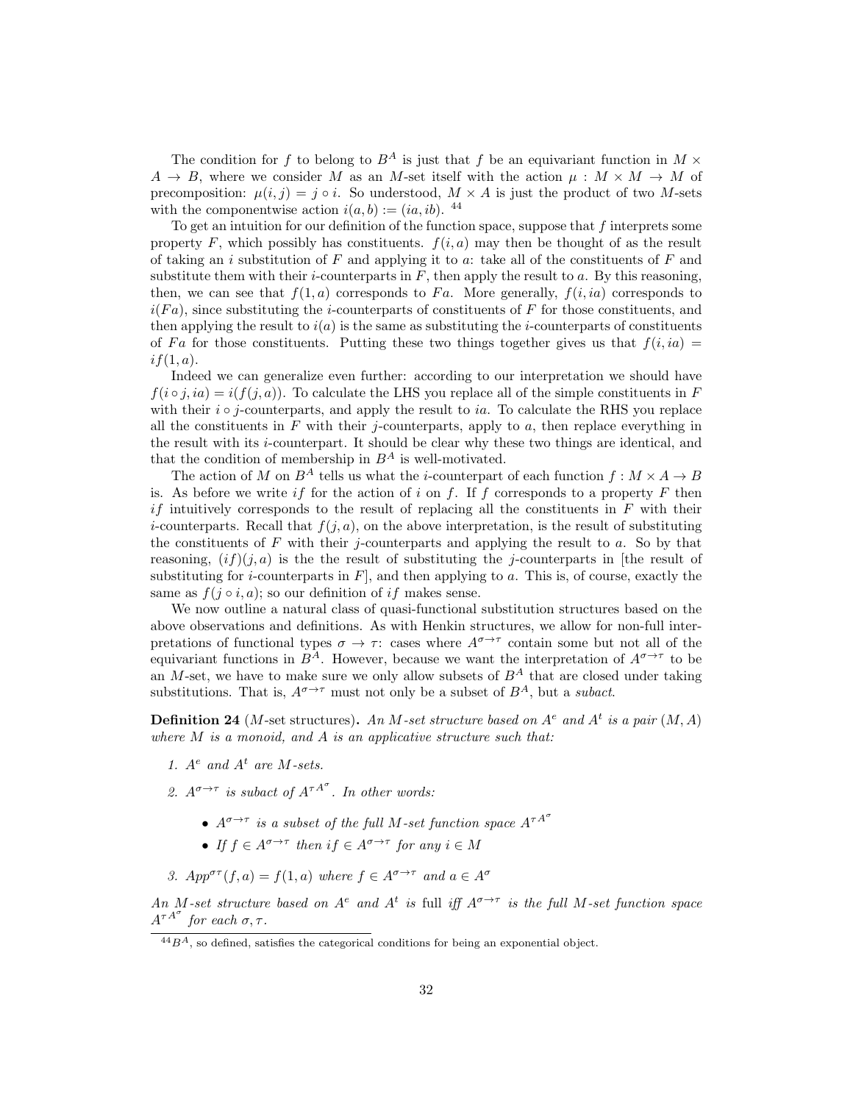The condition for f to belong to  $B^A$  is just that f be an equivariant function in  $M \times$  $A \to B$ , where we consider M as an M-set itself with the action  $\mu : M \times M \to M$  of precomposition:  $\mu(i, j) = j \circ i$ . So understood,  $M \times A$  is just the product of two M-sets with the componentwise action  $i(a, b) := (ia, ib)$ . <sup>44</sup>

To get an intuition for our definition of the function space, suppose that  $f$  interprets some property F, which possibly has constituents.  $f(i, a)$  may then be thought of as the result of taking an i substitution of F and applying it to a: take all of the constituents of F and substitute them with their *i*-counterparts in  $F$ , then apply the result to  $a$ . By this reasoning, then, we can see that  $f(1, a)$  corresponds to F<sub>a</sub>. More generally,  $f(i, ia)$  corresponds to  $i(Fa)$ , since substituting the *i*-counterparts of constituents of F for those constituents, and then applying the result to  $i(a)$  is the same as substituting the *i*-counterparts of constituents of Fa for those constituents. Putting these two things together gives us that  $f(i, ia)$  $if(1, a)$ .

Indeed we can generalize even further: according to our interpretation we should have  $f(i \circ j, ia) = i(f(j, a))$ . To calculate the LHS you replace all of the simple constituents in F with their  $i \circ j$ -counterparts, and apply the result to ia. To calculate the RHS you replace all the constituents in  $F$  with their j-counterparts, apply to  $a$ , then replace everything in the result with its  $i$ -counterpart. It should be clear why these two things are identical, and that the condition of membership in  $B^A$  is well-motivated.

The action of M on  $B^A$  tells us what the *i*-counterpart of each function  $f : M \times A \rightarrow B$ is. As before we write if for the action of i on f. If f corresponds to a property F then if intuitively corresponds to the result of replacing all the constituents in  $F$  with their *i*-counterparts. Recall that  $f(j, a)$ , on the above interpretation, is the result of substituting the constituents of  $F$  with their j-counterparts and applying the result to  $a$ . So by that reasoning,  $(if)(j, a)$  is the the result of substituting the j-counterparts in [the result of substituting for *i*-counterparts in  $F$ , and then applying to a. This is, of course, exactly the same as  $f(j \circ i, a)$ ; so our definition of if makes sense.

We now outline a natural class of quasi-functional substitution structures based on the above observations and definitions. As with Henkin structures, we allow for non-full interpretations of functional types  $\sigma \to \tau$ : cases where  $A^{\sigma \to \tau}$  contain some but not all of the equivariant functions in  $B^A$ . However, because we want the interpretation of  $A^{\sigma \to \tau}$  to be an M-set, we have to make sure we only allow subsets of  $B^A$  that are closed under taking substitutions. That is,  $A^{\sigma \to \tau}$  must not only be a subset of  $B^A$ , but a *subact*.

**Definition 24** (*M*-set structures). An *M*-set structure based on  $A^e$  and  $A^t$  is a pair  $(M, A)$ where  $M$  is a monoid, and  $A$  is an applicative structure such that:

- 1.  $A^e$  and  $A^t$  are M-sets.
- 2.  $A^{\sigma \to \tau}$  is subact of  $A^{\tau A^{\sigma}}$ . In other words:
	- $A^{\sigma \rightarrow \tau}$  is a subset of the full M-set function space  $A^{\tau A^{\sigma}}$
	- If  $f \in A^{\sigma \to \tau}$  then  $if \in A^{\sigma \to \tau}$  for any  $i \in M$

3.  $App^{\sigma\tau}(f, a) = f(1, a)$  where  $f \in A^{\sigma \to \tau}$  and  $a \in A^{\sigma}$ 

An M-set structure based on  $A^e$  and  $A^t$  is full iff  $A^{\sigma\to\tau}$  is the full M-set function space  $A^{\tau A^{\sigma}}$  for each  $\sigma, \tau$ .

 $\frac{44}{3}B^A$ , so defined, satisfies the categorical conditions for being an exponential object.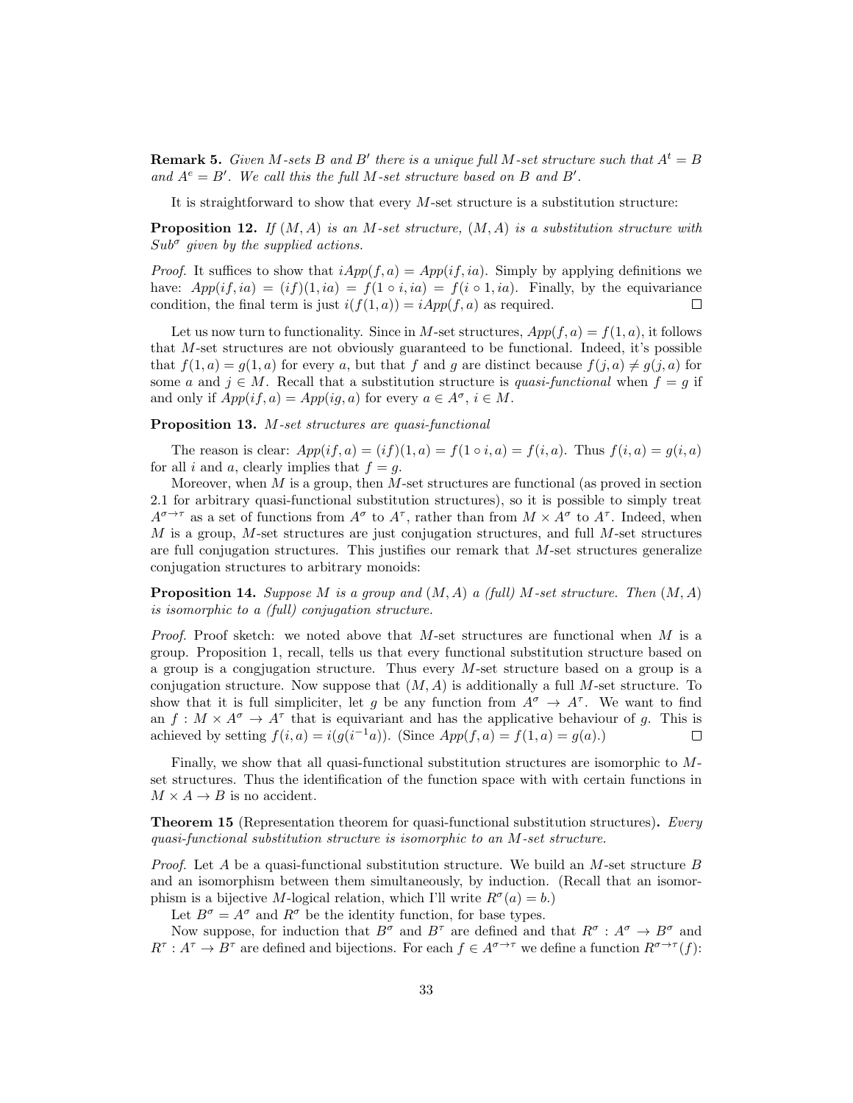**Remark 5.** Given M-sets B and B' there is a unique full M-set structure such that  $A^t = B$ and  $A^e = B'$ . We call this the full M-set structure based on B and B'.

It is straightforward to show that every  $M$ -set structure is a substitution structure:

**Proposition 12.** If  $(M, A)$  is an M-set structure,  $(M, A)$  is a substitution structure with  $Sub^{\sigma}$  given by the supplied actions.

*Proof.* It suffices to show that  $iApp(f, a) = App(if, ia)$ . Simply by applying definitions we have:  $App(i, ia) = (if)(1, ia) = f(1 \circ i, ia) = f(i \circ 1, ia)$ . Finally, by the equivariance condition, the final term is just  $i(f(1, a)) = iApp(f, a)$  as required.  $\Box$ 

Let us now turn to functionality. Since in M-set structures,  $App(f, a) = f(1, a)$ , it follows that M-set structures are not obviously guaranteed to be functional. Indeed, it's possible that  $f(1, a) = g(1, a)$  for every a, but that f and g are distinct because  $f(j, a) \neq g(j, a)$  for some a and  $j \in M$ . Recall that a substitution structure is quasi-functional when  $f = g$  if and only if  $App(if, a) = App(ig, a)$  for every  $a \in A^{\sigma}, i \in M$ .

#### Proposition 13. M-set structures are quasi-functional

The reason is clear:  $App(if, a) = (if)(1, a) = f(1 \circ i, a) = f(i, a)$ . Thus  $f(i, a) = g(i, a)$ for all i and a, clearly implies that  $f = g$ .

Moreover, when  $M$  is a group, then  $M$ -set structures are functional (as proved in section 2.1 for arbitrary quasi-functional substitution structures), so it is possible to simply treat  $A^{\sigma \to \tau}$  as a set of functions from  $A^{\sigma}$  to  $A^{\tau}$ , rather than from  $M \times A^{\sigma}$  to  $A^{\tau}$ . Indeed, when  $M$  is a group, M-set structures are just conjugation structures, and full M-set structures are full conjugation structures. This justifies our remark that  $M$ -set structures generalize conjugation structures to arbitrary monoids:

**Proposition 14.** Suppose M is a group and  $(M, A)$  a (full) M-set structure. Then  $(M, A)$ is isomorphic to a (full) conjugation structure.

*Proof.* Proof sketch: we noted above that M-set structures are functional when M is a group. Proposition 1, recall, tells us that every functional substitution structure based on a group is a congjugation structure. Thus every M-set structure based on a group is a conjugation structure. Now suppose that  $(M, A)$  is additionally a full M-set structure. To show that it is full simpliciter, let g be any function from  $A^{\sigma} \to A^{\tau}$ . We want to find an  $f: M \times A^{\sigma} \to A^{\tau}$  that is equivariant and has the applicative behaviour of g. This is achieved by setting  $f(i, a) = i(g(i^{-1}a))$ . (Since  $App(f, a) = f(1, a) = g(a)$ .)  $\Box$ 

Finally, we show that all quasi-functional substitution structures are isomorphic to Mset structures. Thus the identification of the function space with with certain functions in  $M \times A \rightarrow B$  is no accident.

**Theorem 15** (Representation theorem for quasi-functional substitution structures). Every quasi-functional substitution structure is isomorphic to an M-set structure.

*Proof.* Let A be a quasi-functional substitution structure. We build an M-set structure B and an isomorphism between them simultaneously, by induction. (Recall that an isomorphism is a bijective M-logical relation, which I'll write  $R^{\sigma}(a) = b$ .)

Let  $B^{\sigma} = A^{\sigma}$  and  $R^{\sigma}$  be the identity function, for base types.

Now suppose, for induction that  $B^{\sigma}$  and  $B^{\tau}$  are defined and that  $R^{\sigma}$ :  $A^{\sigma} \to B^{\sigma}$  and  $R^{\tau}: A^{\tau} \to B^{\tau}$  are defined and bijections. For each  $f \in A^{\sigma \to \tau}$  we define a function  $R^{\sigma \to \tau}(f)$ :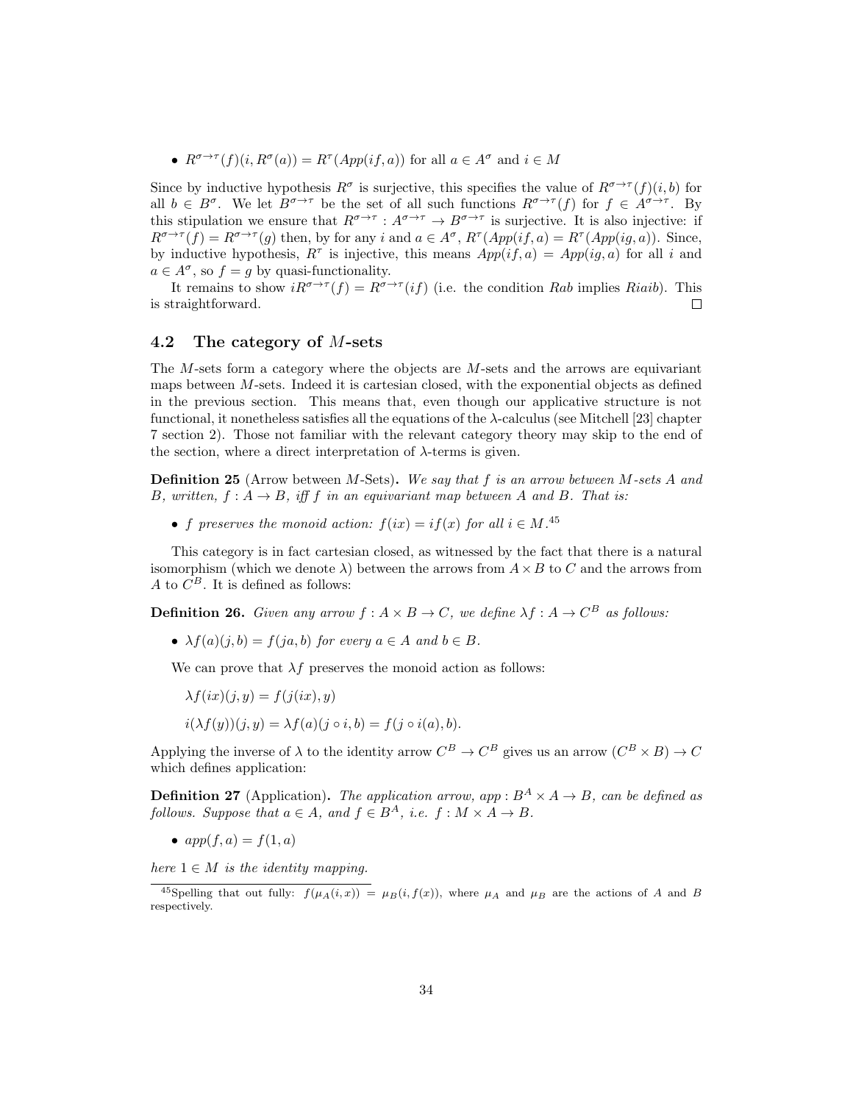•  $R^{\sigma \to \tau}(f)(i, R^{\sigma}(a)) = R^{\tau}(App(if, a))$  for all  $a \in A^{\sigma}$  and  $i \in M$ 

Since by inductive hypothesis  $R^{\sigma}$  is surjective, this specifies the value of  $R^{\sigma\to\tau}(f)(i,b)$  for all  $b \in B^{\sigma}$ . We let  $B^{\sigma \to \tau}$  be the set of all such functions  $R^{\sigma \to \tau}(f)$  for  $f \in A^{\sigma \to \tau}$ . By this stipulation we ensure that  $R^{\sigma \to \tau} : A^{\sigma \to \tau} \to B^{\sigma \to \tau}$  is surjective. It is also injective: if  $R^{\sigma \to \tau}(f) = R^{\sigma \to \tau}(g)$  then, by for any i and  $a \in A^{\sigma}$ ,  $R^{\tau}(App(i f, a) = R^{\tau}(App(i g, a))$ . Since, by inductive hypothesis,  $R^{\tau}$  is injective, this means  $App(if, a) = App(ig, a)$  for all i and  $a \in A^{\sigma}$ , so  $f = g$  by quasi-functionality.

It remains to show  $iR^{\sigma \to \tau}(f) = R^{\sigma \to \tau}(if)$  (i.e. the condition Rab implies Riaib). This is straightforward.  $\Box$ 

#### 4.2 The category of M-sets

The M-sets form a category where the objects are M-sets and the arrows are equivariant maps between  $M$ -sets. Indeed it is cartesian closed, with the exponential objects as defined in the previous section. This means that, even though our applicative structure is not functional, it nonetheless satisfies all the equations of the  $\lambda$ -calculus (see Mitchell [23] chapter 7 section 2). Those not familiar with the relevant category theory may skip to the end of the section, where a direct interpretation of  $\lambda$ -terms is given.

**Definition 25** (Arrow between M-Sets). We say that f is an arrow between M-sets A and B, written,  $f : A \rightarrow B$ , iff f in an equivariant map between A and B. That is:

• f preserves the monoid action:  $f(ix) = if(x)$  for all  $i \in M$ .<sup>45</sup>

This category is in fact cartesian closed, as witnessed by the fact that there is a natural isomorphism (which we denote  $\lambda$ ) between the arrows from  $A \times B$  to C and the arrows from A to  $C^B$ . It is defined as follows:

**Definition 26.** Given any arrow  $f : A \times B \to C$ , we define  $\lambda f : A \to C^B$  as follows:

•  $\lambda f(a)(j, b) = f(ja, b)$  for every  $a \in A$  and  $b \in B$ .

We can prove that  $\lambda f$  preserves the monoid action as follows:

$$
\begin{aligned} \lambda f(ix)(j, y) &= f(j(ix), y) \\ i(\lambda f(y))(j, y) &= \lambda f(a)(j \circ i, b) = f(j \circ i(a), b). \end{aligned}
$$

Applying the inverse of  $\lambda$  to the identity arrow  $C^B \to C^B$  gives us an arrow  $(C^B \times B) \to C$ which defines application:

**Definition 27** (Application). The application arrow, app :  $B^A \times A \rightarrow B$ , can be defined as follows. Suppose that  $a \in A$ , and  $f \in B^A$ , i.e.  $f : M \times A \to B$ .

•  $app(f, a) = f(1, a)$ 

here  $1 \in M$  is the identity mapping.

<sup>&</sup>lt;sup>45</sup>Spelling that out fully:  $f(\mu_A(i,x)) = \mu_B(i, f(x))$ , where  $\mu_A$  and  $\mu_B$  are the actions of A and B respectively.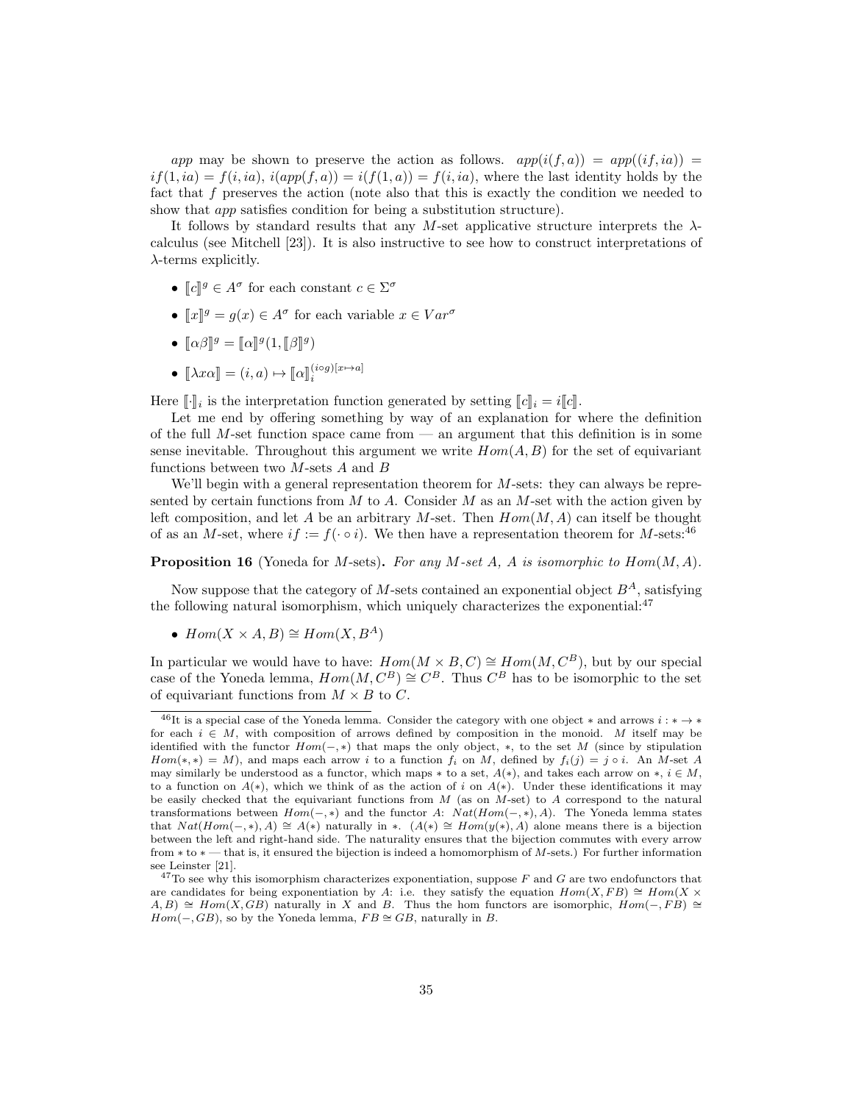app may be shown to preserve the action as follows.  $app(i(f, a)) = app((if, ia)) =$  $if(1, ia) = f(i, ia), i(app(f, a)) = i(f(1, a)) = f(i, ia),$  where the last identity holds by the fact that f preserves the action (note also that this is exactly the condition we needed to show that *app* satisfies condition for being a substitution structure).

It follows by standard results that any M-set applicative structure interprets the  $\lambda$ calculus (see Mitchell [23]). It is also instructive to see how to construct interpretations of  $\lambda$ -terms explicitly.

- $\llbracket c \rrbracket^g \in A^{\sigma}$  for each constant  $c \in \Sigma^{\sigma}$
- $[x]$ <sup>*g*</sup> =  $g(x) \in A^{\sigma}$  for each variable  $x \in Var^{\sigma}$
- $\llbracket \alpha \beta \rrbracket^g = \llbracket \alpha \rrbracket^g (1, \llbracket \beta \rrbracket^g)$
- $[\![\lambda x \alpha]\!] = (i, a) \mapsto [\![\alpha]\!]_i^{(i \circ g)[x \mapsto a]}$

Here  $\llbracket \cdot \rrbracket_i$  is the interpretation function generated by setting  $\llbracket c \rrbracket_i = i \llbracket c \rrbracket$ .<br>Let me end by effecting semathing by way of an explanation for r

Let me end by offering something by way of an explanation for where the definition of the full  $M$ -set function space came from  $-$  an argument that this definition is in some sense inevitable. Throughout this argument we write  $Hom(A, B)$  for the set of equivariant functions between two  $M$ -sets  $A$  and  $B$ 

We'll begin with a general representation theorem for M-sets: they can always be represented by certain functions from  $M$  to  $A$ . Consider  $M$  as an  $M$ -set with the action given by left composition, and let A be an arbitrary M-set. Then  $Hom(M, A)$  can itself be thought of as an M-set, where  $if := f(\cdot \circ i)$ . We then have a representation theorem for M-sets:<sup>46</sup>

**Proposition 16** (Yoneda for M-sets). For any M-set A, A is isomorphic to  $Hom(M, A)$ .

Now suppose that the category of M-sets contained an exponential object  $B^A$ , satisfying the following natural isomorphism, which uniquely characterizes the exponential: $47$ 

•  $Hom(X \times A, B) \cong Hom(X, B^A)$ 

In particular we would have to have:  $Hom(M \times B, C) \cong Hom(M, C^B)$ , but by our special case of the Yoneda lemma,  $Hom(M, C^B) \cong C^B$ . Thus  $C^B$  has to be isomorphic to the set of equivariant functions from  $M \times B$  to C.

 $^{46}$ It is a special case of the Yoneda lemma. Consider the category with one object \* and arrows  $i : * \rightarrow *$ for each  $i \in M$ , with composition of arrows defined by composition in the monoid. M itself may be identified with the functor  $Hom(-, *)$  that maps the only object,  $*,$  to the set M (since by stipulation  $Hom(*, *) = M$ , and maps each arrow i to a function  $f_i$  on M, defined by  $f_i(j) = j \circ i$ . An M-set A may similarly be understood as a functor, which maps  $*$  to a set,  $A(*)$ , and takes each arrow on  $*, i \in M$ , to a function on  $A(*)$ , which we think of as the action of i on  $A(*)$ . Under these identifications it may be easily checked that the equivariant functions from  $M$  (as on  $M$ -set) to  $A$  correspond to the natural transformations between  $Hom(-, *)$  and the functor A:  $Nat(Hom(-, *) , A)$ . The Yoneda lemma states that  $Nat(Hom(-, *), A) \cong A(*)$  naturally in \*.  $(A(*) \cong Hom(y(*), A)$  alone means there is a bijection between the left and right-hand side. The naturality ensures that the bijection commutes with every arrow from ∗ to ∗ — that is, it ensured the bijection is indeed a homomorphism of M-sets.) For further information see Leinster [21].

 $^{47}$ To see why this isomorphism characterizes exponentiation, suppose F and G are two endofunctors that are candidates for being exponentiation by A: i.e. they satisfy the equation  $Hom(X, FB) \cong Hom(X \times$  $A, B) \cong Hom(X, GB)$  naturally in X and B. Thus the hom functors are isomorphic,  $Hom(-, FB) \cong$  $Hom(-, GB)$ , so by the Yoneda lemma,  $FB \cong GB$ , naturally in B.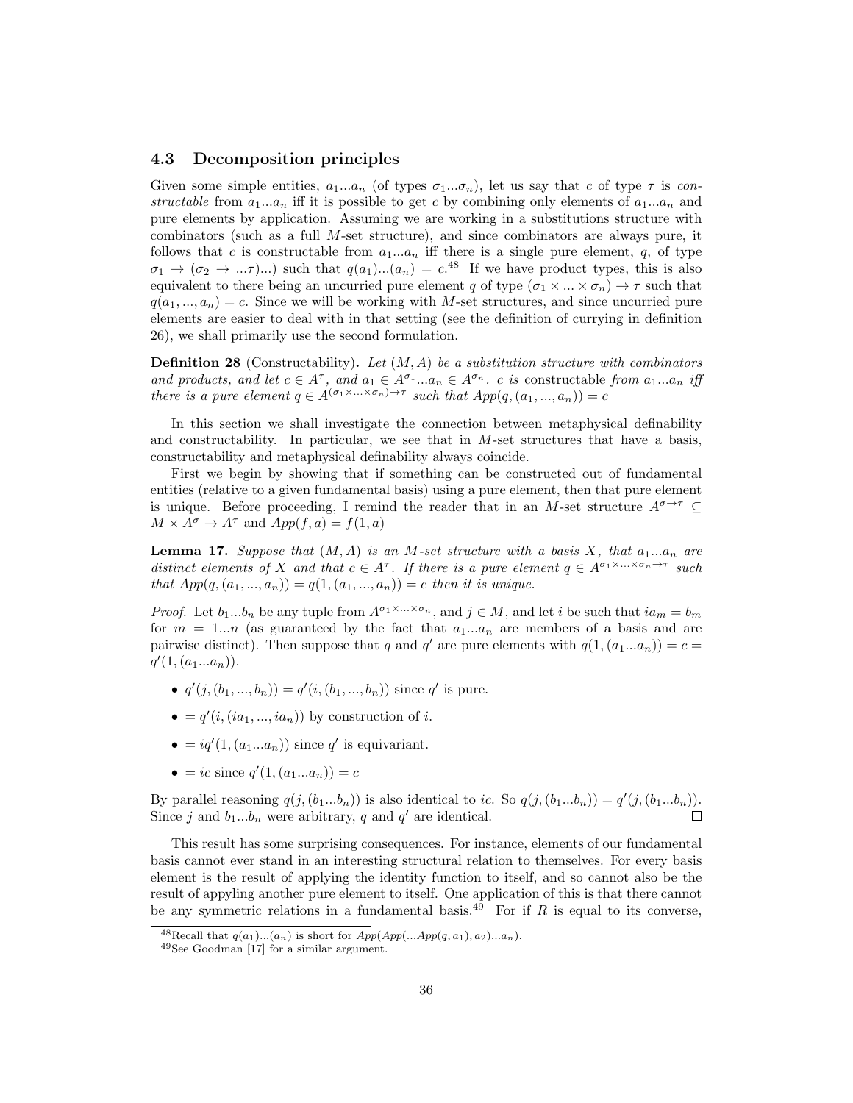### 4.3 Decomposition principles

Given some simple entities,  $a_1...a_n$  (of types  $\sigma_1...\sigma_n$ ), let us say that c of type  $\tau$  is constructable from  $a_1...a_n$  iff it is possible to get c by combining only elements of  $a_1...a_n$  and pure elements by application. Assuming we are working in a substitutions structure with combinators (such as a full M-set structure), and since combinators are always pure, it follows that c is constructable from  $a_1...a_n$  iff there is a single pure element, q, of type  $\sigma_1 \to (\sigma_2 \to ... \tau) ...$  such that  $q(a_1)...(a_n) = c^{48}$  If we have product types, this is also equivalent to there being an uncurried pure element q of type  $(\sigma_1 \times ... \times \sigma_n) \to \tau$  such that  $q(a_1, ..., a_n) = c$ . Since we will be working with M-set structures, and since uncurried pure elements are easier to deal with in that setting (see the definition of currying in definition 26), we shall primarily use the second formulation.

**Definition 28** (Constructability). Let  $(M, A)$  be a substitution structure with combinators and products, and let  $c \in A^{\tau}$ , and  $a_1 \in A^{\sigma_1} \dots a_n \in A^{\sigma_n}$ . c is constructable from  $a_1 \dots a_n$  iff there is a pure element  $q \in A^{(\sigma_1 \times \ldots \times \sigma_n) \to \tau}$  such that  $App(q, (a_1, ..., a_n)) = c$ 

In this section we shall investigate the connection between metaphysical definability and constructability. In particular, we see that in  $M$ -set structures that have a basis, constructability and metaphysical definability always coincide.

First we begin by showing that if something can be constructed out of fundamental entities (relative to a given fundamental basis) using a pure element, then that pure element is unique. Before proceeding, I remind the reader that in an M-set structure  $A^{\sigma \to \tau} \subseteq$  $M \times A^{\sigma} \rightarrow A^{\tau}$  and  $App(f, a) = f(1, a)$ 

**Lemma 17.** Suppose that  $(M, A)$  is an M-set structure with a basis X, that  $a_1...a_n$  are distinct elements of X and that  $c \in A^{\tau}$ . If there is a pure element  $q \in A^{\sigma_1 \times \ldots \times \sigma_n \to \tau}$  such that  $App(q, (a_1, ..., a_n)) = q(1, (a_1, ..., a_n)) = c$  then it is unique.

*Proof.* Let  $b_1...b_n$  be any tuple from  $A^{\sigma_1 \times ... \times \sigma_n}$ , and  $j \in M$ , and let i be such that  $ia_m = b_m$ for  $m = 1...n$  (as guaranteed by the fact that  $a_1...a_n$  are members of a basis and are pairwise distinct). Then suppose that q and q' are pure elements with  $q(1,(a_1...a_n))=c=$  $q'(1, (a_1...a_n)).$ 

- $q'(j,(b_1,...,b_n)) = q'(i,(b_1,...,b_n))$  since q' is pure.
- $\bullet = q'(i, (ia_1, ..., ia_n))$  by construction of i.
- $\bullet = iq'(1, (a_1...a_n))$  since q' is equivariant.
- = ic since  $q'(1, (a_1...a_n)) = c$

By parallel reasoning  $q(j, (b_1...b_n))$  is also identical to ic. So  $q(j, (b_1...b_n)) = q'(j, (b_1...b_n))$ . Since j and  $b_1...b_n$  were arbitrary, q and q' are identical.

This result has some surprising consequences. For instance, elements of our fundamental basis cannot ever stand in an interesting structural relation to themselves. For every basis element is the result of applying the identity function to itself, and so cannot also be the result of appyling another pure element to itself. One application of this is that there cannot be any symmetric relations in a fundamental basis.<sup>49</sup> For if R is equal to its converse,

<sup>&</sup>lt;sup>48</sup>Recall that  $q(a_1)...(a_n)$  is short for  $App(App(...App(q, a_1), a_2)...a_n)$ .

<sup>49</sup>See Goodman [17] for a similar argument.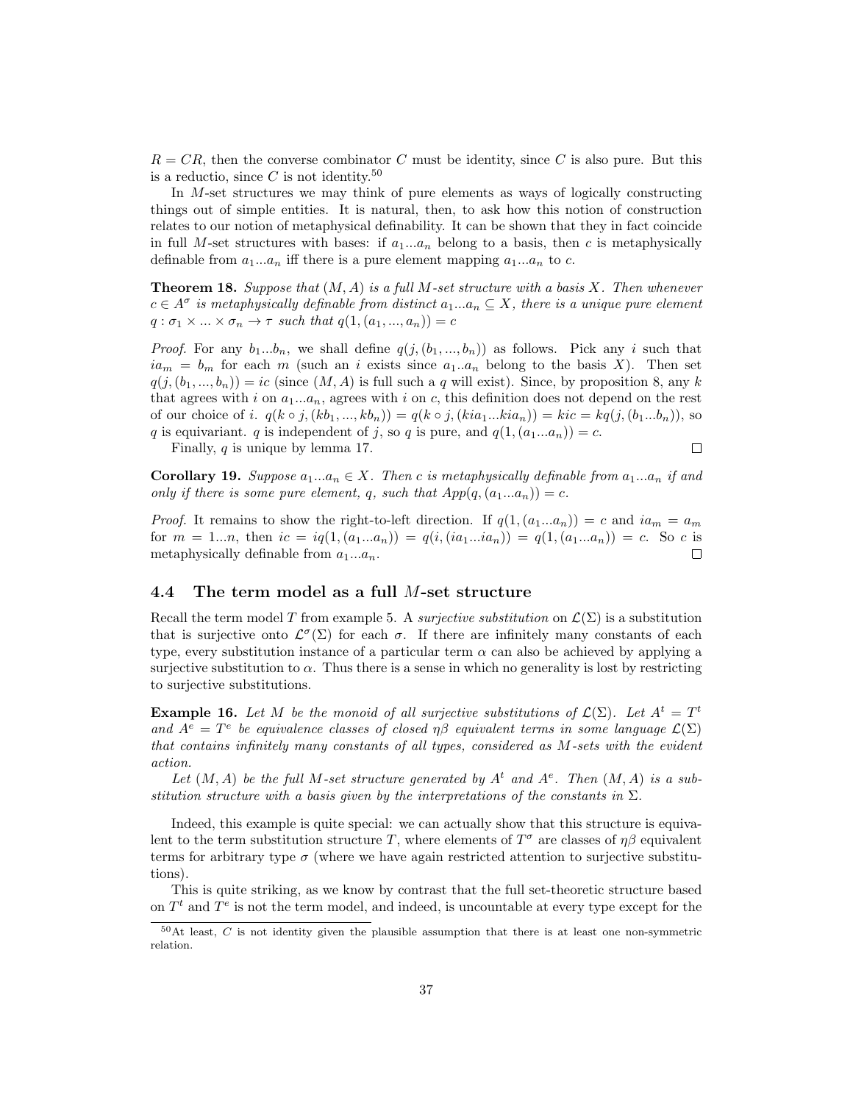$R = CR$ , then the converse combinator C must be identity, since C is also pure. But this is a reductio, since  $C$  is not identity.<sup>50</sup>

In M-set structures we may think of pure elements as ways of logically constructing things out of simple entities. It is natural, then, to ask how this notion of construction relates to our notion of metaphysical definability. It can be shown that they in fact coincide in full M-set structures with bases: if  $a_1...a_n$  belong to a basis, then c is metaphysically definable from  $a_1...a_n$  iff there is a pure element mapping  $a_1...a_n$  to c.

**Theorem 18.** Suppose that  $(M, A)$  is a full M-set structure with a basis X. Then whenever  $c \in A^{\sigma}$  is metaphysically definable from distinct  $a_1...a_n \subseteq X$ , there is a unique pure element  $q : \sigma_1 \times ... \times \sigma_n \rightarrow \tau$  such that  $q(1, (a_1, ..., a_n)) = c$ 

*Proof.* For any  $b_1...b_n$ , we shall define  $q(j, (b_1,..., b_n))$  as follows. Pick any i such that  $ia_m = b_m$  for each m (such an i exists since  $a_1 \cdot a_n$  belong to the basis X). Then set  $q(j,(b_1,...,b_n)) = ic$  (since  $(M, A)$  is full such a q will exist). Since, by proposition 8, any k that agrees with i on  $a_1...a_n$ , agrees with i on c, this definition does not depend on the rest of our choice of i.  $q(k \circ j, (kb_1, ..., kb_n)) = q(k \circ j, (kia_1...kia_n)) = kic = kq(j, (b_1...b_n))$ , so q is equivariant. q is independent of j, so q is pure, and  $q(1,(a_1...a_n))=c$ .

Finally, q is unique by lemma 17.

$$
\qquad \qquad \Box
$$

**Corollary 19.** Suppose  $a_1...a_n \in X$ . Then c is metaphysically definable from  $a_1...a_n$  if and only if there is some pure element, q, such that  $App(q,(a_1...a_n))=c$ .

*Proof.* It remains to show the right-to-left direction. If  $q(1,(a_1...a_n)) = c$  and  $ia_m = a_m$ for  $m = 1...n$ , then  $ic = iq(1, (a_1...a_n)) = q(i, (ia_1...ia_n)) = q(1, (a_1...a_n)) = c$ . So c is metaphysically definable from  $a_1...a_n$ .  $\Box$ 

#### 4.4 The term model as a full M-set structure

Recall the term model T from example 5. A *surjective substitution* on  $\mathcal{L}(\Sigma)$  is a substitution that is surjective onto  $\mathcal{L}^{\sigma}(\Sigma)$  for each  $\sigma$ . If there are infinitely many constants of each type, every substitution instance of a particular term  $\alpha$  can also be achieved by applying a surjective substitution to  $\alpha$ . Thus there is a sense in which no generality is lost by restricting to surjective substitutions.

**Example 16.** Let M be the monoid of all surjective substitutions of  $\mathcal{L}(\Sigma)$ . Let  $A^t = T^t$ and  $A^e = T^e$  be equivalence classes of closed  $\eta\beta$  equivalent terms in some language  $\mathcal{L}(\Sigma)$ that contains infinitely many constants of all types, considered as M-sets with the evident action.

Let  $(M, A)$  be the full M-set structure generated by  $A<sup>t</sup>$  and  $A<sup>e</sup>$ . Then  $(M, A)$  is a substitution structure with a basis given by the interpretations of the constants in  $\Sigma$ .

Indeed, this example is quite special: we can actually show that this structure is equivalent to the term substitution structure T, where elements of  $T^{\sigma}$  are classes of  $\eta\beta$  equivalent terms for arbitrary type  $\sigma$  (where we have again restricted attention to surjective substitutions).

This is quite striking, as we know by contrast that the full set-theoretic structure based on  $T<sup>t</sup>$  and  $T<sup>e</sup>$  is not the term model, and indeed, is uncountable at every type except for the

 $50$ At least, C is not identity given the plausible assumption that there is at least one non-symmetric relation.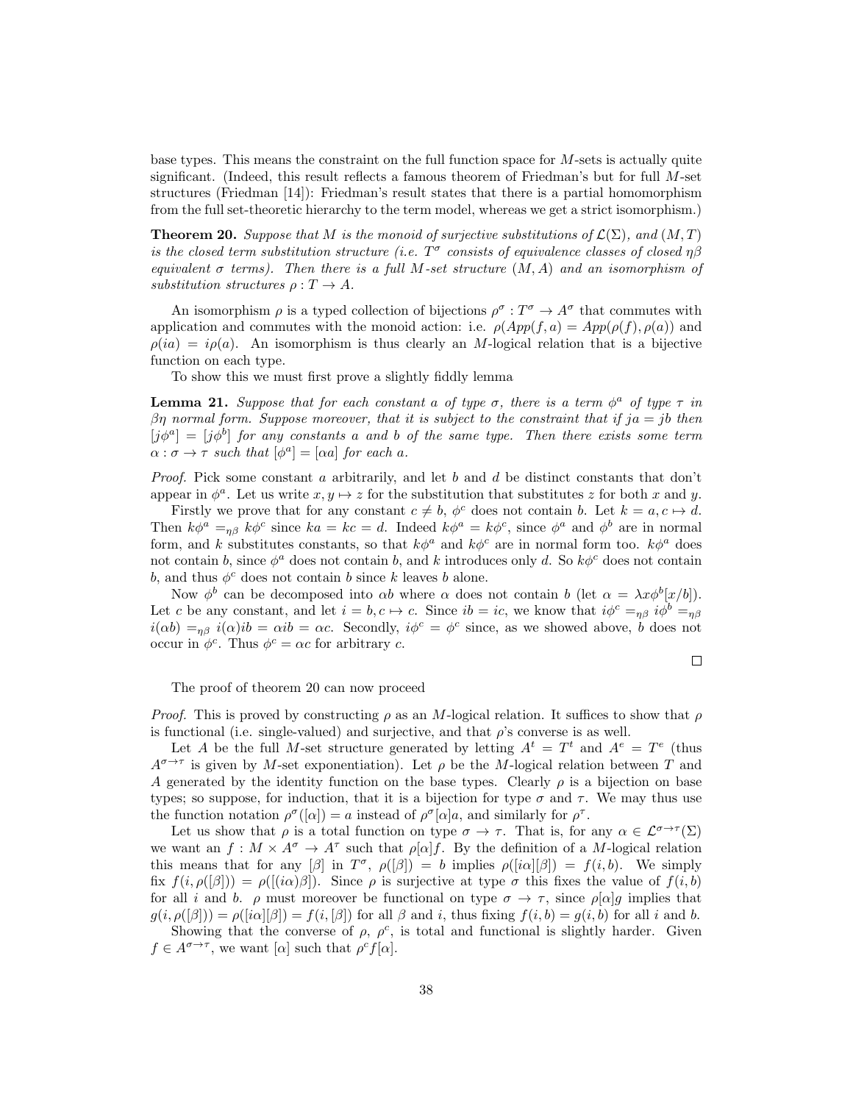base types. This means the constraint on the full function space for  $M$ -sets is actually quite significant. (Indeed, this result reflects a famous theorem of Friedman's but for full M-set structures (Friedman [14]): Friedman's result states that there is a partial homomorphism from the full set-theoretic hierarchy to the term model, whereas we get a strict isomorphism.)

**Theorem 20.** Suppose that M is the monoid of surjective substitutions of  $\mathcal{L}(\Sigma)$ , and  $(M, T)$ is the closed term substitution structure (i.e.  $T^{\sigma}$  consists of equivalence classes of closed  $\eta\beta$ equivalent  $\sigma$  terms). Then there is a full M-set structure  $(M, A)$  and an isomorphism of substitution structures  $\rho: T \to A$ .

An isomorphism  $\rho$  is a typed collection of bijections  $\rho^{\sigma}: T^{\sigma} \to A^{\sigma}$  that commutes with application and commutes with the monoid action: i.e.  $\rho (App(f, a) = App(\rho(f), \rho(a))$  and  $\rho(ia) = i\rho(a)$ . An isomorphism is thus clearly an M-logical relation that is a bijective function on each type.

To show this we must first prove a slightly fiddly lemma

**Lemma 21.** Suppose that for each constant a of type  $\sigma$ , there is a term  $\phi^a$  of type  $\tau$  in βη normal form. Suppose moreover, that it is subject to the constraint that if  $ja = ib$  then  $[j\phi^a] = [j\phi^b]$  for any constants a and b of the same type. Then there exists some term  $\alpha : \sigma \to \tau$  such that  $[\phi^a] = [\alpha a]$  for each a.

*Proof.* Pick some constant a arbitrarily, and let b and d be distinct constants that don't appear in  $\phi^a$ . Let us write  $x, y \mapsto z$  for the substitution that substitutes z for both x and y.

Firstly we prove that for any constant  $c \neq b$ ,  $\phi^c$  does not contain b. Let  $k = a, c \mapsto d$ . Then  $k\phi^a =_{\eta\beta} k\phi^c$  since  $ka = kc = d$ . Indeed  $k\phi^a = k\phi^c$ , since  $\phi^a$  and  $\phi^b$  are in normal form, and k substitutes constants, so that  $k\phi^a$  and  $k\phi^c$  are in normal form too.  $k\phi^a$  does not contain b, since  $\phi^a$  does not contain b, and k introduces only d. So  $k\phi^c$  does not contain b, and thus  $\phi^c$  does not contain b since k leaves b alone.

Now  $\phi^b$  can be decomposed into  $\alpha b$  where  $\alpha$  does not contain b (let  $\alpha = \lambda x \phi^b[x/b]$ ). Let c be any constant, and let  $i = b, c \mapsto c$ . Since  $ib = ic$ , we know that  $i\phi^c =_{\eta\beta} i\phi^b =_{\eta\beta}$  $i(\alpha b) =_{\eta\beta} i(\alpha)$  ib =  $\alpha ib = \alpha c$ . Secondly,  $i\phi^c = \phi^c$  since, as we showed above, b does not occur in  $\phi^c$ . Thus  $\phi^c = \alpha c$  for arbitrary c.

$$
\qquad \qquad \Box
$$

The proof of theorem 20 can now proceed

*Proof.* This is proved by constructing  $\rho$  as an M-logical relation. It suffices to show that  $\rho$ is functional (i.e. single-valued) and surjective, and that  $\rho$ 's converse is as well.

Let A be the full M-set structure generated by letting  $A^t = T^t$  and  $A^e = T^e$  (thus  $A^{\sigma \to \tau}$  is given by M-set exponentiation). Let  $\rho$  be the M-logical relation between T and A generated by the identity function on the base types. Clearly  $\rho$  is a bijection on base types; so suppose, for induction, that it is a bijection for type  $\sigma$  and  $\tau$ . We may thus use the function notation  $\rho^{\sigma}([\alpha]) = a$  instead of  $\rho^{\sigma}[\alpha]a$ , and similarly for  $\rho^{\tau}$ .

Let us show that  $\rho$  is a total function on type  $\sigma \to \tau$ . That is, for any  $\alpha \in \mathcal{L}^{\sigma \to \tau}(\Sigma)$ we want an  $f: M \times A^{\sigma} \to A^{\tau}$  such that  $\rho[\alpha]f$ . By the definition of a M-logical relation this means that for any  $[\beta]$  in  $T^{\sigma}$ ,  $\rho([\beta]) = b$  implies  $\rho([\alpha][\beta]) = f(i, b)$ . We simply fix  $f(i, \rho([\beta])) = \rho([i\alpha)\beta])$ . Since  $\rho$  is surjective at type  $\sigma$  this fixes the value of  $f(i, b)$ for all i and b.  $\rho$  must moreover be functional on type  $\sigma \to \tau$ , since  $\rho[\alpha]g$  implies that  $g(i, \rho(\beta)) = \rho([i\alpha][\beta]) = f(i, \beta])$  for all  $\beta$  and i, thus fixing  $f(i, b) = g(i, b)$  for all i and b.

Showing that the converse of  $\rho$ ,  $\rho^c$ , is total and functional is slightly harder. Given  $f \in A^{\sigma \to \tau}$ , we want  $[\alpha]$  such that  $\rho^c f[\alpha]$ .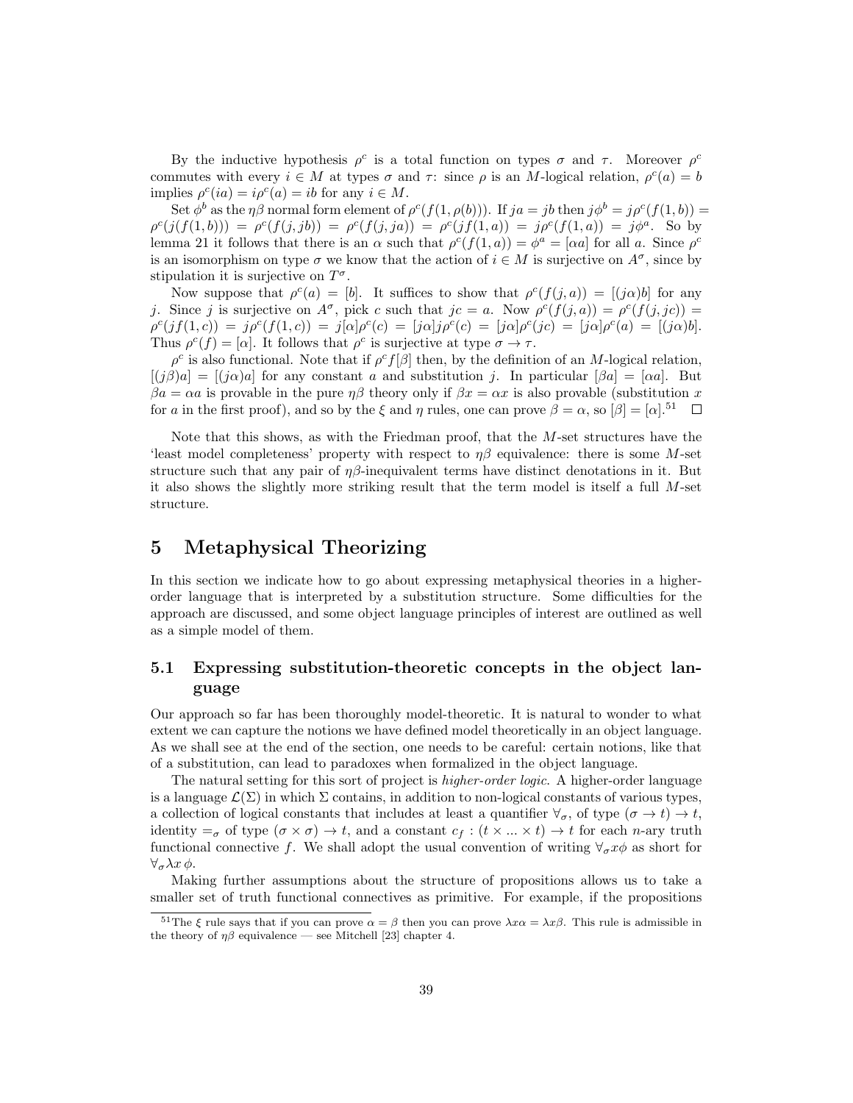By the inductive hypothesis  $\rho^c$  is a total function on types  $\sigma$  and  $\tau$ . Moreover  $\rho^c$ commutes with every  $i \in M$  at types  $\sigma$  and  $\tau$ : since  $\rho$  is an M-logical relation,  $\rho^{c}(a) = b$ implies  $\rho^{c}(ia) = i\rho^{c}(a) = ib$  for any  $i \in M$ .

Set  $\phi^b$  as the  $\eta\beta$  normal form element of  $\rho^c(f(1,\rho(b)))$ . If  $ja = jb$  then  $j\phi^b = j\rho^c(f(1,b))$  =  $\rho^c(j(f(1,b))) = \rho^c(f(j,jb)) = \rho^c(f(j,ja)) = \rho^c(jf(1,a)) = j\rho^c(f(1,a)) = j\phi^a$ . So by lemma 21 it follows that there is an  $\alpha$  such that  $\rho^c(f(1, a)) = \phi^a = [\alpha a]$  for all a. Since  $\rho^c$ is an isomorphism on type  $\sigma$  we know that the action of  $i \in M$  is surjective on  $A^{\sigma}$ , since by stipulation it is surjective on  $T^{\sigma}$ .

Now suppose that  $\rho^{c}(a) = [b]$ . It suffices to show that  $\rho^{c}(f(j, a)) = [(j\alpha)b]$  for any j. Since j is surjective on  $A^{\sigma}$ , pick c such that  $jc = a$ . Now  $\rho^{c}(f(j, a)) = \rho^{c}(f(j, jc))$  $\rho^{c}(jf(1, c)) = j\rho^{c}(f(1, c)) = j[\alpha]\rho^{c}(c) = [j\alpha]j\rho^{c}(c) = [j\alpha]\rho^{c}(jc) = [j\alpha]\rho^{c}(a) = [(j\alpha)b].$ Thus  $\rho^{c}(f) = [\alpha]$ . It follows that  $\rho^{c}$  is surjective at type  $\sigma \to \tau$ .

 $\rho^c$  is also functional. Note that if  $\rho^c f[\beta]$  then, by the definition of an M-logical relation,  $[(j\beta)a] = [(j\alpha)a]$  for any constant a and substitution j. In particular  $[\beta a] = [\alpha a]$ . But  $\beta a = \alpha a$  is provable in the pure  $n\beta$  theory only if  $\beta x = \alpha x$  is also provable (substitution x for a in the first proof), and so by the  $\xi$  and  $\eta$  rules, one can prove  $\beta = \alpha$ , so  $[\beta] = [\alpha]$ .<sup>51</sup>

Note that this shows, as with the Friedman proof, that the M-set structures have the 'least model completeness' property with respect to  $\eta\beta$  equivalence: there is some M-set structure such that any pair of  $\eta\beta$ -inequivalent terms have distinct denotations in it. But it also shows the slightly more striking result that the term model is itself a full M-set structure.

# 5 Metaphysical Theorizing

In this section we indicate how to go about expressing metaphysical theories in a higherorder language that is interpreted by a substitution structure. Some difficulties for the approach are discussed, and some object language principles of interest are outlined as well as a simple model of them.

### 5.1 Expressing substitution-theoretic concepts in the object language

Our approach so far has been thoroughly model-theoretic. It is natural to wonder to what extent we can capture the notions we have defined model theoretically in an object language. As we shall see at the end of the section, one needs to be careful: certain notions, like that of a substitution, can lead to paradoxes when formalized in the object language.

The natural setting for this sort of project is higher-order logic. A higher-order language is a language  $\mathcal{L}(\Sigma)$  in which  $\Sigma$  contains, in addition to non-logical constants of various types, a collection of logical constants that includes at least a quantifier  $\forall_{\sigma}$ , of type  $(\sigma \to t) \to t$ , identity  $=_{\sigma}$  of type  $(\sigma \times \sigma) \to t$ , and a constant  $c_f : (t \times ... \times t) \to t$  for each *n*-ary truth functional connective f. We shall adopt the usual convention of writing  $\forall_{\sigma} x \phi$  as short for  $\forall_{\sigma} \lambda x \phi$ .

Making further assumptions about the structure of propositions allows us to take a smaller set of truth functional connectives as primitive. For example, if the propositions

<sup>&</sup>lt;sup>51</sup>The  $\xi$  rule says that if you can prove  $\alpha = \beta$  then you can prove  $\lambda x \alpha = \lambda x \beta$ . This rule is admissible in the theory of  $\eta\beta$  equivalence — see Mitchell [23] chapter 4.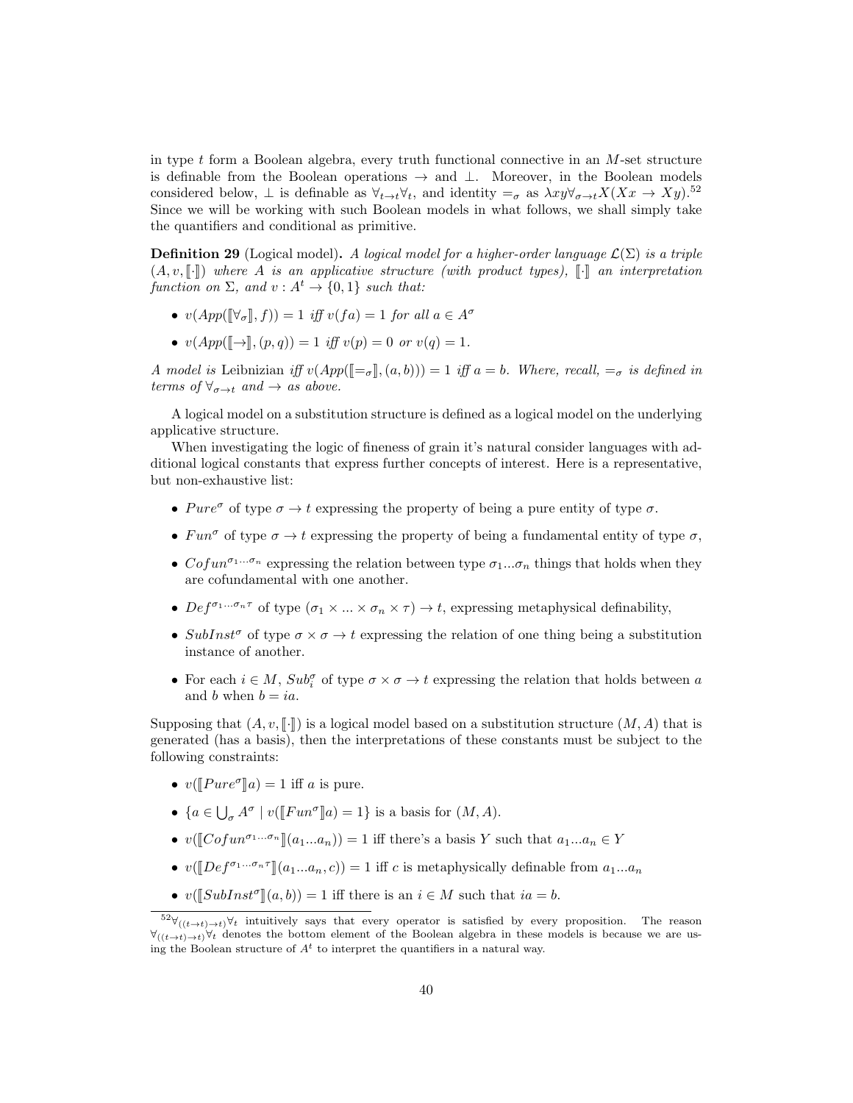in type  $t$  form a Boolean algebra, every truth functional connective in an  $M$ -set structure is definable from the Boolean operations  $\rightarrow$  and  $\perp$ . Moreover, in the Boolean models considered below,  $\perp$  is definable as  $\forall_{t\to t}\forall_t$ , and identity  $=\sigma$  as  $\lambda xy\forall_{\sigma\to t}X(Xx\to Xy)^{52}$ . Since we will be working with such Boolean models in what follows, we shall simply take the quantifiers and conditional as primitive.

**Definition 29** (Logical model). A logical model for a higher-order language  $\mathcal{L}(\Sigma)$  is a triple  $(A, v, \lceil \cdot \rceil)$  where A is an applicative structure (with product types),  $\lceil \cdot \rceil$  an interpretation function on  $\Sigma$ , and  $v : A^t \to \{0,1\}$  such that:

- $v(App([\forall_{\sigma}], f)) = 1$  iff  $v(fa) = 1$  for all  $a \in A^{\sigma}$
- $v(App([\rightarrow \,], (p,q)) = 1$  iff  $v(p) = 0$  or  $v(q) = 1$ .

A model is Leibnizian iff  $v(App([=_\sigma], (a, b))) = 1$  iff  $a = b$ . Where, recall,  $=_\sigma$  is defined in terms of  $\forall_{\sigma \to t}$  and  $\to$  as above.

A logical model on a substitution structure is defined as a logical model on the underlying applicative structure.

When investigating the logic of fineness of grain it's natural consider languages with additional logical constants that express further concepts of interest. Here is a representative, but non-exhaustive list:

- Pure<sup> $\sigma$ </sup> of type  $\sigma \rightarrow t$  expressing the property of being a pure entity of type  $\sigma$ .
- $Fun^{\sigma}$  of type  $\sigma \rightarrow t$  expressing the property of being a fundamental entity of type  $\sigma$ ,
- Cofun<sup> $\sigma_1...\sigma_n$ </sup> expressing the relation between type  $\sigma_1...\sigma_n$  things that holds when they are cofundamental with one another.
- $Def^{\sigma_1...\sigma_n\tau}$  of type  $(\sigma_1 \times ... \times \sigma_n \times \tau) \to t$ , expressing metaphysical definability,
- SubInst<sup>σ</sup> of type  $\sigma \times \sigma \to t$  expressing the relation of one thing being a substitution instance of another.
- For each  $i \in M$ ,  $Sub_i^{\sigma}$  of type  $\sigma \times \sigma \to t$  expressing the relation that holds between a and b when  $b = ia$ .

Supposing that  $(A, v, \llbracket \cdot \rrbracket)$  is a logical model based on a substitution structure  $(M, A)$  that is generated (has a basis), then the interpretations of these constants must be subject to the following constraints:

- $v(\llbracket Pure^{\sigma} \rrbracket a) = 1$  iff a is pure.
- ${a \in \bigcup_{\sigma} A^{\sigma} \mid v(\llbracket Fun^{\sigma} \rrbracket a) = 1}$  is a basis for  $(M, A)$ .
- $v(\llbracket \text{Cofun}^{\sigma_1...\sigma_n} \rrbracket(a_1...a_n)) = 1$  iff there's a basis Y such that  $a_1...a_n \in Y$
- $v(\llbracket Def^{\sigma_1...\sigma_n\tau}\rrbracket(a_1...a_n,c)) = 1$  iff c is metaphysically definable from  $a_1...a_n$
- $v(\llbracket SubInst^{\sigma} \rrbracket(a, b)) = 1$  iff there is an  $i \in M$  such that  $ia = b$ .

 $52\forall$ <sub>((t→t)→t)</sub> $\forall$ t intuitively says that every operator is satisfied by every proposition. The reason  $\forall_{((t\rightarrow t)\rightarrow t)}\forall_t$  denotes the bottom element of the Boolean algebra in these models is because we are using the Boolean structure of  $A<sup>t</sup>$  to interpret the quantifiers in a natural way.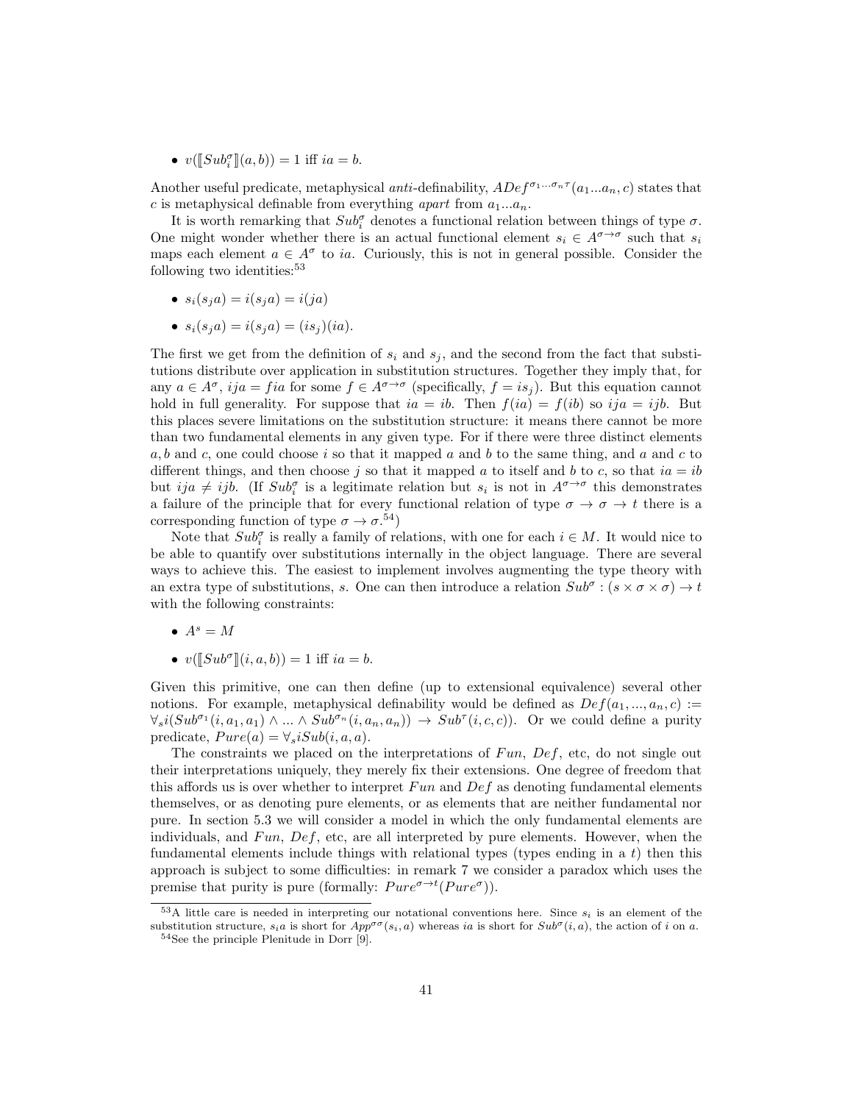•  $v([Sub_i^{\sigma}](a, b)) = 1$  iff  $ia = b$ .

Another useful predicate, metaphysical anti-definability,  $ADef^{\sigma_1...\sigma_n\tau}(a_1...a_n,c)$  states that c is metaphysical definable from everything *apart* from  $a_1...a_n$ .

It is worth remarking that  $Sub_i^{\sigma}$  denotes a functional relation between things of type  $\sigma$ . One might wonder whether there is an actual functional element  $s_i \in A^{\sigma \to \sigma}$  such that  $s_i$ maps each element  $a \in A^{\sigma}$  to ia. Curiously, this is not in general possible. Consider the following two identities:<sup>53</sup>

- $s_i(s_j a) = i(s_j a) = i(i a)$
- $s_i(s_ia) = i(s_ia) = (is_i)(ia).$

The first we get from the definition of  $s_i$  and  $s_j$ , and the second from the fact that substitutions distribute over application in substitution structures. Together they imply that, for any  $a \in A^{\sigma}$ , ij $a = fia$  for some  $f \in A^{\sigma \to \sigma}$  (specifically,  $f = is_j$ ). But this equation cannot hold in full generality. For suppose that  $ia = ib$ . Then  $f(ia) = f(ib)$  so  $ija = ijb$ . But this places severe limitations on the substitution structure: it means there cannot be more than two fundamental elements in any given type. For if there were three distinct elements a, b and c, one could choose i so that it mapped a and b to the same thing, and a and c to different things, and then choose j so that it mapped a to itself and b to c, so that  $ia = ib$ but  $ija \neq ijb$ . (If  $Sub_i^{\sigma}$  is a legitimate relation but  $s_i$  is not in  $A^{\sigma \to \sigma}$  this demonstrates a failure of the principle that for every functional relation of type  $\sigma \to \sigma \to t$  there is a corresponding function of type  $\sigma \to \sigma^{0.54}$ 

Note that  $Sub_i^{\sigma}$  is really a family of relations, with one for each  $i \in M$ . It would nice to be able to quantify over substitutions internally in the object language. There are several ways to achieve this. The easiest to implement involves augmenting the type theory with an extra type of substitutions, s. One can then introduce a relation  $Sub^{\sigma}$ :  $(s \times \sigma \times \sigma) \rightarrow t$ with the following constraints:

- $A^s = M$
- $v([Sub^{\sigma}](i, a, b)) = 1$  iff  $ia = b$ .

Given this primitive, one can then define (up to extensional equivalence) several other notions. For example, metaphysical definability would be defined as  $Def(a_1, ..., a_n, c) :=$  $\forall_s i(Sub^{\sigma_1}(i, a_1, a_1) \wedge ... \wedge Sub^{\sigma_n}(i, a_n, a_n)) \rightarrow Sub^{\tau}(i, c, c))$ . Or we could define a purity predicate,  $Pure(a) = \forall_s iSub(i, a, a)$ .

The constraints we placed on the interpretations of  $Fun, Def, etc.$  do not single out their interpretations uniquely, they merely fix their extensions. One degree of freedom that this affords us is over whether to interpret  $Fun$  and  $Def$  as denoting fundamental elements themselves, or as denoting pure elements, or as elements that are neither fundamental nor pure. In section 5.3 we will consider a model in which the only fundamental elements are individuals, and  $Fun, Def, etc.$  are all interpreted by pure elements. However, when the fundamental elements include things with relational types (types ending in a t) then this approach is subject to some difficulties: in remark 7 we consider a paradox which uses the premise that purity is pure (formally:  $Pure^{\sigma \to t}(Pure^{\sigma}))$ .

 $53A$  little care is needed in interpreting our notational conventions here. Since  $s_i$  is an element of the substitution structure,  $s_i a$  is short for  $App^{\sigma\sigma}(s_i, a)$  whereas ia is short for  $Sub^{\sigma}(i, a)$ , the action of i on a.

<sup>54</sup>See the principle Plenitude in Dorr [9].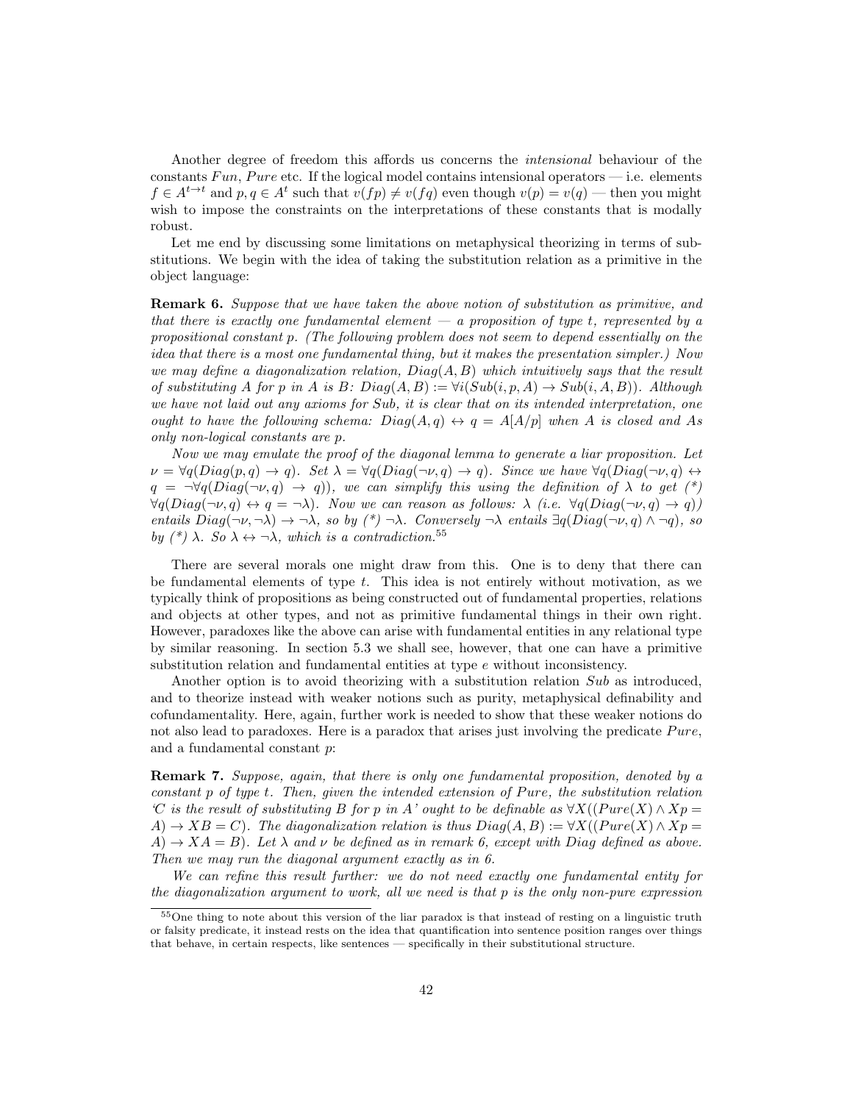Another degree of freedom this affords us concerns the intensional behaviour of the constants Fun, Pure etc. If the logical model contains intensional operators  $-$  i.e. elements  $f \in A^{t \to t}$  and  $p, q \in A^t$  such that  $v(fp) \neq v(fq)$  even though  $v(p) = v(q)$  — then you might wish to impose the constraints on the interpretations of these constants that is modally robust.

Let me end by discussing some limitations on metaphysical theorizing in terms of substitutions. We begin with the idea of taking the substitution relation as a primitive in the object language:

**Remark 6.** Suppose that we have taken the above notion of substitution as primitive, and that there is exactly one fundamental element  $-a$  proposition of type t, represented by a propositional constant p. (The following problem does not seem to depend essentially on the idea that there is a most one fundamental thing, but it makes the presentation simpler.) Now we may define a diagonalization relation,  $Diag(A, B)$  which intuitively says that the result of substituting A for p in A is B:  $Diag(A, B) := \forall i (Sub(i, p, A) \rightarrow Sub(i, A, B))$ . Although we have not laid out any axioms for Sub, it is clear that on its intended interpretation, one ought to have the following schema:  $Diag(A,q) \leftrightarrow q = A[A/p]$  when A is closed and As only non-logical constants are p.

Now we may emulate the proof of the diagonal lemma to generate a liar proposition. Let  $\nu = \forall q(Diag(p,q) \rightarrow q)$ . Set  $\lambda = \forall q(Diag(\neg \nu, q) \rightarrow q)$ . Since we have  $\forall q(Diag(\neg \nu, q) \leftrightarrow q)$  $q = \neg \forall q(Diag(\neg \nu, q) \rightarrow q)$ , we can simplify this using the definition of  $\lambda$  to get (\*)  $\forall q(Diag(\neg \nu, q) \leftrightarrow q = \neg \lambda)$ . Now we can reason as follows:  $\lambda$  (i.e.  $\forall q(Diag(\neg \nu, q) \rightarrow q)$ ) entails  $Diag(\neg \nu, \neg \lambda) \rightarrow \neg \lambda$ , so by  $(*) \neg \lambda$ . Conversely  $\neg \lambda$  entails  $\exists q(Diag(\neg \nu, q) \land \neg q)$ , so by  $({}^*)$   $\lambda$ . So  $\lambda \leftrightarrow \neg \lambda$ , which is a contradiction.<sup>55</sup>

There are several morals one might draw from this. One is to deny that there can be fundamental elements of type  $t$ . This idea is not entirely without motivation, as we typically think of propositions as being constructed out of fundamental properties, relations and objects at other types, and not as primitive fundamental things in their own right. However, paradoxes like the above can arise with fundamental entities in any relational type by similar reasoning. In section 5.3 we shall see, however, that one can have a primitive substitution relation and fundamental entities at type e without inconsistency.

Another option is to avoid theorizing with a substitution relation Sub as introduced, and to theorize instead with weaker notions such as purity, metaphysical definability and cofundamentality. Here, again, further work is needed to show that these weaker notions do not also lead to paradoxes. Here is a paradox that arises just involving the predicate  $Pure$ , and a fundamental constant p:

Remark 7. Suppose, again, that there is only one fundamental proposition, denoted by a constant p of type t. Then, given the intended extension of Pure, the substitution relation 'C is the result of substituting B for p in A' ought to be definable as  $\forall X((Pure(X) \wedge Xp =$  $A) \rightarrow XB = C$ ). The diagonalization relation is thus  $Diag(A, B) := \forall X((Pure(X) \land Xp = C))$ .  $A) \rightarrow XA = B$ ). Let  $\lambda$  and  $\nu$  be defined as in remark 6, except with Diag defined as above. Then we may run the diagonal argument exactly as in 6.

We can refine this result further: we do not need exactly one fundamental entity for the diagonalization argument to work, all we need is that p is the only non-pure expression

<sup>55</sup>One thing to note about this version of the liar paradox is that instead of resting on a linguistic truth or falsity predicate, it instead rests on the idea that quantification into sentence position ranges over things that behave, in certain respects, like sentences — specifically in their substitutional structure.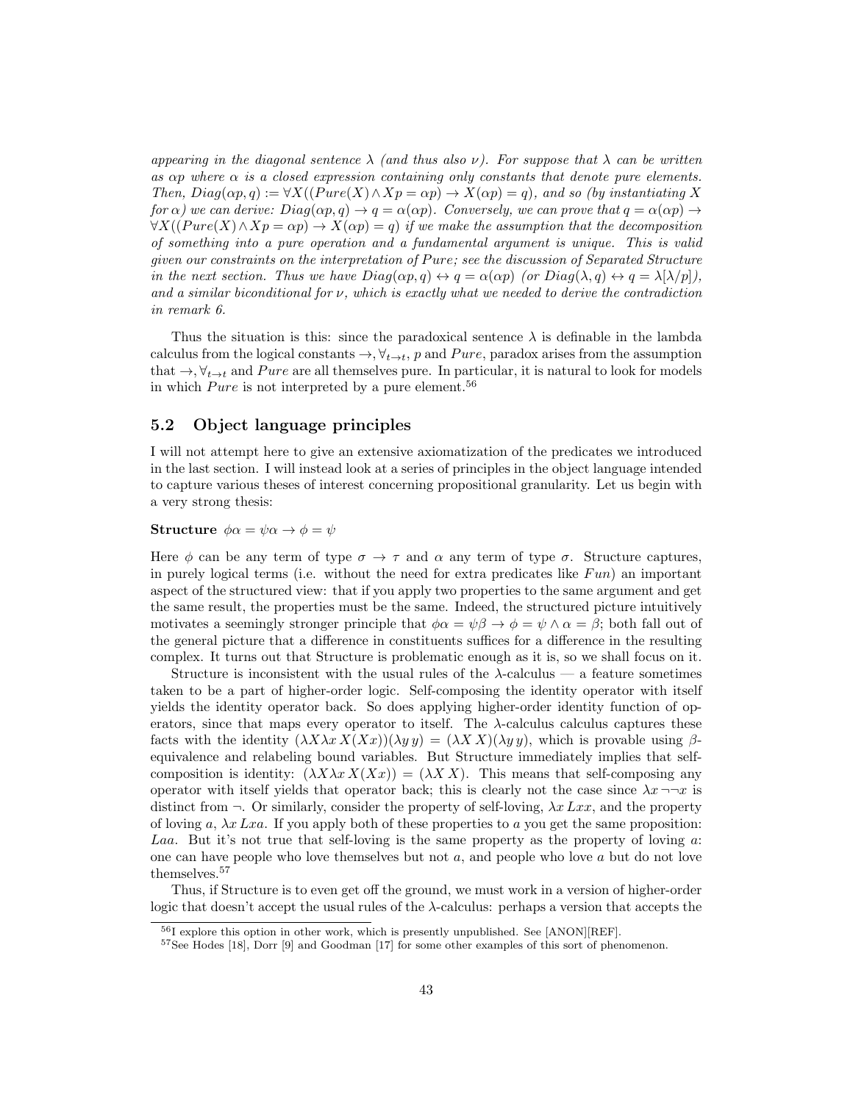appearing in the diagonal sentence  $\lambda$  (and thus also  $\nu$ ). For suppose that  $\lambda$  can be written as  $\alpha p$  where  $\alpha$  is a closed expression containing only constants that denote pure elements. Then,  $Diag(\alpha p, q) := \forall X((Pure(X) \land Xp = \alpha p) \rightarrow X(\alpha p) = q)$ , and so (by instantiating X) for  $\alpha$ ) we can derive:  $Diag(\alpha p, q) \to q = \alpha(\alpha p)$ . Conversely, we can prove that  $q = \alpha(\alpha p) \to$  $\forall X((Pure(X) \land Xp = \alpha p) \rightarrow X(\alpha p) = q)$  if we make the assumption that the decomposition of something into a pure operation and a fundamental argument is unique. This is valid given our constraints on the interpretation of Pure; see the discussion of Separated Structure in the next section. Thus we have  $Diag(\alpha p, q) \leftrightarrow q = \alpha(\alpha p)$  (or  $Diag(\lambda, q) \leftrightarrow q = \lambda[\lambda/p],$ and a similar biconditional for  $\nu$ , which is exactly what we needed to derive the contradiction in remark 6.

Thus the situation is this: since the paradoxical sentence  $\lambda$  is definable in the lambda calculus from the logical constants  $\rightarrow$ ,  $\forall_{t\rightarrow t}$ , p and Pure, paradox arises from the assumption that  $\rightarrow$ ,  $\forall_{t\rightarrow t}$  and Pure are all themselves pure. In particular, it is natural to look for models in which  $Pure$  is not interpreted by a pure element.<sup>56</sup>

### 5.2 Object language principles

I will not attempt here to give an extensive axiomatization of the predicates we introduced in the last section. I will instead look at a series of principles in the object language intended to capture various theses of interest concerning propositional granularity. Let us begin with a very strong thesis:

#### Structure  $\phi \alpha = \psi \alpha \rightarrow \phi = \psi$

Here  $\phi$  can be any term of type  $\sigma \to \tau$  and  $\alpha$  any term of type  $\sigma$ . Structure captures, in purely logical terms (i.e. without the need for extra predicates like  $Fun$ ) an important aspect of the structured view: that if you apply two properties to the same argument and get the same result, the properties must be the same. Indeed, the structured picture intuitively motivates a seemingly stronger principle that  $\phi \alpha = \psi \beta \rightarrow \phi = \psi \wedge \alpha = \beta$ ; both fall out of the general picture that a difference in constituents suffices for a difference in the resulting complex. It turns out that Structure is problematic enough as it is, so we shall focus on it.

Structure is inconsistent with the usual rules of the  $\lambda$ -calculus — a feature sometimes taken to be a part of higher-order logic. Self-composing the identity operator with itself yields the identity operator back. So does applying higher-order identity function of operators, since that maps every operator to itself. The  $\lambda$ -calculus calculus captures these facts with the identity  $(\lambda X\lambda x X(Xx))(\lambda y y) = (\lambda X X)(\lambda y y)$ , which is provable using  $\beta$ equivalence and relabeling bound variables. But Structure immediately implies that selfcomposition is identity:  $(\lambda X\lambda x X(Xx)) = (\lambda X X)$ . This means that self-composing any operator with itself yields that operator back; this is clearly not the case since  $\lambda x \rightarrow x$  is distinct from  $\neg$ . Or similarly, consider the property of self-loving,  $\lambda x \, Lxx$ , and the property of loving a,  $\lambda x$  Lxa. If you apply both of these properties to a you get the same proposition: Laa. But it's not true that self-loving is the same property as the property of loving a: one can have people who love themselves but not  $a$ , and people who love  $a$  but do not love themselves.<sup>57</sup>

Thus, if Structure is to even get off the ground, we must work in a version of higher-order logic that doesn't accept the usual rules of the  $\lambda$ -calculus: perhaps a version that accepts the

<sup>56</sup>I explore this option in other work, which is presently unpublished. See [ANON][REF].

<sup>57</sup>See Hodes [18], Dorr [9] and Goodman [17] for some other examples of this sort of phenomenon.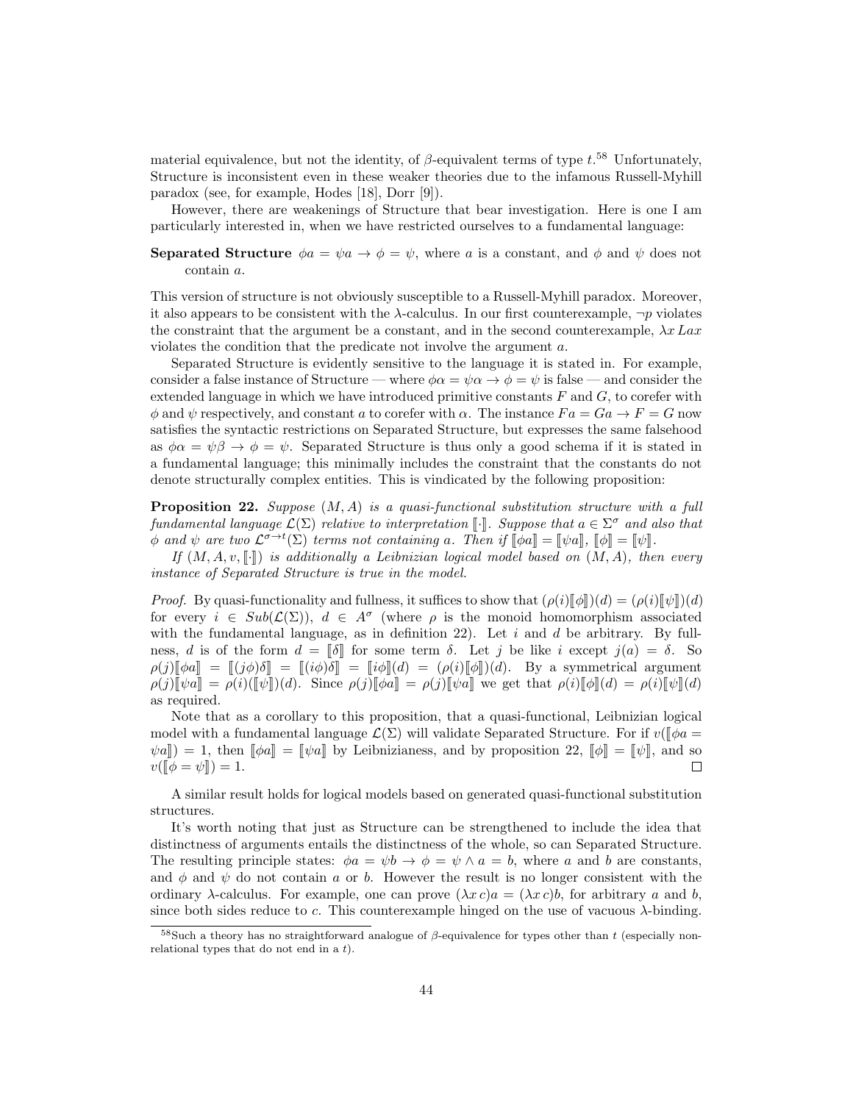material equivalence, but not the identity, of  $\beta$ -equivalent terms of type  $t^{.58}$  Unfortunately, Structure is inconsistent even in these weaker theories due to the infamous Russell-Myhill paradox (see, for example, Hodes [18], Dorr [9]).

However, there are weakenings of Structure that bear investigation. Here is one I am particularly interested in, when we have restricted ourselves to a fundamental language:

**Separated Structure**  $\phi a = \psi a \rightarrow \phi = \psi$ , where a is a constant, and  $\phi$  and  $\psi$  does not contain a.

This version of structure is not obviously susceptible to a Russell-Myhill paradox. Moreover, it also appears to be consistent with the  $\lambda$ -calculus. In our first counterexample,  $\neg p$  violates the constraint that the argument be a constant, and in the second counterexample,  $\lambda x$  Lax violates the condition that the predicate not involve the argument a.

Separated Structure is evidently sensitive to the language it is stated in. For example, consider a false instance of Structure — where  $\phi \alpha = \psi \alpha \rightarrow \phi = \psi$  is false — and consider the extended language in which we have introduced primitive constants  $F$  and  $G$ , to corefer with  $\phi$  and  $\psi$  respectively, and constant a to corefer with  $\alpha$ . The instance  $Fa = Ga \rightarrow F = G$  now satisfies the syntactic restrictions on Separated Structure, but expresses the same falsehood as  $\phi \alpha = \psi \beta \rightarrow \phi = \psi$ . Separated Structure is thus only a good schema if it is stated in a fundamental language; this minimally includes the constraint that the constants do not denote structurally complex entities. This is vindicated by the following proposition:

**Proposition 22.** Suppose  $(M, A)$  is a quasi-functional substitution structure with a full fundamental language  $\mathcal{L}(\Sigma)$  relative to interpretation [.]. Suppose that  $a \in \Sigma^{\sigma}$  and also that  $\phi$  and  $\phi$  are two  $\mathcal{C}^{\sigma \to t}(\Sigma)$  terms not containing a Then if  $\mathbb{L}^{\sigma}$  =  $\mathbb{L}^{\sigma}$  and  $\mathbb{L}^{\sigma}$   $\phi$  and  $\psi$  are two  $\mathcal{L}^{\sigma \to t}(\Sigma)$  terms not containing a. Then if  $[\![\phi a]\!] = [\![\psi a]\!]$ ,  $[\![\phi]\!] = [\![\psi]\!]$ .<br>If  $(M, A, \psi, \mathbb{F})$  is additionally a Leibnizian logical model hased on  $(M, A)$ , then

If  $(M, A, v, \lceil \cdot \rceil)$  is additionally a Leibnizian logical model based on  $(M, A)$ , then every instance of Separated Structure is true in the model.

*Proof.* By quasi-functionality and fullness, it suffices to show that  $(\rho(i)[\![\phi]\!])$  $(d) = (\rho(i)[\![\psi]\!])$  $(d)$ for every  $i \in Sub(\mathcal{L}(\Sigma))$ ,  $d \in A^{\sigma}$  (where  $\rho$  is the monoid homomorphism associated with the fundamental language, as in definition 22). Let  $i$  and  $d$  be arbitrary. By fullness, d is of the form  $d = \lbrack \lbrack \delta \rbrack$  for some term  $\delta$ . Let j be like i except  $j(a) = \delta$ . So  $\rho(j)\llbracket \phi a \rrbracket = \llbracket (i\phi)\delta \rrbracket = [i\phi]\delta \rrbracket = [i\phi]\llbracket (d) = (\rho(i)\llbracket \phi \rrbracket)(d).$  By a symmetrical argument  $\rho(j)[\![\psi_a]\!] = \rho(i)[\![\psi]\!])(d)$ . Since  $\rho(j)[\![\phi_a]\!] = \rho(j)[\![\psi_a]\!]$  we get that  $\rho(i)[\![\phi]\!] (d) = \rho(i)[\![\psi]\!] (d)$ as required.

Note that as a corollary to this proposition, that a quasi-functional, Leibnizian logical model with a fundamental language  $\mathcal{L}(\Sigma)$  will validate Separated Structure. For if  $v(\phi a =$  $\psi a \rangle = 1$ , then  $[\![\phi a]\!] = [\![\psi a]\!]$  by Leibnizianess, and by proposition 22,  $[\![\phi]\!] = [\![\psi]\!]$ , and so  $v([\![\phi = \psi]\!]) = 1$ .  $v([\phi = \psi]) = 1.$ 

A similar result holds for logical models based on generated quasi-functional substitution structures.

It's worth noting that just as Structure can be strengthened to include the idea that distinctness of arguments entails the distinctness of the whole, so can Separated Structure. The resulting principle states:  $\phi a = \psi b \to \phi = \psi \wedge a = b$ , where a and b are constants, and  $\phi$  and  $\psi$  do not contain a or b. However the result is no longer consistent with the ordinary  $\lambda$ -calculus. For example, one can prove  $(\lambda x c)a = (\lambda x c)b$ , for arbitrary a and b, since both sides reduce to  $c$ . This counterexample hinged on the use of vacuous  $\lambda$ -binding.

 $58$ Such a theory has no straightforward analogue of  $\beta$ -equivalence for types other than t (especially nonrelational types that do not end in a  $t$ ).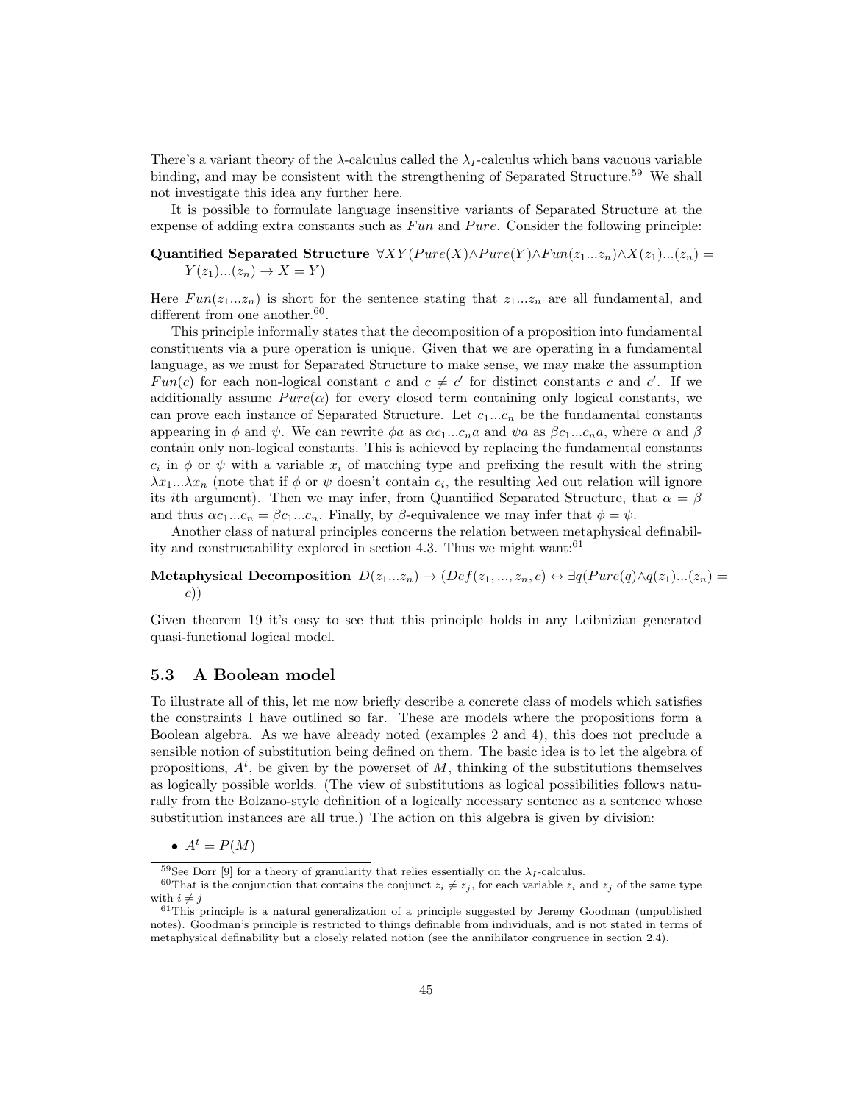There's a variant theory of the  $\lambda$ -calculus called the  $\lambda_I$ -calculus which bans vacuous variable binding, and may be consistent with the strengthening of Separated Structure.<sup>59</sup> We shall not investigate this idea any further here.

It is possible to formulate language insensitive variants of Separated Structure at the expense of adding extra constants such as  $Fun$  and  $Pure$ . Consider the following principle:

**Quantified Separated Structure** 
$$
\forall XY(Pure(X) \land Pure(Y) \land Fun(z_1...z_n) \land X(z_1)...(z_n) = Y(z_1)...(z_n) \rightarrow X = Y)
$$

Here  $Fun(z_1...z_n)$  is short for the sentence stating that  $z_1...z_n$  are all fundamental, and different from one another.  $60$ .

This principle informally states that the decomposition of a proposition into fundamental constituents via a pure operation is unique. Given that we are operating in a fundamental language, as we must for Separated Structure to make sense, we may make the assumption Fun(c) for each non-logical constant c and  $c \neq c'$  for distinct constants c and c'. If we additionally assume  $Pure(\alpha)$  for every closed term containing only logical constants, we can prove each instance of Separated Structure. Let  $c_1...c_n$  be the fundamental constants appearing in  $\phi$  and  $\psi$ . We can rewrite  $\phi a$  as  $\alpha c_1...c_n a$  and  $\psi a$  as  $\beta c_1...c_n a$ , where  $\alpha$  and  $\beta$ contain only non-logical constants. This is achieved by replacing the fundamental constants  $c_i$  in  $\phi$  or  $\psi$  with a variable  $x_i$  of matching type and prefixing the result with the string  $\lambda x_1...\lambda x_n$  (note that if  $\phi$  or  $\psi$  doesn't contain  $c_i$ , the resulting  $\lambda$ ed out relation will ignore its ith argument). Then we may infer, from Quantified Separated Structure, that  $\alpha = \beta$ and thus  $\alpha c_1...c_n = \beta c_1...c_n$ . Finally, by  $\beta$ -equivalence we may infer that  $\phi = \psi$ .

Another class of natural principles concerns the relation between metaphysical definability and constructability explored in section 4.3. Thus we might want: $61$ 

### Metaphysical Decomposition  $D(z_1...z_n) \to (Def(z_1,...,z_n,c) \leftrightarrow \exists q(Pure(q) \land q(z_1)...(z_n))$ c))

Given theorem 19 it's easy to see that this principle holds in any Leibnizian generated quasi-functional logical model.

#### 5.3 A Boolean model

To illustrate all of this, let me now briefly describe a concrete class of models which satisfies the constraints I have outlined so far. These are models where the propositions form a Boolean algebra. As we have already noted (examples 2 and 4), this does not preclude a sensible notion of substitution being defined on them. The basic idea is to let the algebra of propositions,  $A<sup>t</sup>$ , be given by the powerset of M, thinking of the substitutions themselves as logically possible worlds. (The view of substitutions as logical possibilities follows naturally from the Bolzano-style definition of a logically necessary sentence as a sentence whose substitution instances are all true.) The action on this algebra is given by division:

•  $A^t = P(M)$ 

<sup>&</sup>lt;sup>59</sup>See Dorr [9] for a theory of granularity that relies essentially on the  $\lambda_I$ -calculus.

<sup>&</sup>lt;sup>60</sup>That is the conjunction that contains the conjunct  $z_i \neq z_j$ , for each variable  $z_i$  and  $z_j$  of the same type with  $i \neq j$ 

 $61$ This principle is a natural generalization of a principle suggested by Jeremy Goodman (unpublished notes). Goodman's principle is restricted to things definable from individuals, and is not stated in terms of metaphysical definability but a closely related notion (see the annihilator congruence in section 2.4).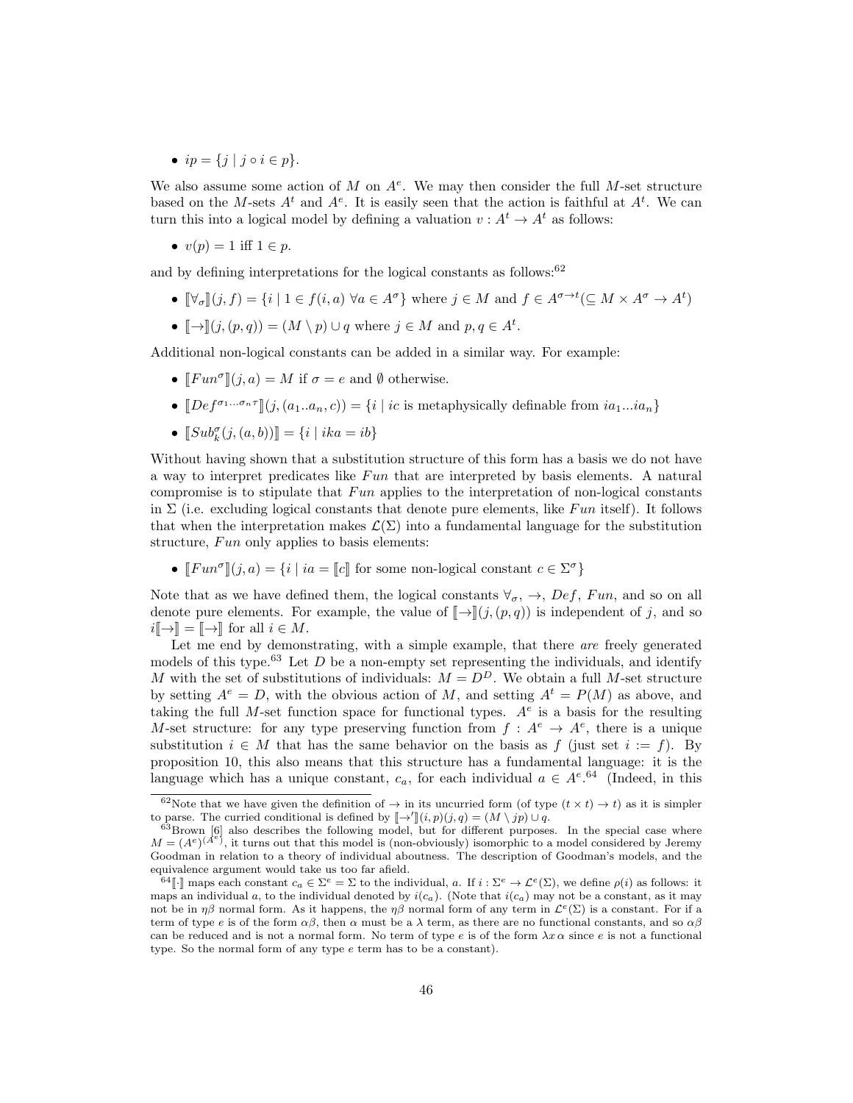•  $ip = \{j \mid j \circ i \in p\}.$ 

We also assume some action of M on  $A^e$ . We may then consider the full M-set structure based on the M-sets  $A^t$  and  $A^e$ . It is easily seen that the action is faithful at  $A^t$ . We can turn this into a logical model by defining a valuation  $v : A^t \to A^t$  as follows:

•  $v(p) = 1$  iff  $1 \in p$ .

and by defining interpretations for the logical constants as follows:  $62$ 

- $[\![\forall_{\sigma}\!](j, f) = \{i \mid 1 \in f(i, a) \,\forall a \in A^{\sigma}\}\}$  where  $j \in M$  and  $f \in A^{\sigma \to t}(\subseteq M \times A^{\sigma} \to A^t)$
- $[\![\rightarrow]\!](j,(p,q)) = (M \setminus p) \cup q$  where  $j \in M$  and  $p, q \in A^t$ .

Additional non-logical constants can be added in a similar way. For example:

- $[Fun^{\sigma}](j, a) = M$  if  $\sigma = e$  and  $\emptyset$  otherwise.
- $[Def^{\sigma_1...\sigma_n\tau}](j,(a_1..a_n,c)) = \{i \mid ic \text{ is metaphysically definable from } ia_1...ia_n\}$
- $[[\text{Sub}^{\sigma}_{k}(j,(a,b))] = \{i \mid ika = ib\}$

Without having shown that a substitution structure of this form has a basis we do not have a way to interpret predicates like  $Fun$  that are interpreted by basis elements. A natural compromise is to stipulate that  $Fun$  applies to the interpretation of non-logical constants in  $\Sigma$  (i.e. excluding logical constants that denote pure elements, like Fun itself). It follows that when the interpretation makes  $\mathcal{L}(\Sigma)$  into a fundamental language for the substitution structure,  $Fun$  only applies to basis elements:

•  $[Fun^{\sigma}](j, a) = \{i \mid ia = [c] \}$  for some non-logical constant  $c \in \Sigma^{\sigma}\}$ 

Note that as we have defined them, the logical constants  $\forall_{\sigma}$ ,  $\rightarrow$ ,  $Def$ , Fun, and so on all denote pure elements. For example, the value of  $\llbracket \rightarrow \rrbracket(j,(p,q))$  is independent of j, and so  $i\llbracket \rightarrow \rrbracket = \llbracket \rightarrow \rrbracket$  for all  $i \in M$ .

Let me end by demonstrating, with a simple example, that there are freely generated models of this type.<sup>63</sup> Let D be a non-empty set representing the individuals, and identify M with the set of substitutions of individuals:  $M = D<sup>D</sup>$ . We obtain a full M-set structure by setting  $A^e = D$ , with the obvious action of M, and setting  $A^t = P(M)$  as above, and taking the full M-set function space for functional types.  $A<sup>e</sup>$  is a basis for the resulting M-set structure: for any type preserving function from  $f: A^e \to A^e$ , there is a unique substitution  $i \in M$  that has the same behavior on the basis as f (just set  $i := f$ ). By proposition 10, this also means that this structure has a fundamental language: it is the language which has a unique constant,  $c_a$ , for each individual  $a \in A^{e.64}$  (Indeed, in this

<sup>&</sup>lt;sup>62</sup>Note that we have given the definition of  $\rightarrow$  in its uncurried form (of type  $(t \times t) \rightarrow t$ ) as it is simpler to parse. The curried conditional is defined by  $\llbracket \rightarrow' \rrbracket(i, p)(j, q) = (M \setminus jp) \cup q$ .<br><sup>63</sup>Brown [6] also describes the following model, but for different purposes. In the special case where

 $M = (A^e)^{A^e}$ , it turns out that this model is (non-obviously) isomorphic to a model considered by Jeremy Goodman in relation to a theory of individual aboutness. The description of Goodman's models, and the equivalence argument would take us too far afield.

<sup>&</sup>lt;sup>64</sup>[·] maps each constant  $c_a \in \Sigma^e = \Sigma$  to the individual, a. If  $i : \Sigma^e \to \mathcal{L}^e(\Sigma)$ , we define  $\rho(i)$  as follows: it maps an individual a, to the individual denoted by  $i(c_a)$ . (Note that  $i(c_a)$  may not be a constant, as it may not be in  $\eta\beta$  normal form. As it happens, the  $\eta\beta$  normal form of any term in  $\mathcal{L}^e(\Sigma)$  is a constant. For if a term of type e is of the form  $\alpha\beta$ , then  $\alpha$  must be a  $\lambda$  term, as there are no functional constants, and so  $\alpha\beta$ can be reduced and is not a normal form. No term of type e is of the form  $\lambda x \alpha$  since e is not a functional type. So the normal form of any type e term has to be a constant).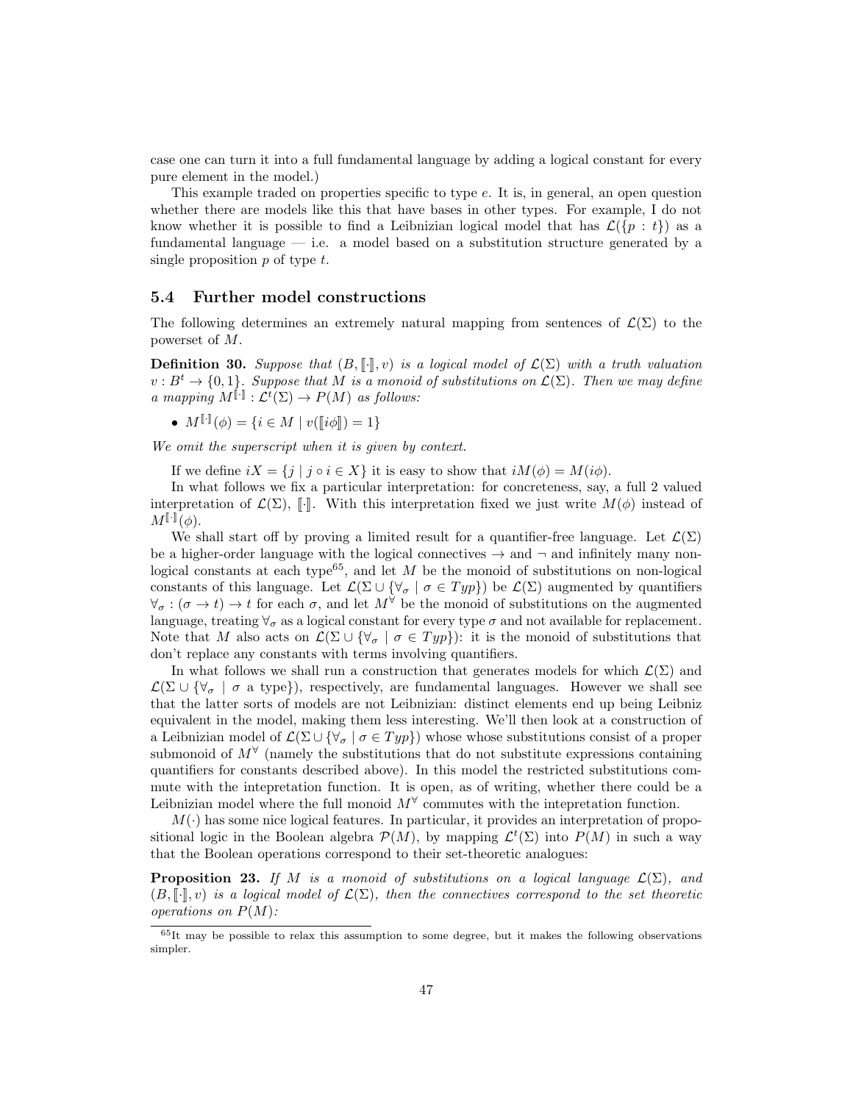case one can turn it into a full fundamental language by adding a logical constant for every pure element in the model.)

This example traded on properties specific to type e. It is, in general, an open question whether there are models like this that have bases in other types. For example, I do not know whether it is possible to find a Leibnizian logical model that has  $\mathcal{L}(\{p : t\})$  as a fundamental language  $-$  i.e. a model based on a substitution structure generated by a single proposition  $p$  of type  $t$ .

#### 5.4 Further model constructions

The following determines an extremely natural mapping from sentences of  $\mathcal{L}(\Sigma)$  to the powerset of M.

**Definition 30.** Suppose that  $(B, \lceil \cdot \rceil, v)$  is a logical model of  $\mathcal{L}(\Sigma)$  with a truth valuation  $v : B^t \to \{0,1\}$ . Suppose that M is a monoid of substitutions on  $\mathcal{L}(\Sigma)$ . Then we may define a mapping  $M^{\llbracket \cdot \rrbracket} : \mathcal{L}^t(\Sigma) \to P(M)$  as follows:

•  $M^{[\![\cdot]\!]}(\phi) = \{i \in M \mid v([\![i\phi]\!]) = 1\}$ 

We omit the superscript when it is given by context.

If we define  $iX = \{j \mid j \circ i \in X\}$  it is easy to show that  $iM(\phi) = M(i\phi)$ .

In what follows we fix a particular interpretation: for concreteness, say, a full 2 valued interpretation of  $\mathcal{L}(\Sigma)$ , [.]. With this interpretation fixed we just write  $M(\phi)$  instead of  $M^{\llbracket \cdot \rrbracket}(\phi).$ 

We shall start off by proving a limited result for a quantifier-free language. Let  $\mathcal{L}(\Sigma)$ be a higher-order language with the logical connectives  $\rightarrow$  and  $\neg$  and infinitely many nonlogical constants at each type<sup>65</sup>, and let  $M$  be the monoid of substitutions on non-logical constants of this language. Let  $\mathcal{L}(\Sigma \cup \{\forall_{\sigma} \mid \sigma \in Typ\})$  be  $\mathcal{L}(\Sigma)$  augmented by quantifiers  $\forall_{\sigma} : (\sigma \to t) \to t$  for each  $\sigma$ , and let  $M^{\forall}$  be the monoid of substitutions on the augmented language, treating  $\forall_{\sigma}$  as a logical constant for every type  $\sigma$  and not available for replacement. Note that M also acts on  $\mathcal{L}(\Sigma \cup \{\forall_{\sigma} \mid \sigma \in Typ\})$ : it is the monoid of substitutions that don't replace any constants with terms involving quantifiers.

In what follows we shall run a construction that generates models for which  $\mathcal{L}(\Sigma)$  and  $\mathcal{L}(\Sigma \cup {\forall_{\sigma} \mid \sigma \text{ a type}})$ , respectively, are fundamental languages. However we shall see that the latter sorts of models are not Leibnizian: distinct elements end up being Leibniz equivalent in the model, making them less interesting. We'll then look at a construction of a Leibnizian model of  $\mathcal{L}(\Sigma \cup {\forall_{\sigma} \mid \sigma \in Typ}$  whose whose substitutions consist of a proper submonoid of  $M^{\forall}$  (namely the substitutions that do not substitute expressions containing quantifiers for constants described above). In this model the restricted substitutions commute with the intepretation function. It is open, as of writing, whether there could be a Leibnizian model where the full monoid  $M^{\forall}$  commutes with the intepretation function.

 $M(\cdot)$  has some nice logical features. In particular, it provides an interpretation of propositional logic in the Boolean algebra  $\mathcal{P}(M)$ , by mapping  $\mathcal{L}^t(\Sigma)$  into  $P(M)$  in such a way that the Boolean operations correspond to their set-theoretic analogues:

**Proposition 23.** If M is a monoid of substitutions on a logical language  $\mathcal{L}(\Sigma)$ , and  $(B, \llbracket \cdot \rrbracket, v)$  is a logical model of  $\mathcal{L}(\Sigma)$ , then the connectives correspond to the set theoretic operations on  $P(M)$ :

 $65$ It may be possible to relax this assumption to some degree, but it makes the following observations simpler.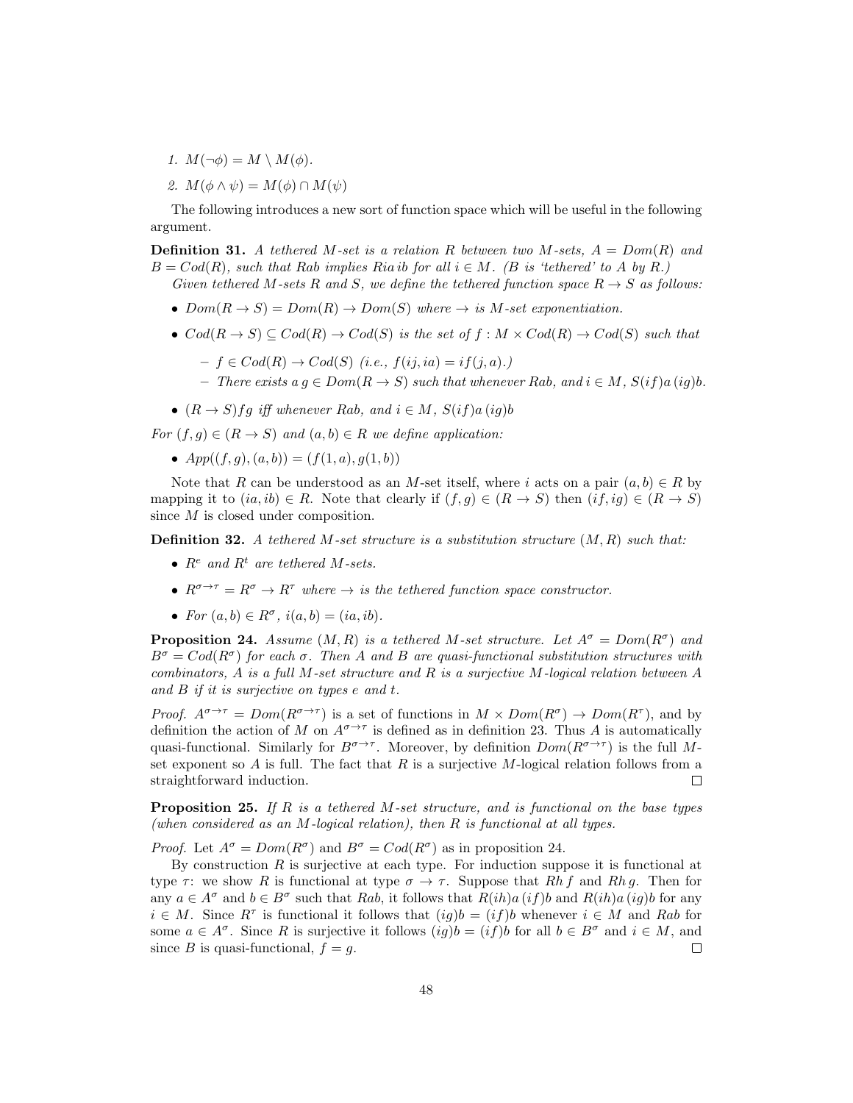- 1.  $M(\neg \phi) = M \setminus M(\phi)$ .
- 2.  $M(\phi \wedge \psi) = M(\phi) \cap M(\psi)$

The following introduces a new sort of function space which will be useful in the following argument.

**Definition 31.** A tethered M-set is a relation R between two M-sets,  $A = Dom(R)$  and  $B = Cod(R)$ , such that Rab implies Ria ib for all  $i \in M$ . (B is 'tethered' to A by R.) Given tethered M-sets R and S, we define the tethered function space  $R \rightarrow S$  as follows:

- $Dom(R \rightarrow S) = Dom(R) \rightarrow Dom(S)$  where  $\rightarrow$  is M-set exponentiation.
- $Cod(R \rightarrow S) \subseteq Cod(R) \rightarrow Cod(S)$  is the set of  $f : M \times Cod(R) \rightarrow Cod(S)$  such that
	- $-f \in Cod(R) \rightarrow Cod(S)$  (i.e.,  $f(ij, ia) = if(j, a)$ .)
	- There exists a  $q \in Dom(R → S)$  such that whenever Rab, and  $i ∈ M$ ,  $S(if)a(iq)b$ .
- $(R \rightarrow S)$ fg iff whenever Rab, and  $i \in M$ ,  $S(if)a(ig)b$

For  $(f, g) \in (R \to S)$  and  $(a, b) \in R$  we define application:

•  $App((f, g), (a, b)) = (f(1, a), g(1, b))$ 

Note that R can be understood as an M-set itself, where i acts on a pair  $(a, b) \in R$  by mapping it to  $(ia, ib) \in R$ . Note that clearly if  $(f, g) \in (R \to S)$  then  $(if, ig) \in (R \to S)$ since M is closed under composition.

**Definition 32.** A tethered M-set structure is a substitution structure  $(M, R)$  such that:

- $R^e$  and  $R^t$  are tethered M-sets.
- $R^{\sigma \to \tau} = R^{\sigma} \to R^{\tau}$  where  $\to$  is the tethered function space constructor.
- For  $(a, b) \in R^{\sigma}$ ,  $i(a, b) = (ia, ib)$ .

**Proposition 24.** Assume  $(M, R)$  is a tethered M-set structure. Let  $A^{\sigma} = Dom(R^{\sigma})$  and  $B^{\sigma} = Cod(R^{\sigma})$  for each  $\sigma$ . Then A and B are quasi-functional substitution structures with combinators, A is a full M-set structure and R is a surjective M-logical relation between  $A$ and B if it is surjective on types e and t.

Proof.  $A^{\sigma \to \tau} = Dom(R^{\sigma \to \tau})$  is a set of functions in  $M \times Dom(R^{\sigma}) \to Dom(R^{\tau})$ , and by definition the action of M on  $A^{\sigma \to \tau}$  is defined as in definition 23. Thus A is automatically quasi-functional. Similarly for  $B^{\sigma \to \tau}$ . Moreover, by definition  $Dom(R^{\sigma \to \tau})$  is the full Mset exponent so  $A$  is full. The fact that  $R$  is a surjective  $M$ -logical relation follows from a straightforward induction. П

**Proposition 25.** If R is a tethered M-set structure, and is functional on the base types (when considered as an M-logical relation), then R is functional at all types.

*Proof.* Let  $A^{\sigma} = Dom(R^{\sigma})$  and  $B^{\sigma} = Cod(R^{\sigma})$  as in proposition 24.

By construction  $R$  is surjective at each type. For induction suppose it is functional at type  $\tau$ : we show R is functional at type  $\sigma \to \tau$ . Suppose that Rh f and Rh g. Then for any  $a \in A^{\sigma}$  and  $b \in B^{\sigma}$  such that Rab, it follows that  $R(ih)a(if)b$  and  $R(ih)a(ig)b$  for any  $i \in M$ . Since  $R^{\tau}$  is functional it follows that  $(ig)b = (if)b$  whenever  $i \in M$  and Rab for some  $a \in A^{\sigma}$ . Since R is surjective it follows  $(ig)b = (if)b$  for all  $b \in B^{\sigma}$  and  $i \in M$ , and since B is quasi-functional,  $f = g$ . П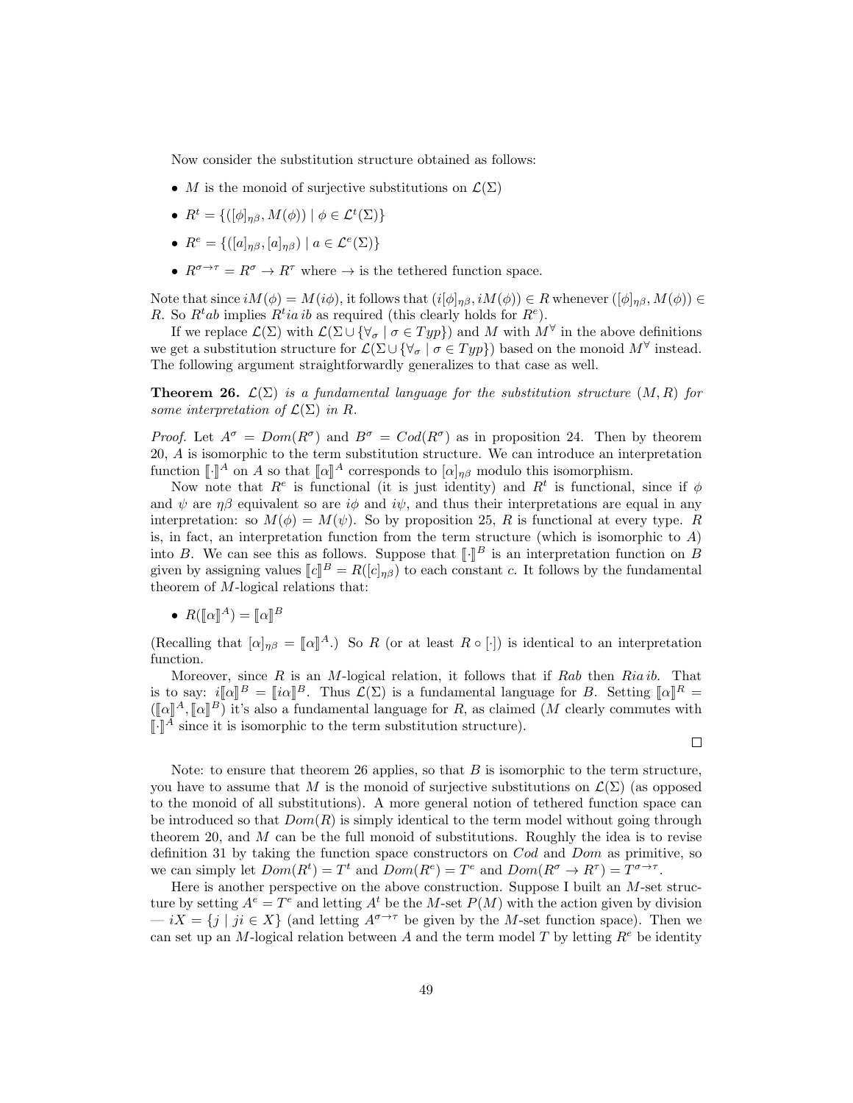Now consider the substitution structure obtained as follows:

- M is the monoid of surjective substitutions on  $\mathcal{L}(\Sigma)$
- $R^t = \{([\phi]_{\eta\beta}, M(\phi)) \mid \phi \in \mathcal{L}^t(\Sigma)\}\$
- $R^e = \{([a]_{\eta\beta}, [a]_{\eta\beta}) \mid a \in \mathcal{L}^e(\Sigma)\}\$
- $R^{\sigma \to \tau} = R^{\sigma} \to R^{\tau}$  where  $\to$  is the tethered function space.

Note that since  $iM(\phi) = M(i\phi)$ , it follows that  $(i[\phi]_{\eta\beta}, iM(\phi)) \in R$  whenever  $([\phi]_{\eta\beta}, M(\phi)) \in R$ R. So  $R^t$ *ab* implies  $R^t$ *ia ib* as required (this clearly holds for  $R^e$ ).

If we replace  $\mathcal{L}(\Sigma)$  with  $\mathcal{L}(\Sigma \cup {\forall_{\sigma} \mid \sigma \in Typ} )$  and M with  $M^{\forall}$  in the above definitions we get a substitution structure for  $\mathcal{L}(\Sigma \cup {\forall_{\sigma} \mid \sigma \in Typ})$  based on the monoid  $M^{\forall}$  instead. The following argument straightforwardly generalizes to that case as well.

**Theorem 26.**  $\mathcal{L}(\Sigma)$  is a fundamental language for the substitution structure  $(M, R)$  for some interpretation of  $\mathcal{L}(\Sigma)$  in R.

*Proof.* Let  $A^{\sigma} = Dom(R^{\sigma})$  and  $B^{\sigma} = Cod(R^{\sigma})$  as in proposition 24. Then by theorem 20, A is isomorphic to the term substitution structure. We can introduce an interpretation function  $\llbracket \cdot \rrbracket^A$  on A so that  $\llbracket \alpha \rrbracket^A$  corresponds to  $[\alpha]_{\eta\beta}$  modulo this isomorphism.<br>Now note that  $P^e$  is functional (it is just identity) and  $P^t$  is functional

Now note that  $R^e$  is functional (it is just identity) and  $R^t$  is functional, since if  $\phi$ and  $\psi$  are  $\eta\beta$  equivalent so are  $i\phi$  and  $i\psi$ , and thus their interpretations are equal in any interpretation: so  $M(\phi) = M(\psi)$ . So by proposition 25, R is functional at every type. R is, in fact, an interpretation function from the term structure (which is isomorphic to  $A$ ) into B. We can see this as follows. Suppose that  $\llbracket \cdot \rrbracket^B$  is an interpretation function on B given by expiring values  $\llbracket a \rrbracket^B = P([a]_{\infty})$  to each constant e. It follows by the fundamental given by assigning values  $[[c]]^B = R([c]_{\eta\beta})$  to each constant c. It follows by the fundamental theorem of M logical relations that: theorem of M-logical relations that:

•  $R([\![\alpha]\!]^A) = [\![\alpha]\!]^B$ 

(Recalling that  $[\alpha]_{\eta\beta} = [\alpha]^A$ .) So R (or at least  $R \circ [\cdot]$ ) is identical to an interpretation function function.

Moreover, since  $R$  is an M-logical relation, it follows that if  $Rab$  then  $Ria ib$ . That is to say:  $i[\![\alpha]\!]^B = [\![i\alpha]\!]^B$ . Thus  $\mathcal{L}(\Sigma)$  is a fundamental language for B. Setting  $[\![\alpha]\!]^R =$ <br> $(\mathbb{L} \cup \mathbb{R}^A, \mathbb{L} \cup \mathbb{R}^B)$  it's also a fundamental language for B as alaimed (M algority commutes with  $(\llbracket \alpha \rrbracket^A, \llbracket \alpha \rrbracket^B)$  it's also a fundamental language for R, as claimed (M clearly commutes with  $\llbracket \mathbb{R}^A$  since it is isomorphic to the term substitution structure)  $\llbracket \cdot \rrbracket^A$  since it is isomorphic to the term substitution structure).

Note: to ensure that theorem 26 applies, so that  $B$  is isomorphic to the term structure, you have to assume that M is the monoid of surjective substitutions on  $\mathcal{L}(\Sigma)$  (as opposed to the monoid of all substitutions). A more general notion of tethered function space can be introduced so that  $Dom(R)$  is simply identical to the term model without going through theorem 20, and  $M$  can be the full monoid of substitutions. Roughly the idea is to revise definition 31 by taking the function space constructors on Cod and Dom as primitive, so we can simply let  $Dom(R^t) = T^t$  and  $Dom(R^e) = T^e$  and  $Dom(R^{\sigma} \to R^{\tau}) = T^{\sigma \to \tau}$ .

Here is another perspective on the above construction. Suppose I built an M-set structure by setting  $A^e = T^e$  and letting  $A^t$  be the M-set  $P(M)$  with the action given by division  $- iX = \{j \mid ji \in X\}$  (and letting  $A^{\sigma \to \tau}$  be given by the M-set function space). Then we can set up an M-logical relation between A and the term model T by letting  $R^e$  be identity

 $\Box$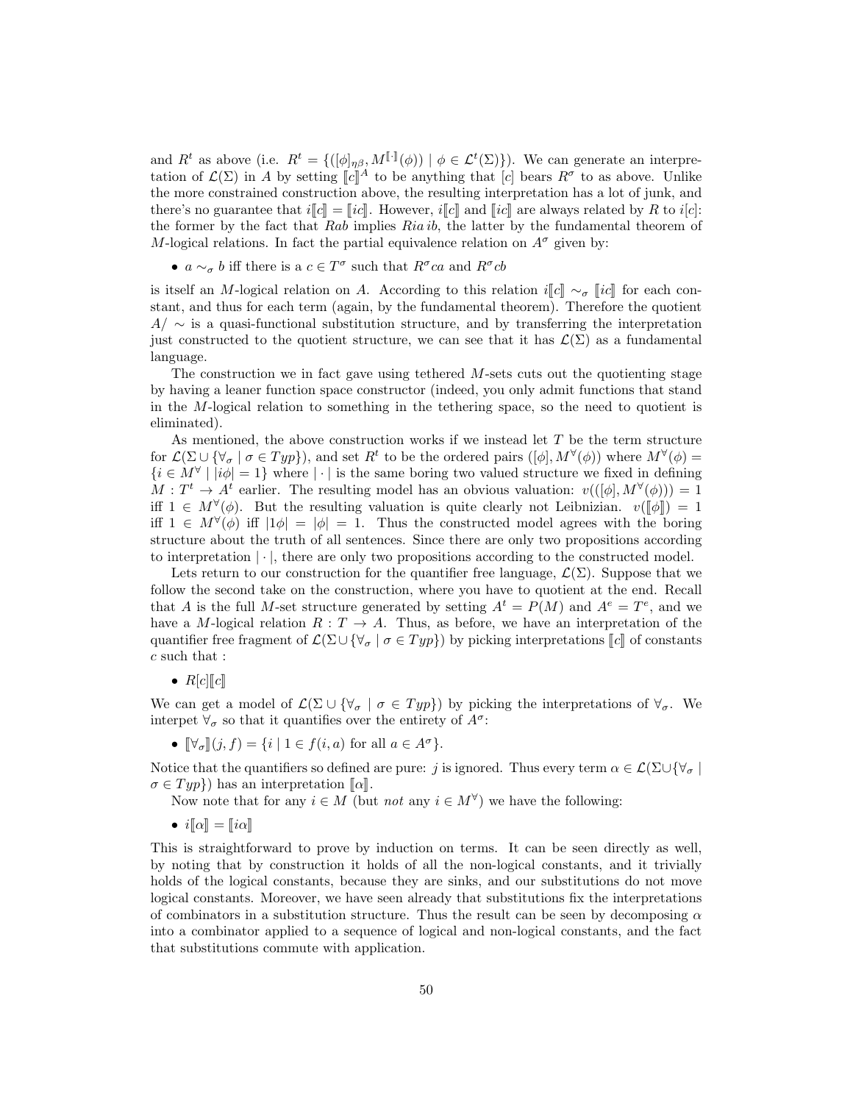and  $R^t$  as above (i.e.  $R^t = \{([\phi]_{\eta\beta}, M^{[\![\cdot]\!]}(\phi)) \mid \phi \in \mathcal{L}^t(\Sigma)\}\)$ ). We can generate an interpretation of  $\mathcal{L}(\Sigma)$  in A by setting  $\llbracket c \rrbracket^A$  to be anything that  $\llbracket c \rrbracket$  bears  $R^{\sigma}$  to as above. Unlike<br>the more construction above, the resulting interpretation has a let of junk and the more constrained construction above, the resulting interpretation has a lot of junk, and there's no guarantee that  $i\llbracket c\rrbracket = \llbracket ic\rrbracket$ . However,  $i\llbracket c\rrbracket$  and  $\llbracket ic\rrbracket$  are always related by R to  $i[c]$ : the former by the fact that Rab implies Ria ib, the latter by the fundamental theorem of M-logical relations. In fact the partial equivalence relation on  $A^{\sigma}$  given by:

•  $a \sim_{\sigma} b$  iff there is a  $c \in T^{\sigma}$  such that  $R^{\sigma}ca$  and  $R^{\sigma}cb$ 

is itself an M-logical relation on A. According to this relation i[c] ~ $\sigma$  [ic] for each constant, and thus for each term (again, by the fundamental theorem). Therefore the quotient  $A/\sim$  is a quasi-functional substitution structure, and by transferring the interpretation just constructed to the quotient structure, we can see that it has  $\mathcal{L}(\Sigma)$  as a fundamental language.

The construction we in fact gave using tethered M-sets cuts out the quotienting stage by having a leaner function space constructor (indeed, you only admit functions that stand in the M-logical relation to something in the tethering space, so the need to quotient is eliminated).

As mentioned, the above construction works if we instead let  $T$  be the term structure for  $\mathcal{L}(\Sigma \cup {\forall_{\sigma} \mid \sigma \in Typ}$ , and set  $R^t$  to be the ordered pairs  $([\phi], M^{\forall}(\phi))$  where  $M^{\forall}(\phi)$  =  $\{i \in M^{\forall} \mid |i\phi|=1\}$  where  $|\cdot|$  is the same boring two valued structure we fixed in defining  $M: T^t \to A^t$  earlier. The resulting model has an obvious valuation:  $v((\phi_1, M^{\forall}(\phi))) = 1$ iff  $1 \in M^{\forall}(\phi)$ . But the resulting valuation is quite clearly not Leibnizian.  $v([\![\phi]\!]) = 1$ <br>iff  $1 \in M^{\forall}(\phi)$  iff  $[1\phi] = [\phi] = 1$ . Thus the constructed model agrees with the begins iff  $1 \in M^{\forall}(\phi)$  iff  $|1\phi| = |\phi| = 1$ . Thus the constructed model agrees with the boring structure about the truth of all sentences. Since there are only two propositions according to interpretation  $|\cdot|$ , there are only two propositions according to the constructed model.

Lets return to our construction for the quantifier free language,  $\mathcal{L}(\Sigma)$ . Suppose that we follow the second take on the construction, where you have to quotient at the end. Recall that A is the full M-set structure generated by setting  $A^t = P(M)$  and  $A^e = T^e$ , and we have a M-logical relation  $R: T \to A$ . Thus, as before, we have an interpretation of the quantifier free fragment of  $\mathcal{L}(\Sigma \cup \{\forall_{\sigma} \mid \sigma \in Typ\})$  by picking interpretations  $\llbracket c \rrbracket$  of constants  $\boldsymbol{c}$  such that :

•  $R[c][c]$ 

We can get a model of  $\mathcal{L}(\Sigma \cup {\forall_{\sigma} \mid \sigma \in Typ})$  by picking the interpretations of  $\forall_{\sigma}$ . We interpet  $\forall_{\sigma}$  so that it quantifies over the entirety of  $A^{\sigma}$ :

•  $\mathbb{V}_{\sigma}$   $[(j, f) = \{i \mid 1 \in f(i, a) \text{ for all } a \in A^{\sigma}\}.$ 

Notice that the quantifiers so defined are pure: j is ignored. Thus every term  $\alpha \in \mathcal{L}(\Sigma \cup \{\forall \sigma\})$  $\sigma \in Typ$ } has an interpretation  $\llbracket \alpha \rrbracket$ .

- Now note that for any  $i \in M$  (but *not* any  $i \in M^{\forall}$ ) we have the following:
- $i\llbracket \alpha \rrbracket = \llbracket i\alpha \rrbracket$

This is straightforward to prove by induction on terms. It can be seen directly as well, by noting that by construction it holds of all the non-logical constants, and it trivially holds of the logical constants, because they are sinks, and our substitutions do not move logical constants. Moreover, we have seen already that substitutions fix the interpretations of combinators in a substitution structure. Thus the result can be seen by decomposing  $\alpha$ into a combinator applied to a sequence of logical and non-logical constants, and the fact that substitutions commute with application.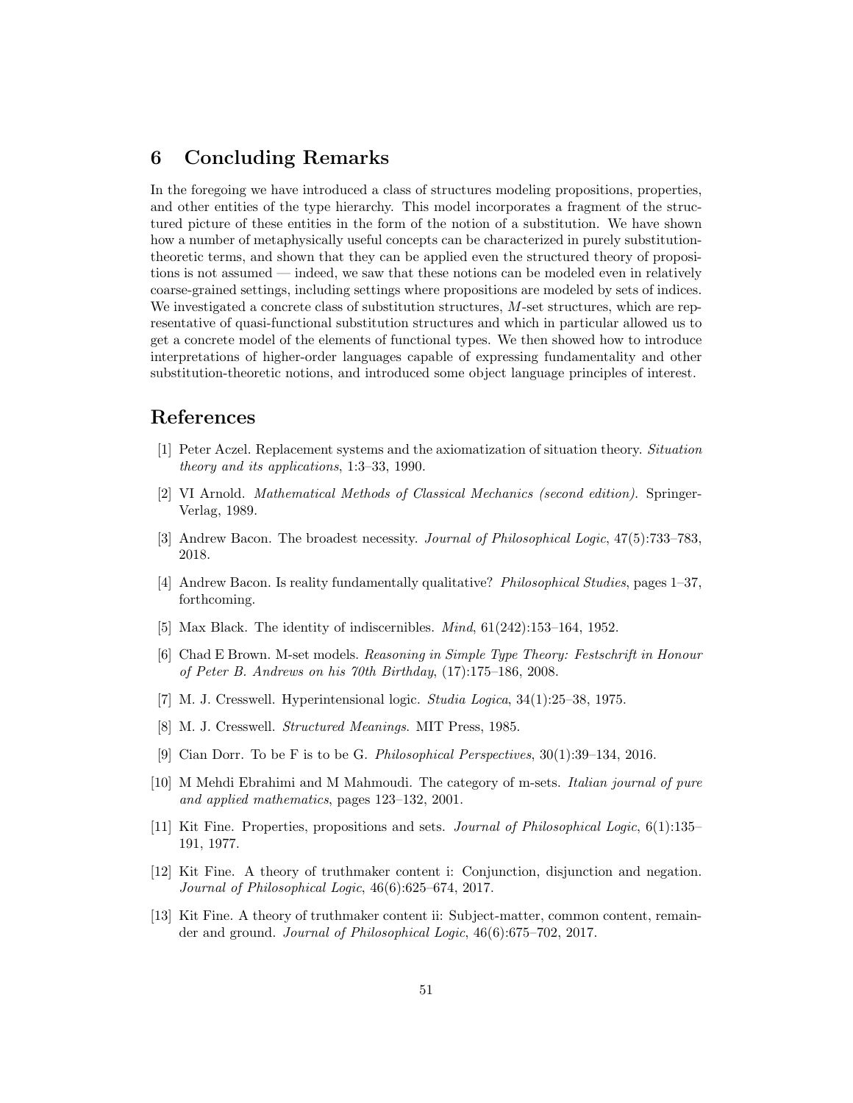# 6 Concluding Remarks

In the foregoing we have introduced a class of structures modeling propositions, properties, and other entities of the type hierarchy. This model incorporates a fragment of the structured picture of these entities in the form of the notion of a substitution. We have shown how a number of metaphysically useful concepts can be characterized in purely substitutiontheoretic terms, and shown that they can be applied even the structured theory of propositions is not assumed — indeed, we saw that these notions can be modeled even in relatively coarse-grained settings, including settings where propositions are modeled by sets of indices. We investigated a concrete class of substitution structures, M-set structures, which are representative of quasi-functional substitution structures and which in particular allowed us to get a concrete model of the elements of functional types. We then showed how to introduce interpretations of higher-order languages capable of expressing fundamentality and other substitution-theoretic notions, and introduced some object language principles of interest.

### References

- [1] Peter Aczel. Replacement systems and the axiomatization of situation theory. Situation theory and its applications, 1:3–33, 1990.
- [2] VI Arnold. Mathematical Methods of Classical Mechanics (second edition). Springer-Verlag, 1989.
- [3] Andrew Bacon. The broadest necessity. Journal of Philosophical Logic, 47(5):733–783, 2018.
- [4] Andrew Bacon. Is reality fundamentally qualitative? Philosophical Studies, pages 1–37, forthcoming.
- [5] Max Black. The identity of indiscernibles. *Mind*, 61(242):153-164, 1952.
- [6] Chad E Brown. M-set models. Reasoning in Simple Type Theory: Festschrift in Honour of Peter B. Andrews on his 70th Birthday, (17):175–186, 2008.
- [7] M. J. Cresswell. Hyperintensional logic. Studia Logica, 34(1):25–38, 1975.
- [8] M. J. Cresswell. Structured Meanings. MIT Press, 1985.
- [9] Cian Dorr. To be F is to be G. Philosophical Perspectives, 30(1):39–134, 2016.
- [10] M Mehdi Ebrahimi and M Mahmoudi. The category of m-sets. Italian journal of pure and applied mathematics, pages 123–132, 2001.
- [11] Kit Fine. Properties, propositions and sets. Journal of Philosophical Logic, 6(1):135– 191, 1977.
- [12] Kit Fine. A theory of truthmaker content i: Conjunction, disjunction and negation. Journal of Philosophical Logic, 46(6):625–674, 2017.
- [13] Kit Fine. A theory of truthmaker content ii: Subject-matter, common content, remainder and ground. Journal of Philosophical Logic, 46(6):675–702, 2017.